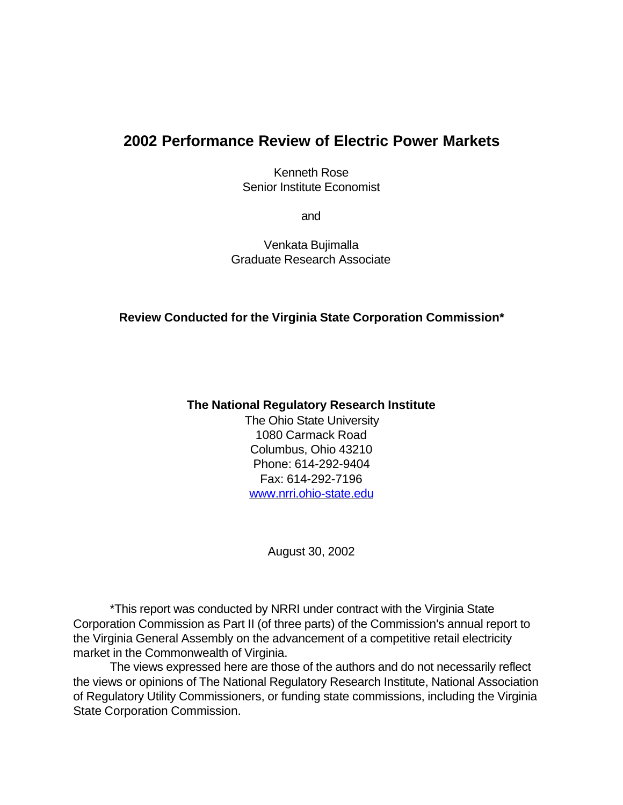# **2002 Performance Review of Electric Power Markets**

Kenneth Rose Senior Institute Economist

and

Venkata Bujimalla Graduate Research Associate

## **Review Conducted for the Virginia State Corporation Commission\***

#### **The National Regulatory Research Institute**

The Ohio State University 1080 Carmack Road Columbus, Ohio 43210 Phone: 614-292-9404 Fax: 614-292-7196 www.nrri.ohio-state.edu

August 30, 2002

\*This report was conducted by NRRI under contract with the Virginia State Corporation Commission as Part II (of three parts) of the Commission's annual report to the Virginia General Assembly on the advancement of a competitive retail electricity market in the Commonwealth of Virginia.

The views expressed here are those of the authors and do not necessarily reflect the views or opinions of The National Regulatory Research Institute, National Association of Regulatory Utility Commissioners, or funding state commissions, including the Virginia State Corporation Commission.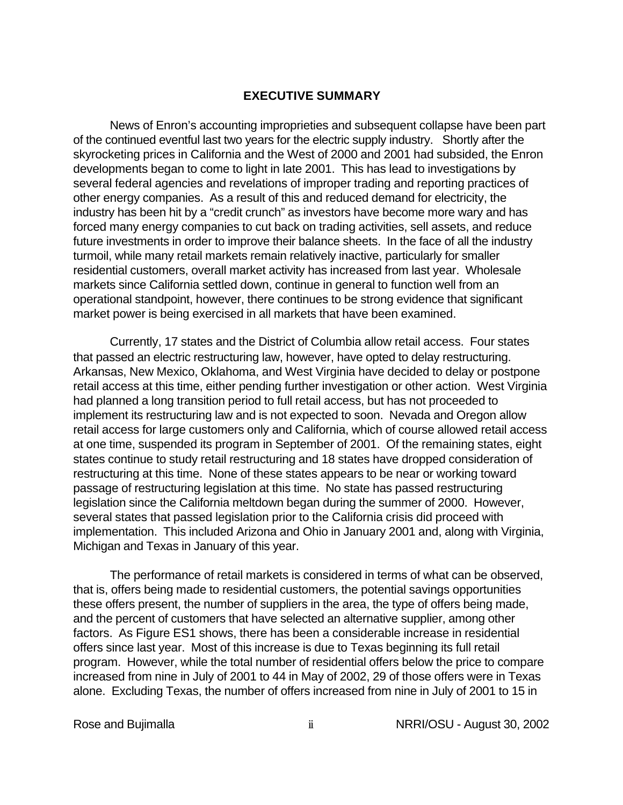#### **EXECUTIVE SUMMARY**

News of Enron's accounting improprieties and subsequent collapse have been part of the continued eventful last two years for the electric supply industry. Shortly after the skyrocketing prices in California and the West of 2000 and 2001 had subsided, the Enron developments began to come to light in late 2001. This has lead to investigations by several federal agencies and revelations of improper trading and reporting practices of other energy companies. As a result of this and reduced demand for electricity, the industry has been hit by a "credit crunch" as investors have become more wary and has forced many energy companies to cut back on trading activities, sell assets, and reduce future investments in order to improve their balance sheets. In the face of all the industry turmoil, while many retail markets remain relatively inactive, particularly for smaller residential customers, overall market activity has increased from last year. Wholesale markets since California settled down, continue in general to function well from an operational standpoint, however, there continues to be strong evidence that significant market power is being exercised in all markets that have been examined.

Currently, 17 states and the District of Columbia allow retail access. Four states that passed an electric restructuring law, however, have opted to delay restructuring. Arkansas, New Mexico, Oklahoma, and West Virginia have decided to delay or postpone retail access at this time, either pending further investigation or other action. West Virginia had planned a long transition period to full retail access, but has not proceeded to implement its restructuring law and is not expected to soon. Nevada and Oregon allow retail access for large customers only and California, which of course allowed retail access at one time, suspended its program in September of 2001. Of the remaining states, eight states continue to study retail restructuring and 18 states have dropped consideration of restructuring at this time. None of these states appears to be near or working toward passage of restructuring legislation at this time. No state has passed restructuring legislation since the California meltdown began during the summer of 2000. However, several states that passed legislation prior to the California crisis did proceed with implementation. This included Arizona and Ohio in January 2001 and, along with Virginia, Michigan and Texas in January of this year.

The performance of retail markets is considered in terms of what can be observed, that is, offers being made to residential customers, the potential savings opportunities these offers present, the number of suppliers in the area, the type of offers being made, and the percent of customers that have selected an alternative supplier, among other factors. As Figure ES1 shows, there has been a considerable increase in residential offers since last year. Most of this increase is due to Texas beginning its full retail program. However, while the total number of residential offers below the price to compare increased from nine in July of 2001 to 44 in May of 2002, 29 of those offers were in Texas alone. Excluding Texas, the number of offers increased from nine in July of 2001 to 15 in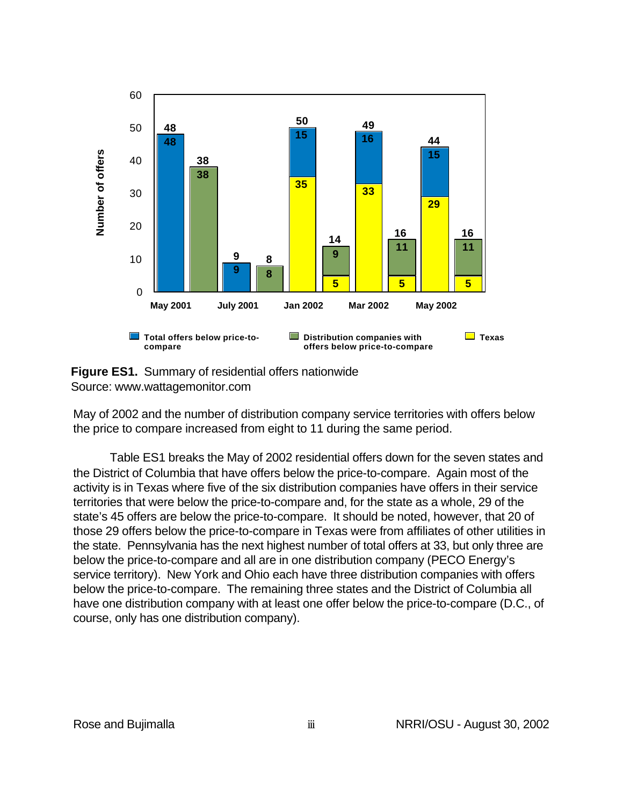

**Figure ES1.** Summary of residential offers nationwide Source: www.wattagemonitor.com

May of 2002 and the number of distribution company service territories with offers below the price to compare increased from eight to 11 during the same period.

Table ES1 breaks the May of 2002 residential offers down for the seven states and the District of Columbia that have offers below the price-to-compare. Again most of the activity is in Texas where five of the six distribution companies have offers in their service territories that were below the price-to-compare and, for the state as a whole, 29 of the state's 45 offers are below the price-to-compare. It should be noted, however, that 20 of those 29 offers below the price-to-compare in Texas were from affiliates of other utilities in the state. Pennsylvania has the next highest number of total offers at 33, but only three are below the price-to-compare and all are in one distribution company (PECO Energy's service territory). New York and Ohio each have three distribution companies with offers below the price-to-compare. The remaining three states and the District of Columbia all have one distribution company with at least one offer below the price-to-compare (D.C., of course, only has one distribution company).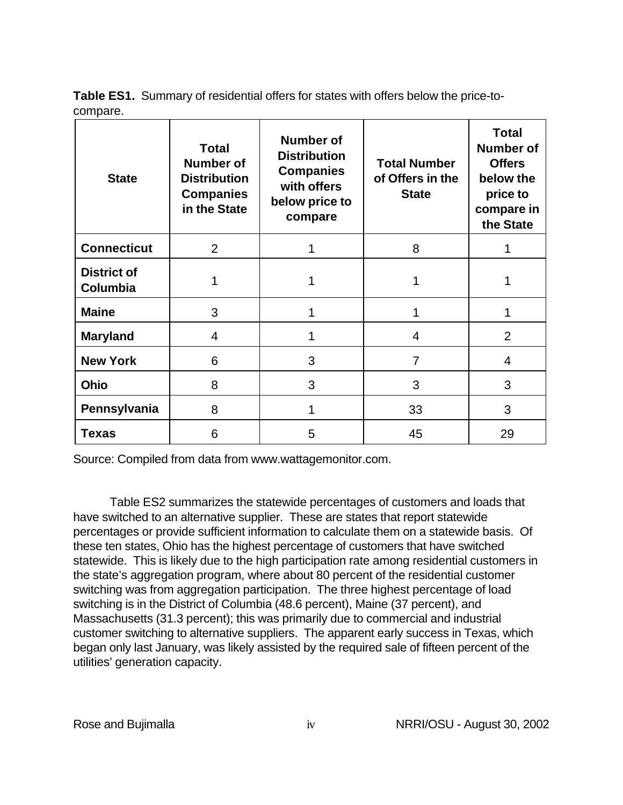**Table ES1.** Summary of residential offers for states with offers below the price-tocompare.

| <b>State</b>                          | <b>Total</b><br><b>Number of</b><br><b>Distribution</b><br><b>Companies</b><br>in the State | <b>Number of</b><br><b>Distribution</b><br><b>Companies</b><br>with offers<br>below price to<br>compare | <b>Total Number</b><br>of Offers in the<br><b>State</b> | <b>Total</b><br><b>Number of</b><br><b>Offers</b><br>below the<br>price to<br>compare in<br>the State |  |
|---------------------------------------|---------------------------------------------------------------------------------------------|---------------------------------------------------------------------------------------------------------|---------------------------------------------------------|-------------------------------------------------------------------------------------------------------|--|
| <b>Connecticut</b>                    | $\overline{2}$<br>8<br>1                                                                    |                                                                                                         |                                                         |                                                                                                       |  |
| <b>District of</b><br><b>Columbia</b> |                                                                                             |                                                                                                         |                                                         |                                                                                                       |  |
| <b>Maine</b><br>3                     |                                                                                             | 1                                                                                                       | 1                                                       | 1                                                                                                     |  |
| <b>Maryland</b><br>$\overline{4}$     |                                                                                             | 1                                                                                                       | 4                                                       |                                                                                                       |  |
| <b>New York</b><br>6                  |                                                                                             | 3<br>7                                                                                                  |                                                         | $\overline{4}$                                                                                        |  |
| 8<br><b>Ohio</b>                      |                                                                                             | 3<br>3                                                                                                  |                                                         | 3                                                                                                     |  |
| Pennsylvania                          | 8                                                                                           | 1                                                                                                       | 33                                                      | 3                                                                                                     |  |
| Texas                                 | 6                                                                                           | 5                                                                                                       | 45                                                      | 29                                                                                                    |  |

Source: Compiled from data from www.wattagemonitor.com.

Table ES2 summarizes the statewide percentages of customers and loads that have switched to an alternative supplier. These are states that report statewide percentages or provide sufficient information to calculate them on a statewide basis. Of these ten states, Ohio has the highest percentage of customers that have switched statewide. This is likely due to the high participation rate among residential customers in the state's aggregation program, where about 80 percent of the residential customer switching was from aggregation participation. The three highest percentage of load switching is in the District of Columbia (48.6 percent), Maine (37 percent), and Massachusetts (31.3 percent); this was primarily due to commercial and industrial customer switching to alternative suppliers. The apparent early success in Texas, which began only last January, was likely assisted by the required sale of fifteen percent of the utilities' generation capacity.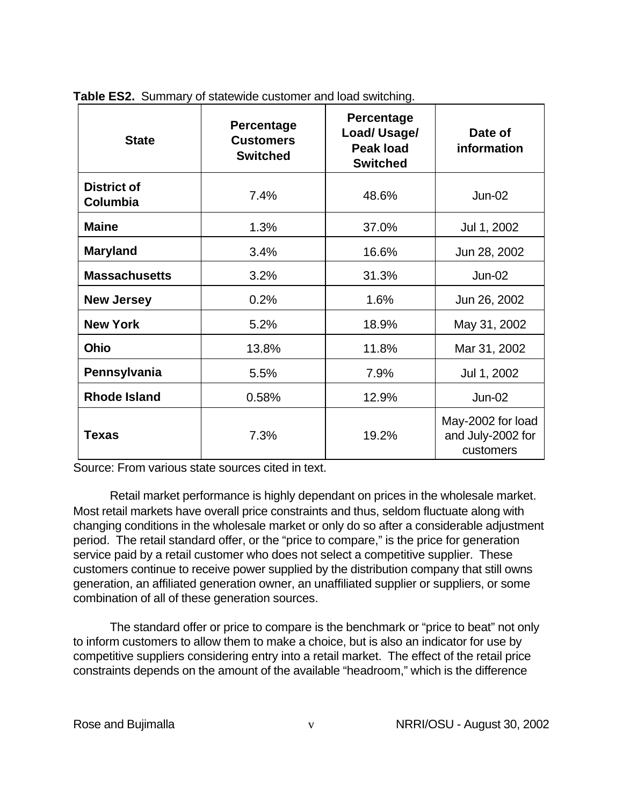| <b>State</b>                          | <b>Percentage</b><br><b>Customers</b><br><b>Switched</b> | Percentage<br>Load/Usage/<br><b>Peak load</b><br><b>Switched</b> | Date of<br>information                              |  |
|---------------------------------------|----------------------------------------------------------|------------------------------------------------------------------|-----------------------------------------------------|--|
| <b>District of</b><br><b>Columbia</b> | 7.4%                                                     |                                                                  | $Jun-02$                                            |  |
| <b>Maine</b>                          | 1.3%                                                     | 37.0%                                                            | Jul 1, 2002                                         |  |
| <b>Maryland</b>                       | 3.4%                                                     | 16.6%                                                            | Jun 28, 2002                                        |  |
| <b>Massachusetts</b>                  | 3.2%                                                     | 31.3%                                                            | $Jun-02$                                            |  |
| <b>New Jersey</b>                     | 0.2%                                                     | 1.6%                                                             | Jun 26, 2002                                        |  |
| <b>New York</b>                       | 5.2%                                                     | 18.9%                                                            | May 31, 2002                                        |  |
| Ohio                                  | 13.8%                                                    | 11.8%                                                            | Mar 31, 2002                                        |  |
| Pennsylvania                          | 5.5%                                                     | 7.9%                                                             | Jul 1, 2002                                         |  |
| <b>Rhode Island</b>                   | 0.58%                                                    | 12.9%                                                            | $Jun-02$                                            |  |
| Texas                                 | 7.3%                                                     | 19.2%                                                            | May-2002 for load<br>and July-2002 for<br>customers |  |

**Table ES2.** Summary of statewide customer and load switching.

Source: From various state sources cited in text.

Retail market performance is highly dependant on prices in the wholesale market. Most retail markets have overall price constraints and thus, seldom fluctuate along with changing conditions in the wholesale market or only do so after a considerable adjustment period. The retail standard offer, or the "price to compare," is the price for generation service paid by a retail customer who does not select a competitive supplier. These customers continue to receive power supplied by the distribution company that still owns generation, an affiliated generation owner, an unaffiliated supplier or suppliers, or some combination of all of these generation sources.

The standard offer or price to compare is the benchmark or "price to beat" not only to inform customers to allow them to make a choice, but is also an indicator for use by competitive suppliers considering entry into a retail market. The effect of the retail price constraints depends on the amount of the available "headroom," which is the difference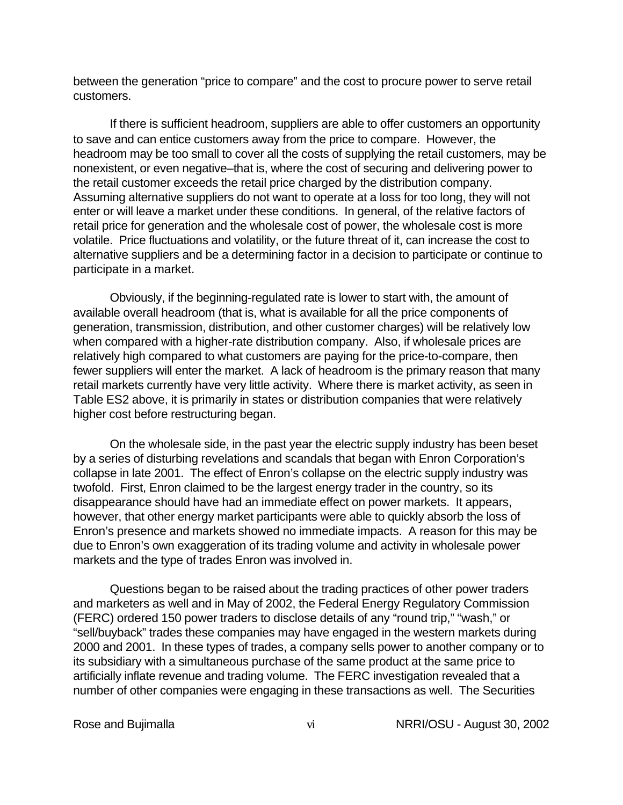between the generation "price to compare" and the cost to procure power to serve retail customers.

If there is sufficient headroom, suppliers are able to offer customers an opportunity to save and can entice customers away from the price to compare. However, the headroom may be too small to cover all the costs of supplying the retail customers, may be nonexistent, or even negative–that is, where the cost of securing and delivering power to the retail customer exceeds the retail price charged by the distribution company. Assuming alternative suppliers do not want to operate at a loss for too long, they will not enter or will leave a market under these conditions. In general, of the relative factors of retail price for generation and the wholesale cost of power, the wholesale cost is more volatile. Price fluctuations and volatility, or the future threat of it, can increase the cost to alternative suppliers and be a determining factor in a decision to participate or continue to participate in a market.

Obviously, if the beginning-regulated rate is lower to start with, the amount of available overall headroom (that is, what is available for all the price components of generation, transmission, distribution, and other customer charges) will be relatively low when compared with a higher-rate distribution company. Also, if wholesale prices are relatively high compared to what customers are paying for the price-to-compare, then fewer suppliers will enter the market. A lack of headroom is the primary reason that many retail markets currently have very little activity. Where there is market activity, as seen in Table ES2 above, it is primarily in states or distribution companies that were relatively higher cost before restructuring began.

On the wholesale side, in the past year the electric supply industry has been beset by a series of disturbing revelations and scandals that began with Enron Corporation's collapse in late 2001. The effect of Enron's collapse on the electric supply industry was twofold. First, Enron claimed to be the largest energy trader in the country, so its disappearance should have had an immediate effect on power markets. It appears, however, that other energy market participants were able to quickly absorb the loss of Enron's presence and markets showed no immediate impacts. A reason for this may be due to Enron's own exaggeration of its trading volume and activity in wholesale power markets and the type of trades Enron was involved in.

Questions began to be raised about the trading practices of other power traders and marketers as well and in May of 2002, the Federal Energy Regulatory Commission (FERC) ordered 150 power traders to disclose details of any "round trip," "wash," or "sell/buyback" trades these companies may have engaged in the western markets during 2000 and 2001. In these types of trades, a company sells power to another company or to its subsidiary with a simultaneous purchase of the same product at the same price to artificially inflate revenue and trading volume. The FERC investigation revealed that a number of other companies were engaging in these transactions as well. The Securities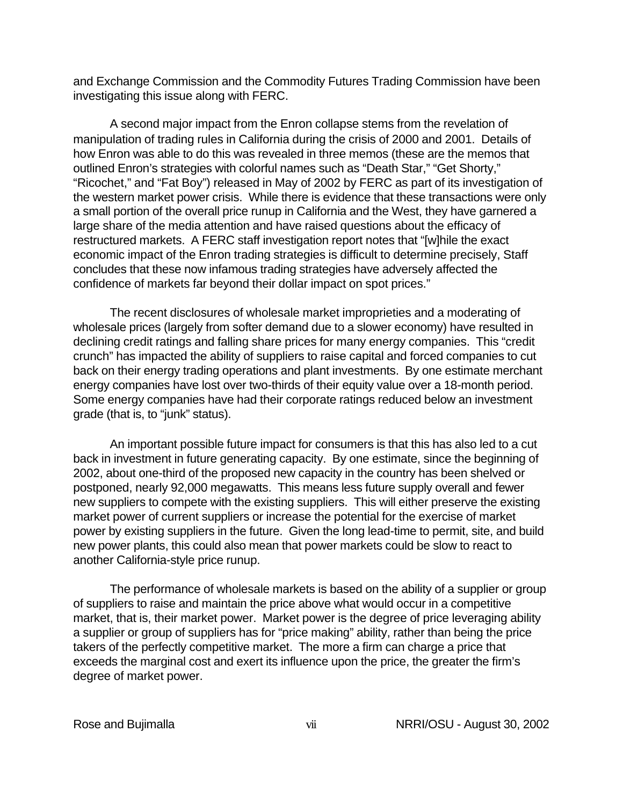and Exchange Commission and the Commodity Futures Trading Commission have been investigating this issue along with FERC.

A second major impact from the Enron collapse stems from the revelation of manipulation of trading rules in California during the crisis of 2000 and 2001. Details of how Enron was able to do this was revealed in three memos (these are the memos that outlined Enron's strategies with colorful names such as "Death Star," "Get Shorty," "Ricochet," and "Fat Boy") released in May of 2002 by FERC as part of its investigation of the western market power crisis. While there is evidence that these transactions were only a small portion of the overall price runup in California and the West, they have garnered a large share of the media attention and have raised questions about the efficacy of restructured markets. A FERC staff investigation report notes that "[w]hile the exact economic impact of the Enron trading strategies is difficult to determine precisely, Staff concludes that these now infamous trading strategies have adversely affected the confidence of markets far beyond their dollar impact on spot prices."

The recent disclosures of wholesale market improprieties and a moderating of wholesale prices (largely from softer demand due to a slower economy) have resulted in declining credit ratings and falling share prices for many energy companies. This "credit crunch" has impacted the ability of suppliers to raise capital and forced companies to cut back on their energy trading operations and plant investments. By one estimate merchant energy companies have lost over two-thirds of their equity value over a 18-month period. Some energy companies have had their corporate ratings reduced below an investment grade (that is, to "junk" status).

An important possible future impact for consumers is that this has also led to a cut back in investment in future generating capacity. By one estimate, since the beginning of 2002, about one-third of the proposed new capacity in the country has been shelved or postponed, nearly 92,000 megawatts. This means less future supply overall and fewer new suppliers to compete with the existing suppliers. This will either preserve the existing market power of current suppliers or increase the potential for the exercise of market power by existing suppliers in the future. Given the long lead-time to permit, site, and build new power plants, this could also mean that power markets could be slow to react to another California-style price runup.

The performance of wholesale markets is based on the ability of a supplier or group of suppliers to raise and maintain the price above what would occur in a competitive market, that is, their market power. Market power is the degree of price leveraging ability a supplier or group of suppliers has for "price making" ability, rather than being the price takers of the perfectly competitive market. The more a firm can charge a price that exceeds the marginal cost and exert its influence upon the price, the greater the firm's degree of market power.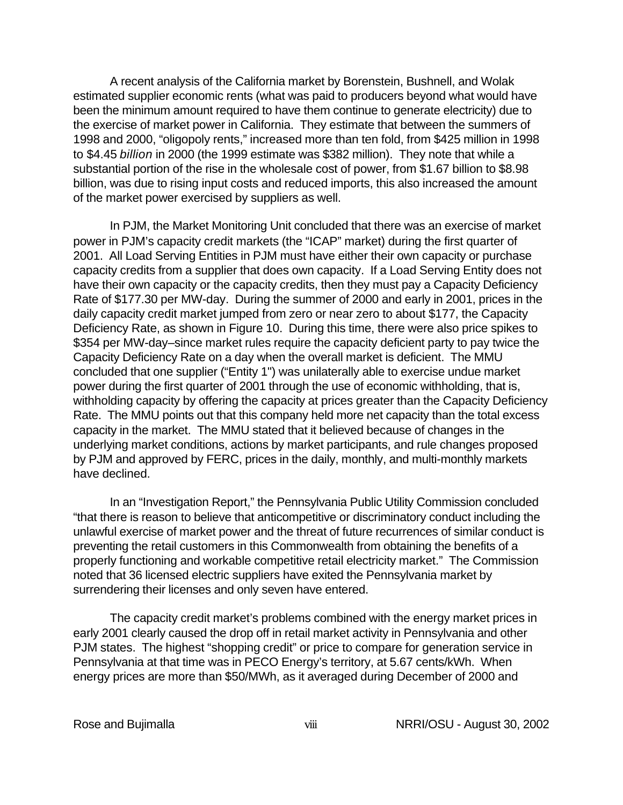A recent analysis of the California market by Borenstein, Bushnell, and Wolak estimated supplier economic rents (what was paid to producers beyond what would have been the minimum amount required to have them continue to generate electricity) due to the exercise of market power in California. They estimate that between the summers of 1998 and 2000, "oligopoly rents," increased more than ten fold, from \$425 million in 1998 to \$4.45 *billion* in 2000 (the 1999 estimate was \$382 million). They note that while a substantial portion of the rise in the wholesale cost of power, from \$1.67 billion to \$8.98 billion, was due to rising input costs and reduced imports, this also increased the amount of the market power exercised by suppliers as well.

In PJM, the Market Monitoring Unit concluded that there was an exercise of market power in PJM's capacity credit markets (the "ICAP" market) during the first quarter of 2001. All Load Serving Entities in PJM must have either their own capacity or purchase capacity credits from a supplier that does own capacity. If a Load Serving Entity does not have their own capacity or the capacity credits, then they must pay a Capacity Deficiency Rate of \$177.30 per MW-day. During the summer of 2000 and early in 2001, prices in the daily capacity credit market jumped from zero or near zero to about \$177, the Capacity Deficiency Rate, as shown in Figure 10. During this time, there were also price spikes to \$354 per MW-day–since market rules require the capacity deficient party to pay twice the Capacity Deficiency Rate on a day when the overall market is deficient. The MMU concluded that one supplier ("Entity 1") was unilaterally able to exercise undue market power during the first quarter of 2001 through the use of economic withholding, that is, withholding capacity by offering the capacity at prices greater than the Capacity Deficiency Rate. The MMU points out that this company held more net capacity than the total excess capacity in the market. The MMU stated that it believed because of changes in the underlying market conditions, actions by market participants, and rule changes proposed by PJM and approved by FERC, prices in the daily, monthly, and multi-monthly markets have declined.

In an "Investigation Report," the Pennsylvania Public Utility Commission concluded "that there is reason to believe that anticompetitive or discriminatory conduct including the unlawful exercise of market power and the threat of future recurrences of similar conduct is preventing the retail customers in this Commonwealth from obtaining the benefits of a properly functioning and workable competitive retail electricity market." The Commission noted that 36 licensed electric suppliers have exited the Pennsylvania market by surrendering their licenses and only seven have entered.

The capacity credit market's problems combined with the energy market prices in early 2001 clearly caused the drop off in retail market activity in Pennsylvania and other PJM states. The highest "shopping credit" or price to compare for generation service in Pennsylvania at that time was in PECO Energy's territory, at 5.67 cents/kWh. When energy prices are more than \$50/MWh, as it averaged during December of 2000 and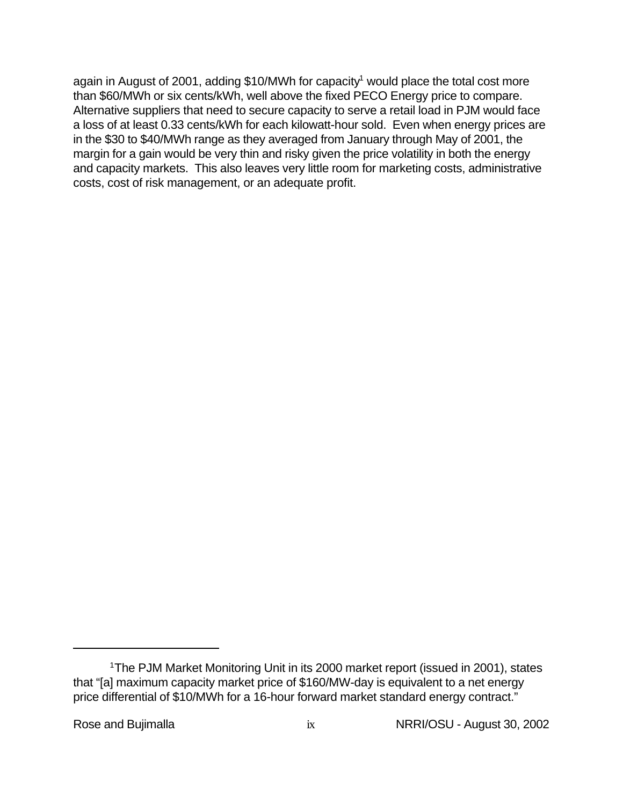again in August of 2001, adding \$10/MWh for capacity<sup>1</sup> would place the total cost more than \$60/MWh or six cents/kWh, well above the fixed PECO Energy price to compare. Alternative suppliers that need to secure capacity to serve a retail load in PJM would face a loss of at least 0.33 cents/kWh for each kilowatt-hour sold. Even when energy prices are in the \$30 to \$40/MWh range as they averaged from January through May of 2001, the margin for a gain would be very thin and risky given the price volatility in both the energy and capacity markets. This also leaves very little room for marketing costs, administrative costs, cost of risk management, or an adequate profit.

<sup>&</sup>lt;sup>1</sup>The PJM Market Monitoring Unit in its 2000 market report (issued in 2001), states that "[a] maximum capacity market price of \$160/MW-day is equivalent to a net energy price differential of \$10/MWh for a 16-hour forward market standard energy contract."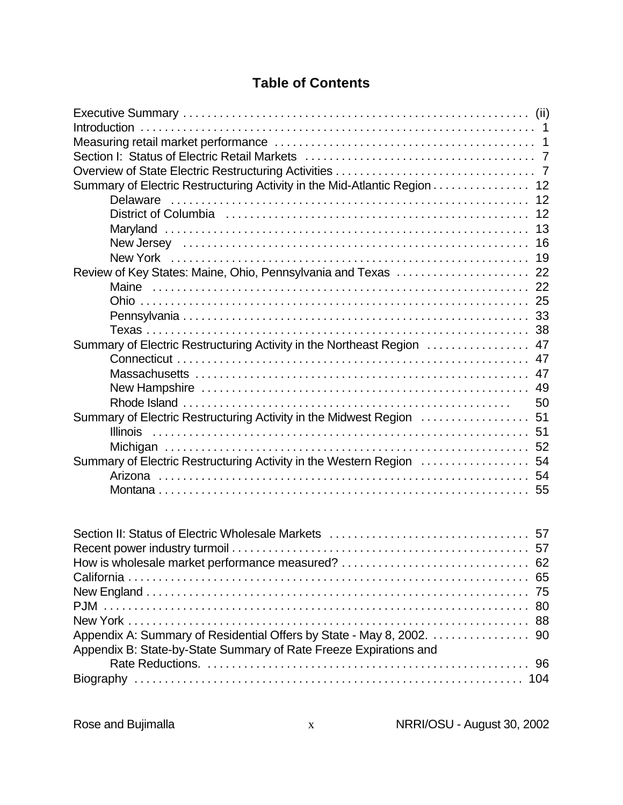# **Table of Contents**

| Summary of Electric Restructuring Activity in the Mid-Atlantic Region 12 |    |
|--------------------------------------------------------------------------|----|
|                                                                          |    |
|                                                                          |    |
|                                                                          |    |
|                                                                          |    |
|                                                                          |    |
|                                                                          |    |
|                                                                          |    |
|                                                                          |    |
|                                                                          |    |
|                                                                          |    |
| Summary of Electric Restructuring Activity in the Northeast Region  47   |    |
|                                                                          |    |
|                                                                          |    |
|                                                                          |    |
|                                                                          | 50 |
| Summary of Electric Restructuring Activity in the Midwest Region  51     |    |
|                                                                          |    |
|                                                                          |    |
| Summary of Electric Restructuring Activity in the Western Region  54     |    |
|                                                                          |    |
|                                                                          |    |
|                                                                          |    |

| Appendix B: State-by-State Summary of Rate Freeze Expirations and |  |
|-------------------------------------------------------------------|--|
|                                                                   |  |
|                                                                   |  |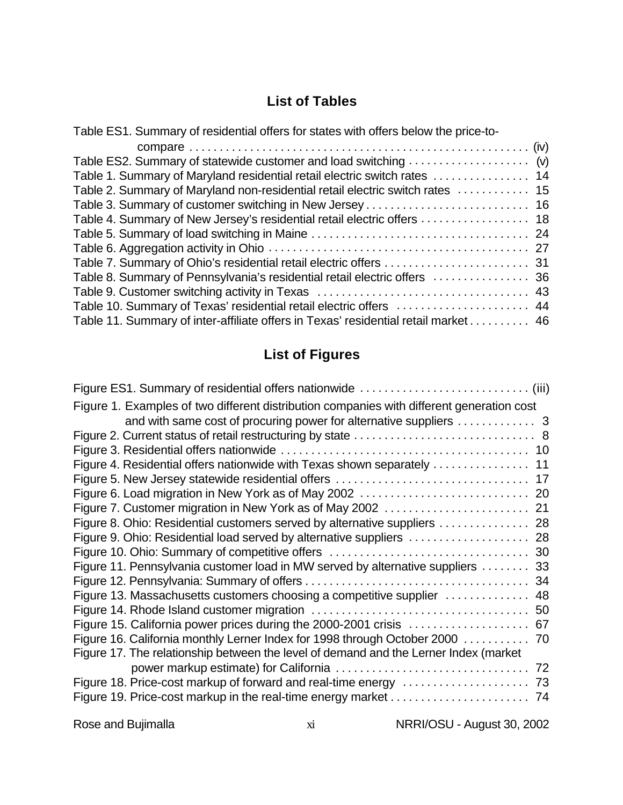# **List of Tables**

| Table ES1. Summary of residential offers for states with offers below the price-to- |  |
|-------------------------------------------------------------------------------------|--|
|                                                                                     |  |
|                                                                                     |  |
| Table 1. Summary of Maryland residential retail electric switch rates  14           |  |
| Table 2. Summary of Maryland non-residential retail electric switch rates  15       |  |
|                                                                                     |  |
|                                                                                     |  |
|                                                                                     |  |
|                                                                                     |  |
|                                                                                     |  |
|                                                                                     |  |
|                                                                                     |  |
| Table 10. Summary of Texas' residential retail electric offers  44                  |  |
| Table 11. Summary of inter-affiliate offers in Texas' residential retail market 46  |  |

# **List of Figures**

| Figure 1. Examples of two different distribution companies with different generation cost |
|-------------------------------------------------------------------------------------------|
|                                                                                           |
|                                                                                           |
|                                                                                           |
|                                                                                           |
|                                                                                           |
|                                                                                           |
|                                                                                           |
| Figure 8. Ohio: Residential customers served by alternative suppliers  28                 |
|                                                                                           |
|                                                                                           |
| Figure 11. Pennsylvania customer load in MW served by alternative suppliers  33           |
|                                                                                           |
| Figure 13. Massachusetts customers choosing a competitive supplier  48                    |
|                                                                                           |
| Figure 15. California power prices during the 2000-2001 crisis  67                        |
| Figure 16. California monthly Lerner Index for 1998 through October 2000 70               |
| Figure 17. The relationship between the level of demand and the Lerner Index (market      |
|                                                                                           |
|                                                                                           |
|                                                                                           |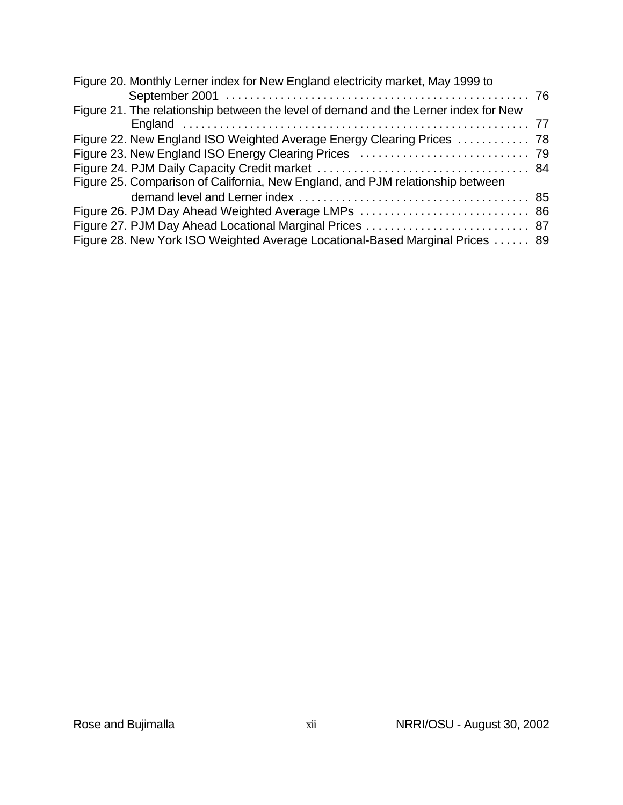| Figure 20. Monthly Lerner index for New England electricity market, May 1999 to      |  |
|--------------------------------------------------------------------------------------|--|
|                                                                                      |  |
| Figure 21. The relationship between the level of demand and the Lerner index for New |  |
|                                                                                      |  |
| Figure 22. New England ISO Weighted Average Energy Clearing Prices  78               |  |
|                                                                                      |  |
|                                                                                      |  |
| Figure 25. Comparison of California, New England, and PJM relationship between       |  |
|                                                                                      |  |
|                                                                                      |  |
| Figure 27. PJM Day Ahead Locational Marginal Prices  87                              |  |
| Figure 28. New York ISO Weighted Average Locational-Based Marginal Prices  89        |  |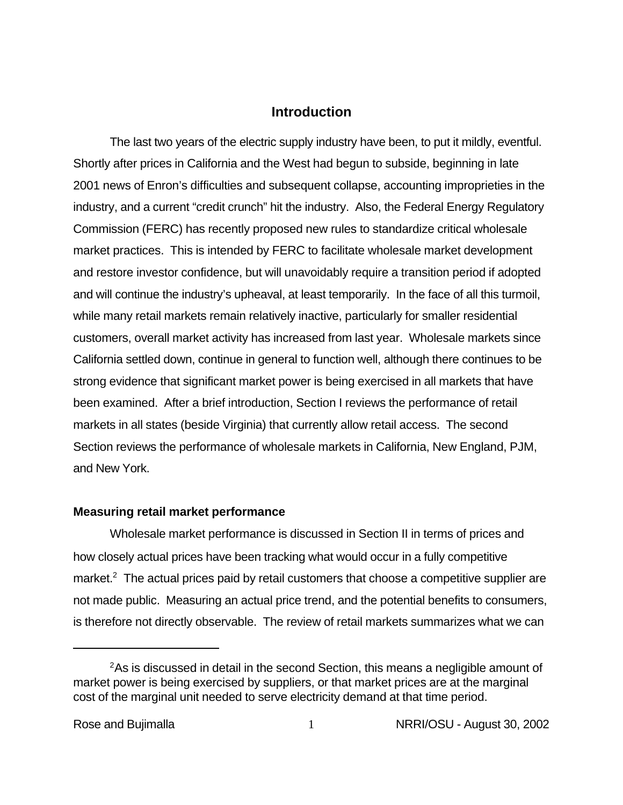## **Introduction**

The last two years of the electric supply industry have been, to put it mildly, eventful. Shortly after prices in California and the West had begun to subside, beginning in late 2001 news of Enron's difficulties and subsequent collapse, accounting improprieties in the industry, and a current "credit crunch" hit the industry. Also, the Federal Energy Regulatory Commission (FERC) has recently proposed new rules to standardize critical wholesale market practices. This is intended by FERC to facilitate wholesale market development and restore investor confidence, but will unavoidably require a transition period if adopted and will continue the industry's upheaval, at least temporarily. In the face of all this turmoil, while many retail markets remain relatively inactive, particularly for smaller residential customers, overall market activity has increased from last year. Wholesale markets since California settled down, continue in general to function well, although there continues to be strong evidence that significant market power is being exercised in all markets that have been examined. After a brief introduction, Section I reviews the performance of retail markets in all states (beside Virginia) that currently allow retail access. The second Section reviews the performance of wholesale markets in California, New England, PJM, and New York.

#### **Measuring retail market performance**

Wholesale market performance is discussed in Section II in terms of prices and how closely actual prices have been tracking what would occur in a fully competitive market. $2$  The actual prices paid by retail customers that choose a competitive supplier are not made public. Measuring an actual price trend, and the potential benefits to consumers, is therefore not directly observable. The review of retail markets summarizes what we can

<sup>&</sup>lt;sup>2</sup>As is discussed in detail in the second Section, this means a negligible amount of market power is being exercised by suppliers, or that market prices are at the marginal cost of the marginal unit needed to serve electricity demand at that time period.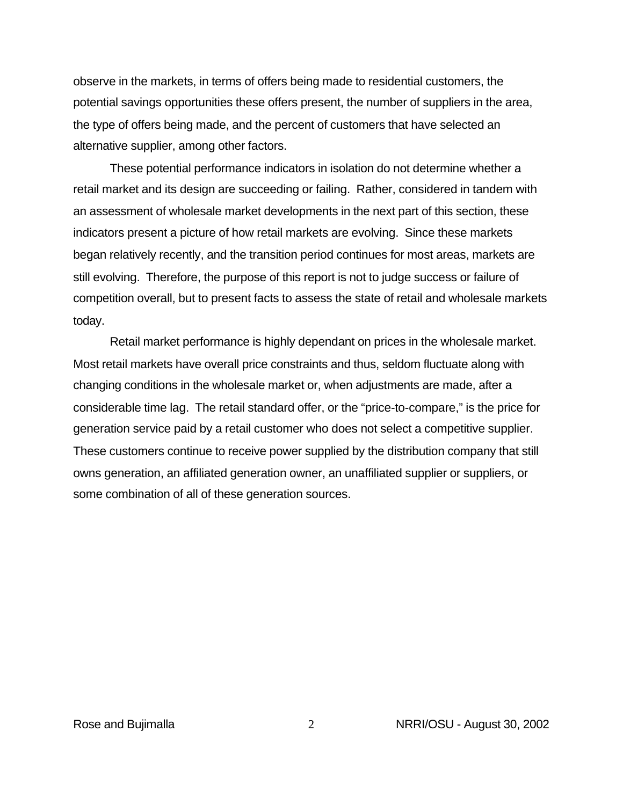observe in the markets, in terms of offers being made to residential customers, the potential savings opportunities these offers present, the number of suppliers in the area, the type of offers being made, and the percent of customers that have selected an alternative supplier, among other factors.

These potential performance indicators in isolation do not determine whether a retail market and its design are succeeding or failing. Rather, considered in tandem with an assessment of wholesale market developments in the next part of this section, these indicators present a picture of how retail markets are evolving. Since these markets began relatively recently, and the transition period continues for most areas, markets are still evolving. Therefore, the purpose of this report is not to judge success or failure of competition overall, but to present facts to assess the state of retail and wholesale markets today.

Retail market performance is highly dependant on prices in the wholesale market. Most retail markets have overall price constraints and thus, seldom fluctuate along with changing conditions in the wholesale market or, when adjustments are made, after a considerable time lag. The retail standard offer, or the "price-to-compare," is the price for generation service paid by a retail customer who does not select a competitive supplier. These customers continue to receive power supplied by the distribution company that still owns generation, an affiliated generation owner, an unaffiliated supplier or suppliers, or some combination of all of these generation sources.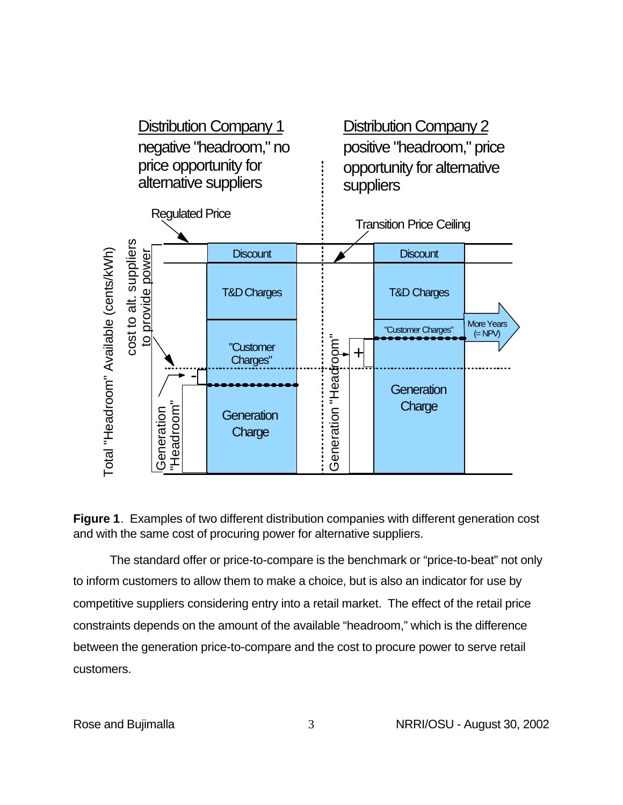

**Figure 1**. Examples of two different distribution companies with different generation cost and with the same cost of procuring power for alternative suppliers.

The standard offer or price-to-compare is the benchmark or "price-to-beat" not only to inform customers to allow them to make a choice, but is also an indicator for use by competitive suppliers considering entry into a retail market. The effect of the retail price constraints depends on the amount of the available "headroom," which is the difference between the generation price-to-compare and the cost to procure power to serve retail customers.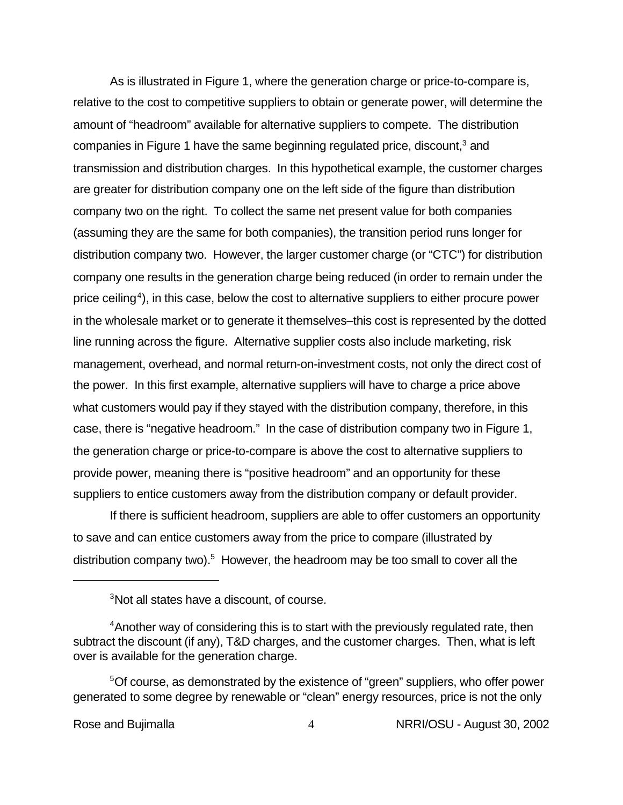As is illustrated in Figure 1, where the generation charge or price-to-compare is, relative to the cost to competitive suppliers to obtain or generate power, will determine the amount of "headroom" available for alternative suppliers to compete. The distribution companies in Figure 1 have the same beginning regulated price, discount,<sup>3</sup> and transmission and distribution charges. In this hypothetical example, the customer charges are greater for distribution company one on the left side of the figure than distribution company two on the right. To collect the same net present value for both companies (assuming they are the same for both companies), the transition period runs longer for distribution company two. However, the larger customer charge (or "CTC") for distribution company one results in the generation charge being reduced (in order to remain under the price ceiling<sup>4</sup>), in this case, below the cost to alternative suppliers to either procure power in the wholesale market or to generate it themselves–this cost is represented by the dotted line running across the figure. Alternative supplier costs also include marketing, risk management, overhead, and normal return-on-investment costs, not only the direct cost of the power. In this first example, alternative suppliers will have to charge a price above what customers would pay if they stayed with the distribution company, therefore, in this case, there is "negative headroom." In the case of distribution company two in Figure 1, the generation charge or price-to-compare is above the cost to alternative suppliers to provide power, meaning there is "positive headroom" and an opportunity for these suppliers to entice customers away from the distribution company or default provider.

If there is sufficient headroom, suppliers are able to offer customers an opportunity to save and can entice customers away from the price to compare (illustrated by distribution company two).<sup>5</sup> However, the headroom may be too small to cover all the

<sup>&</sup>lt;sup>3</sup>Not all states have a discount, of course.

<sup>&</sup>lt;sup>4</sup> Another way of considering this is to start with the previously regulated rate, then subtract the discount (if any), T&D charges, and the customer charges. Then, what is left over is available for the generation charge.

<sup>&</sup>lt;sup>5</sup>Of course, as demonstrated by the existence of "green" suppliers, who offer power generated to some degree by renewable or "clean" energy resources, price is not the only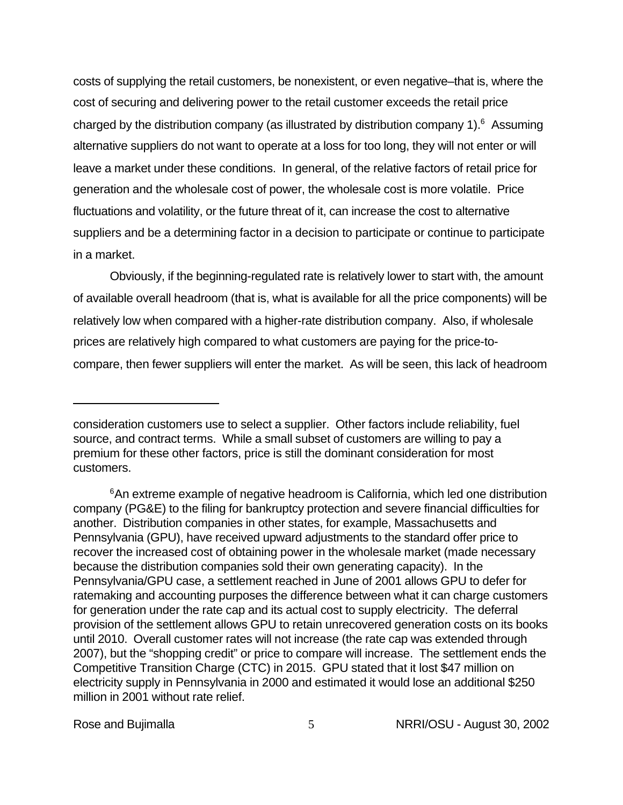costs of supplying the retail customers, be nonexistent, or even negative–that is, where the cost of securing and delivering power to the retail customer exceeds the retail price charged by the distribution company (as illustrated by distribution company 1). $<sup>6</sup>$  Assuming</sup> alternative suppliers do not want to operate at a loss for too long, they will not enter or will leave a market under these conditions. In general, of the relative factors of retail price for generation and the wholesale cost of power, the wholesale cost is more volatile. Price fluctuations and volatility, or the future threat of it, can increase the cost to alternative suppliers and be a determining factor in a decision to participate or continue to participate in a market.

Obviously, if the beginning-regulated rate is relatively lower to start with, the amount of available overall headroom (that is, what is available for all the price components) will be relatively low when compared with a higher-rate distribution company. Also, if wholesale prices are relatively high compared to what customers are paying for the price-tocompare, then fewer suppliers will enter the market. As will be seen, this lack of headroom

consideration customers use to select a supplier. Other factors include reliability, fuel source, and contract terms. While a small subset of customers are willing to pay a premium for these other factors, price is still the dominant consideration for most customers.

<sup>&</sup>lt;sup>6</sup>An extreme example of negative headroom is California, which led one distribution company (PG&E) to the filing for bankruptcy protection and severe financial difficulties for another. Distribution companies in other states, for example, Massachusetts and Pennsylvania (GPU), have received upward adjustments to the standard offer price to recover the increased cost of obtaining power in the wholesale market (made necessary because the distribution companies sold their own generating capacity). In the Pennsylvania/GPU case, a settlement reached in June of 2001 allows GPU to defer for ratemaking and accounting purposes the difference between what it can charge customers for generation under the rate cap and its actual cost to supply electricity. The deferral provision of the settlement allows GPU to retain unrecovered generation costs on its books until 2010. Overall customer rates will not increase (the rate cap was extended through 2007), but the "shopping credit" or price to compare will increase. The settlement ends the Competitive Transition Charge (CTC) in 2015. GPU stated that it lost \$47 million on electricity supply in Pennsylvania in 2000 and estimated it would lose an additional \$250 million in 2001 without rate relief.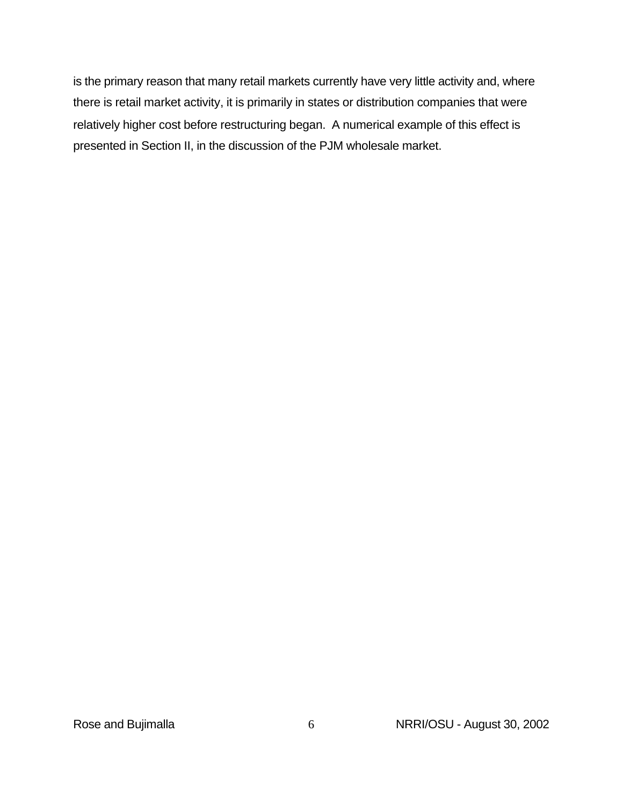is the primary reason that many retail markets currently have very little activity and, where there is retail market activity, it is primarily in states or distribution companies that were relatively higher cost before restructuring began. A numerical example of this effect is presented in Section II, in the discussion of the PJM wholesale market.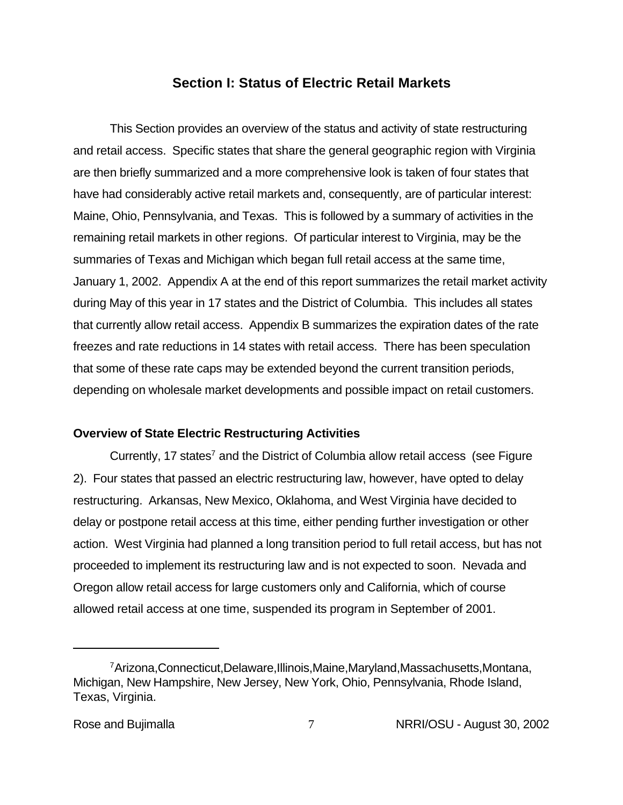# **Section I: Status of Electric Retail Markets**

This Section provides an overview of the status and activity of state restructuring and retail access. Specific states that share the general geographic region with Virginia are then briefly summarized and a more comprehensive look is taken of four states that have had considerably active retail markets and, consequently, are of particular interest: Maine, Ohio, Pennsylvania, and Texas. This is followed by a summary of activities in the remaining retail markets in other regions. Of particular interest to Virginia, may be the summaries of Texas and Michigan which began full retail access at the same time, January 1, 2002. Appendix A at the end of this report summarizes the retail market activity during May of this year in 17 states and the District of Columbia. This includes all states that currently allow retail access. Appendix B summarizes the expiration dates of the rate freezes and rate reductions in 14 states with retail access. There has been speculation that some of these rate caps may be extended beyond the current transition periods, depending on wholesale market developments and possible impact on retail customers.

#### **Overview of State Electric Restructuring Activities**

Currently, 17 states<sup>7</sup> and the District of Columbia allow retail access (see Figure 2). Four states that passed an electric restructuring law, however, have opted to delay restructuring. Arkansas, New Mexico, Oklahoma, and West Virginia have decided to delay or postpone retail access at this time, either pending further investigation or other action. West Virginia had planned a long transition period to full retail access, but has not proceeded to implement its restructuring law and is not expected to soon. Nevada and Oregon allow retail access for large customers only and California, which of course allowed retail access at one time, suspended its program in September of 2001.

<sup>7</sup>Arizona,Connecticut,Delaware,Illinois,Maine,Maryland,Massachusetts,Montana, Michigan, New Hampshire, New Jersey, New York, Ohio, Pennsylvania, Rhode Island, Texas, Virginia.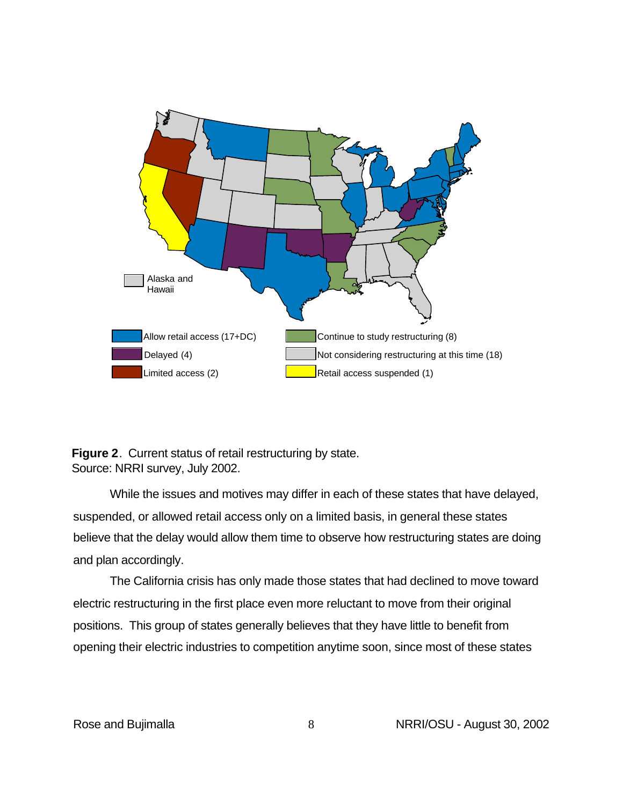

**Figure 2**. Current status of retail restructuring by state. Source: NRRI survey, July 2002.

While the issues and motives may differ in each of these states that have delayed, suspended, or allowed retail access only on a limited basis, in general these states believe that the delay would allow them time to observe how restructuring states are doing and plan accordingly.

The California crisis has only made those states that had declined to move toward electric restructuring in the first place even more reluctant to move from their original positions. This group of states generally believes that they have little to benefit from opening their electric industries to competition anytime soon, since most of these states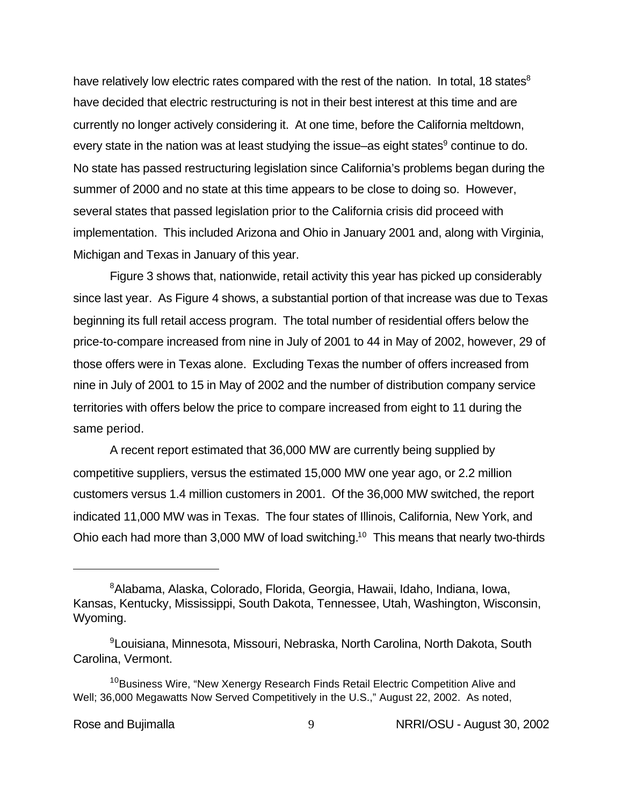have relatively low electric rates compared with the rest of the nation. In total, 18 states  $8$ have decided that electric restructuring is not in their best interest at this time and are currently no longer actively considering it. At one time, before the California meltdown, every state in the nation was at least studying the issue–as eight states<sup>9</sup> continue to do. No state has passed restructuring legislation since California's problems began during the summer of 2000 and no state at this time appears to be close to doing so. However, several states that passed legislation prior to the California crisis did proceed with implementation. This included Arizona and Ohio in January 2001 and, along with Virginia, Michigan and Texas in January of this year.

Figure 3 shows that, nationwide, retail activity this year has picked up considerably since last year. As Figure 4 shows, a substantial portion of that increase was due to Texas beginning its full retail access program. The total number of residential offers below the price-to-compare increased from nine in July of 2001 to 44 in May of 2002, however, 29 of those offers were in Texas alone. Excluding Texas the number of offers increased from nine in July of 2001 to 15 in May of 2002 and the number of distribution company service territories with offers below the price to compare increased from eight to 11 during the same period.

A recent report estimated that 36,000 MW are currently being supplied by competitive suppliers, versus the estimated 15,000 MW one year ago, or 2.2 million customers versus 1.4 million customers in 2001. Of the 36,000 MW switched, the report indicated 11,000 MW was in Texas. The four states of Illinois, California, New York, and Ohio each had more than 3,000 MW of load switching.<sup>10</sup> This means that nearly two-thirds

<sup>8</sup>Alabama, Alaska, Colorado, Florida, Georgia, Hawaii, Idaho, Indiana, Iowa, Kansas, Kentucky, Mississippi, South Dakota, Tennessee, Utah, Washington, Wisconsin, Wyoming.

<sup>9</sup>Louisiana, Minnesota, Missouri, Nebraska, North Carolina, North Dakota, South Carolina, Vermont.

<sup>&</sup>lt;sup>10</sup>Business Wire, "New Xenergy Research Finds Retail Electric Competition Alive and Well; 36,000 Megawatts Now Served Competitively in the U.S.," August 22, 2002. As noted,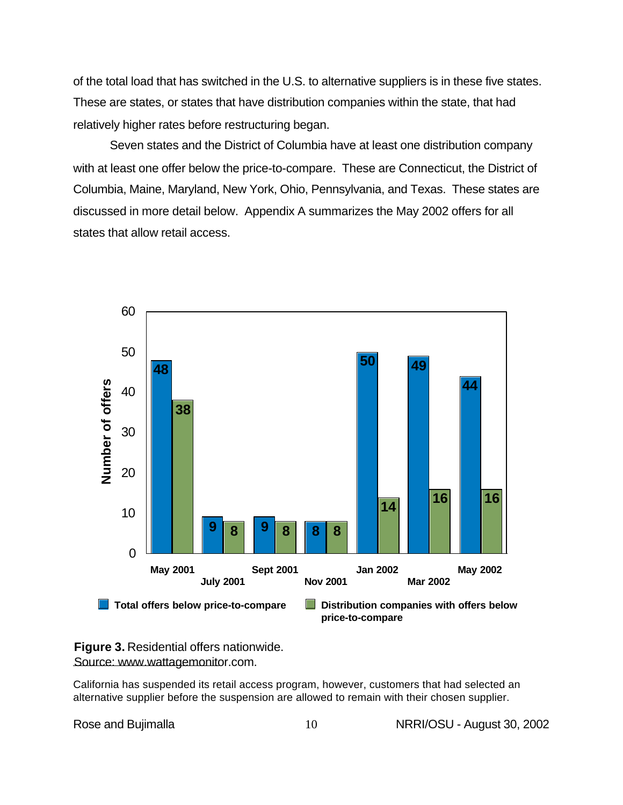of the total load that has switched in the U.S. to alternative suppliers is in these five states. These are states, or states that have distribution companies within the state, that had relatively higher rates before restructuring began.

Seven states and the District of Columbia have at least one distribution company with at least one offer below the price-to-compare. These are Connecticut, the District of Columbia, Maine, Maryland, New York, Ohio, Pennsylvania, and Texas. These states are discussed in more detail below. Appendix A summarizes the May 2002 offers for all states that allow retail access.



**Figure 3.** Residential offers nationwide. Source: www.wattagemonitor.com.

California has suspended its retail access program, however, customers that had selected an alternative supplier before the suspension are allowed to remain with their chosen supplier.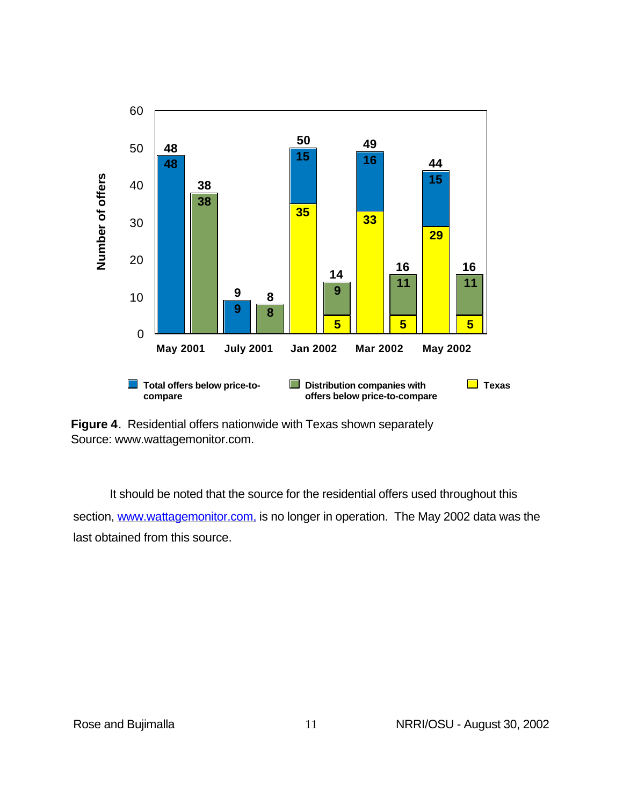

**Figure 4**. Residential offers nationwide with Texas shown separately Source: www.wattagemonitor.com.

It should be noted that the source for the residential offers used throughout this section, www.wattagemonitor.com, is no longer in operation. The May 2002 data was the last obtained from this source.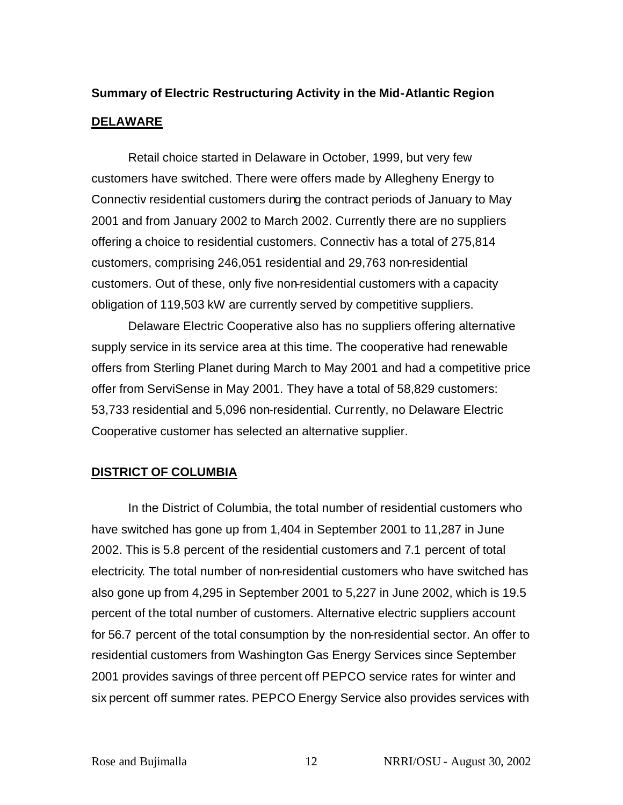# **Summary of Electric Restructuring Activity in the Mid-Atlantic Region DELAWARE**

Retail choice started in Delaware in October, 1999, but very few customers have switched. There were offers made by Allegheny Energy to Connectiv residential customers during the contract periods of January to May 2001 and from January 2002 to March 2002. Currently there are no suppliers offering a choice to residential customers. Connectiv has a total of 275,814 customers, comprising 246,051 residential and 29,763 non-residential customers. Out of these, only five non-residential customers with a capacity obligation of 119,503 kW are currently served by competitive suppliers.

Delaware Electric Cooperative also has no suppliers offering alternative supply service in its service area at this time. The cooperative had renewable offers from Sterling Planet during March to May 2001 and had a competitive price offer from ServiSense in May 2001. They have a total of 58,829 customers: 53,733 residential and 5,096 non-residential. Currently, no Delaware Electric Cooperative customer has selected an alternative supplier.

# **DISTRICT OF COLUMBIA**

In the District of Columbia, the total number of residential customers who have switched has gone up from 1,404 in September 2001 to 11,287 in June 2002. This is 5.8 percent of the residential customers and 7.1 percent of total electricity. The total number of non-residential customers who have switched has also gone up from 4,295 in September 2001 to 5,227 in June 2002, which is 19.5 percent of the total number of customers. Alternative electric suppliers account for 56.7 percent of the total consumption by the non-residential sector. An offer to residential customers from Washington Gas Energy Services since September 2001 provides savings of three percent off PEPCO service rates for winter and six percent off summer rates. PEPCO Energy Service also provides services with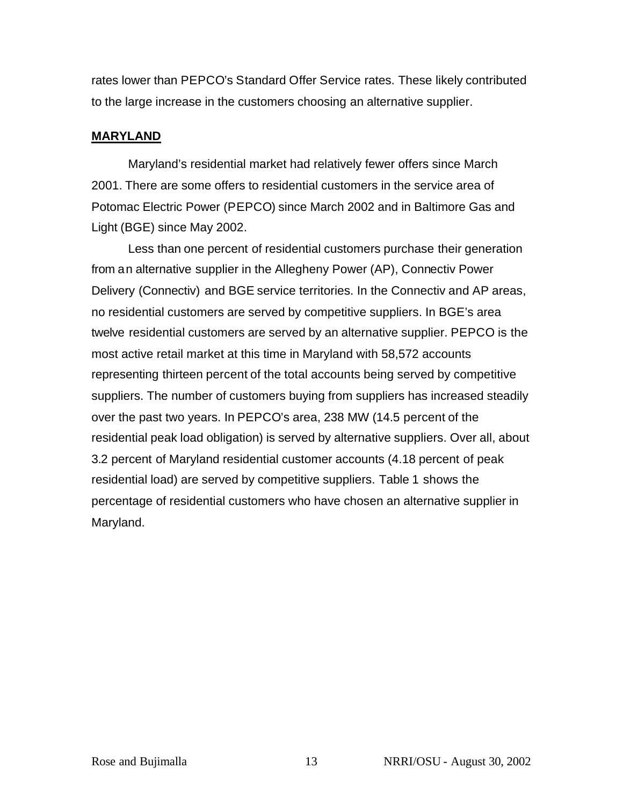rates lower than PEPCO's Standard Offer Service rates. These likely contributed to the large increase in the customers choosing an alternative supplier.

### **MARYLAND**

Maryland's residential market had relatively fewer offers since March 2001. There are some offers to residential customers in the service area of Potomac Electric Power (PEPCO) since March 2002 and in Baltimore Gas and Light (BGE) since May 2002.

Less than one percent of residential customers purchase their generation from an alternative supplier in the Allegheny Power (AP), Connectiv Power Delivery (Connectiv) and BGE service territories. In the Connectiv and AP areas, no residential customers are served by competitive suppliers. In BGE's area twelve residential customers are served by an alternative supplier. PEPCO is the most active retail market at this time in Maryland with 58,572 accounts representing thirteen percent of the total accounts being served by competitive suppliers. The number of customers buying from suppliers has increased steadily over the past two years. In PEPCO's area, 238 MW (14.5 percent of the residential peak load obligation) is served by alternative suppliers. Over all, about 3.2 percent of Maryland residential customer accounts (4.18 percent of peak residential load) are served by competitive suppliers. Table 1 shows the percentage of residential customers who have chosen an alternative supplier in Maryland.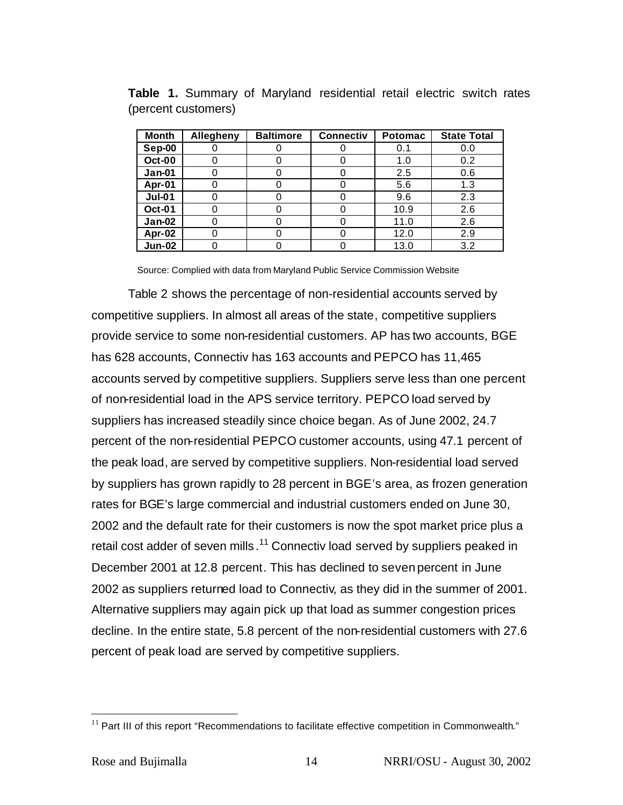| <b>Month</b>  | Allegheny | <b>Baltimore</b> | <b>Connectiv</b> | <b>Potomac</b> | <b>State Total</b> |
|---------------|-----------|------------------|------------------|----------------|--------------------|
| Sep-00        |           |                  |                  | 0.1            | 0.0                |
| <b>Oct-00</b> |           |                  | O                | 1.0            | 0.2                |
| Jan-01        |           |                  |                  | 2.5            | 0.6                |
| Apr-01        |           |                  | O                | 5.6            | 1.3                |
| <b>Jul-01</b> |           |                  |                  | 9.6            | 2.3                |
| <b>Oct-01</b> |           |                  | 0                | 10.9           | 2.6                |
| $Jan-02$      |           |                  | O                | 11.0           | 2.6                |
| Apr-02        |           |                  | 0                | 12.0           | 2.9                |
| <b>Jun-02</b> |           |                  |                  | 13.0           | 3.2                |

**Table 1.** Summary of Maryland residential retail electric switch rates (percent customers)

Source: Complied with data from Maryland Public Service Commission Website

Table 2 shows the percentage of non-residential accounts served by competitive suppliers. In almost all areas of the state, competitive suppliers provide service to some non-residential customers. AP has two accounts, BGE has 628 accounts, Connectiv has 163 accounts and PEPCO has 11,465 accounts served by competitive suppliers. Suppliers serve less than one percent of non-residential load in the APS service territory. PEPCO load served by suppliers has increased steadily since choice began. As of June 2002, 24.7 percent of the non-residential PEPCO customer accounts, using 47.1 percent of the peak load, are served by competitive suppliers. Non-residential load served by suppliers has grown rapidly to 28 percent in BGE's area, as frozen generation rates for BGE's large commercial and industrial customers ended on June 30, 2002 and the default rate for their customers is now the spot market price plus a retail cost adder of seven mills.<sup>11</sup> Connectiv load served by suppliers peaked in December 2001 at 12.8 percent. This has declined to seven percent in June 2002 as suppliers returned load to Connectiv, as they did in the summer of 2001. Alternative suppliers may again pick up that load as summer congestion prices decline. In the entire state, 5.8 percent of the non-residential customers with 27.6 percent of peak load are served by competitive suppliers.

 $\overline{a}$ 

 $11$  Part III of this report "Recommendations to facilitate effective competition in Commonwealth."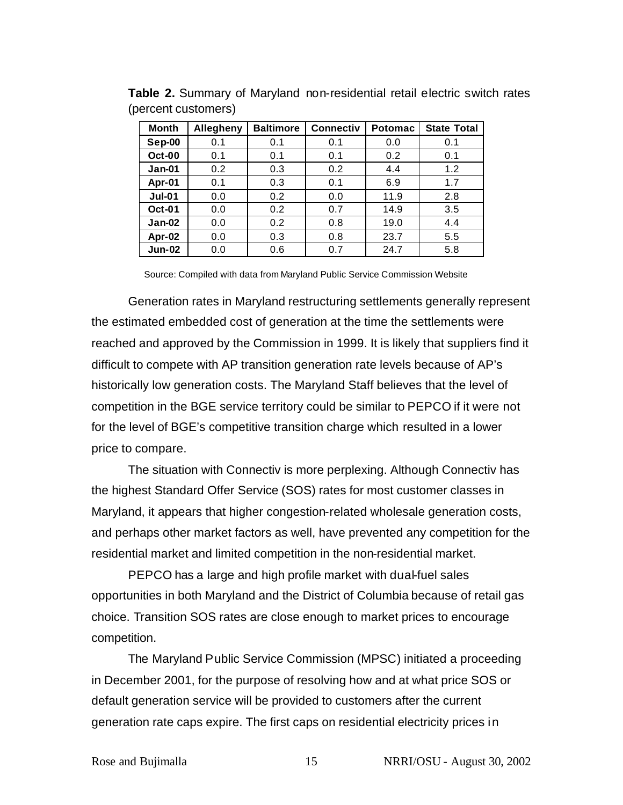| <b>Month</b>  | <b>Allegheny</b> | <b>Baltimore</b> | <b>Connectiv</b> | <b>Potomac</b> | <b>State Total</b> |
|---------------|------------------|------------------|------------------|----------------|--------------------|
| Sep-00        | 0.1              | 0.1              | 0.1              | 0.0            | 0.1                |
| Oct-00        | 0.1              | 0.1              | 0.1              | 0.2            | 0.1                |
| $Jan-01$      | 0.2              | 0.3              | 0.2              | 4.4            | 1.2                |
| Apr-01        | 0.1              | 0.3              | 0.1              | 6.9            | 1.7                |
| <b>Jul-01</b> | 0.0              | 0.2              | 0.0              | 11.9           | 2.8                |
| <b>Oct-01</b> | 0.0              | 0.2              | 0.7              | 14.9           | 3.5                |
| $Jan-02$      | 0.0              | 0.2              | 0.8              | 19.0           | 4.4                |
| Apr-02        | 0.0              | 0.3              | 0.8              | 23.7           | 5.5                |
| <b>Jun-02</b> | 0.0              | 0.6              | 0.7              | 24.7           | 5.8                |

**Table 2.** Summary of Maryland non-residential retail electric switch rates (percent customers)

Source: Compiled with data from Maryland Public Service Commission Website

Generation rates in Maryland restructuring settlements generally represent the estimated embedded cost of generation at the time the settlements were reached and approved by the Commission in 1999. It is likely that suppliers find it difficult to compete with AP transition generation rate levels because of AP's historically low generation costs. The Maryland Staff believes that the level of competition in the BGE service territory could be similar to PEPCO if it were not for the level of BGE's competitive transition charge which resulted in a lower price to compare.

The situation with Connectiv is more perplexing. Although Connectiv has the highest Standard Offer Service (SOS) rates for most customer classes in Maryland, it appears that higher congestion-related wholesale generation costs, and perhaps other market factors as well, have prevented any competition for the residential market and limited competition in the non-residential market.

PEPCO has a large and high profile market with dual-fuel sales opportunities in both Maryland and the District of Columbia because of retail gas choice. Transition SOS rates are close enough to market prices to encourage competition.

The Maryland Public Service Commission (MPSC) initiated a proceeding in December 2001, for the purpose of resolving how and at what price SOS or default generation service will be provided to customers after the current generation rate caps expire. The first caps on residential electricity prices in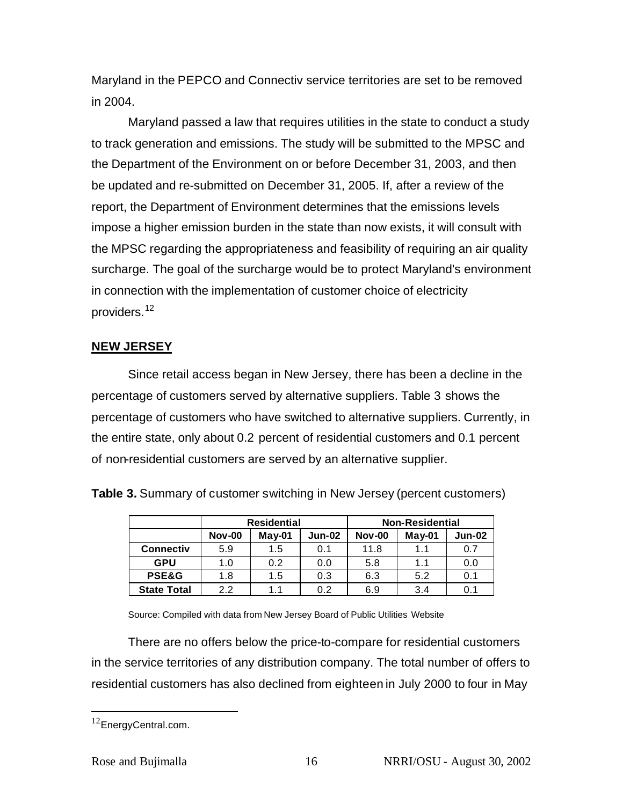Maryland in the PEPCO and Connectiv service territories are set to be removed in 2004.

Maryland passed a law that requires utilities in the state to conduct a study to track generation and emissions. The study will be submitted to the MPSC and the Department of the Environment on or before December 31, 2003, and then be updated and re-submitted on December 31, 2005. If, after a review of the report, the Department of Environment determines that the emissions levels impose a higher emission burden in the state than now exists, it will consult with the MPSC regarding the appropriateness and feasibility of requiring an air quality surcharge. The goal of the surcharge would be to protect Maryland's environment in connection with the implementation of customer choice of electricity providers.<sup>12</sup>

# **NEW JERSEY**

Since retail access began in New Jersey, there has been a decline in the percentage of customers served by alternative suppliers. Table 3 shows the percentage of customers who have switched to alternative suppliers. Currently, in the entire state, only about 0.2 percent of residential customers and 0.1 percent of non-residential customers are served by an alternative supplier.

**Table 3.** Summary of customer switching in New Jersey (percent customers)

|                    |               | <b>Residential</b> |               | <b>Non-Residential</b> |          |               |  |
|--------------------|---------------|--------------------|---------------|------------------------|----------|---------------|--|
|                    | <b>Nov-00</b> | $May-01$           | <b>Jun-02</b> | <b>Nov-00</b>          | $May-01$ | <b>Jun-02</b> |  |
| <b>Connectiv</b>   | 5.9           | 1.5                | 0.1           | 11.8                   | 1.1      | 0.7           |  |
| <b>GPU</b>         | 1.0           | 0.2                | 0.0           | 5.8                    | 1.1      | 0.0           |  |
| <b>PSE&amp;G</b>   | 1.8           | 1.5                | 0.3           | 6.3                    | 5.2      | 0.1           |  |
| <b>State Total</b> | 2.2           | 1.1                | 0.2           | 6.9                    | 3.4      | 0.1           |  |

Source: Compiled with data from New Jersey Board of Public Utilities Website

There are no offers below the price-to-compare for residential customers in the service territories of any distribution company. The total number of offers to residential customers has also declined from eighteen in July 2000 to four in May

 $\overline{a}$ 

<sup>&</sup>lt;sup>12</sup>EnergyCentral.com.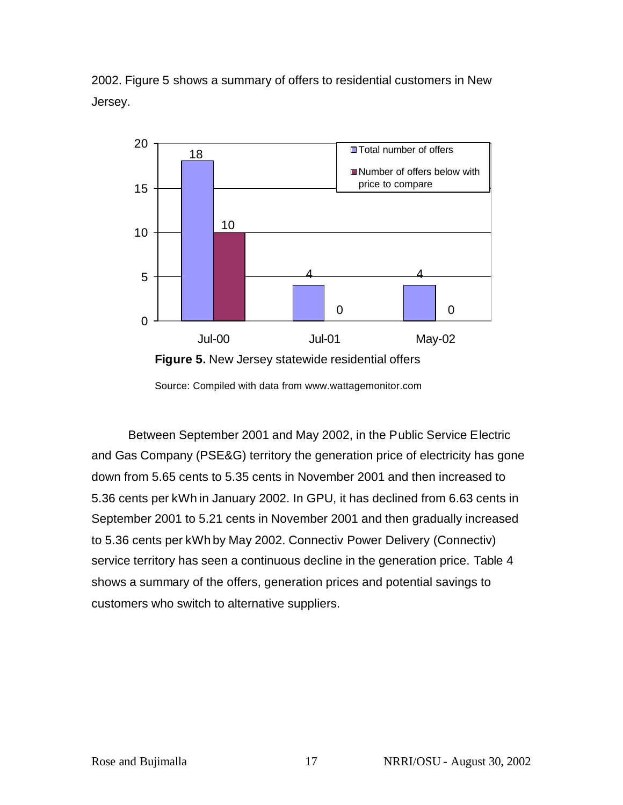



Source: Compiled with data from www.wattagemonitor.com

Between September 2001 and May 2002, in the Public Service Electric and Gas Company (PSE&G) territory the generation price of electricity has gone down from 5.65 cents to 5.35 cents in November 2001 and then increased to 5.36 cents per kWh in January 2002. In GPU, it has declined from 6.63 cents in September 2001 to 5.21 cents in November 2001 and then gradually increased to 5.36 cents per kWh by May 2002. Connectiv Power Delivery (Connectiv) service territory has seen a continuous decline in the generation price. Table 4 shows a summary of the offers, generation prices and potential savings to customers who switch to alternative suppliers.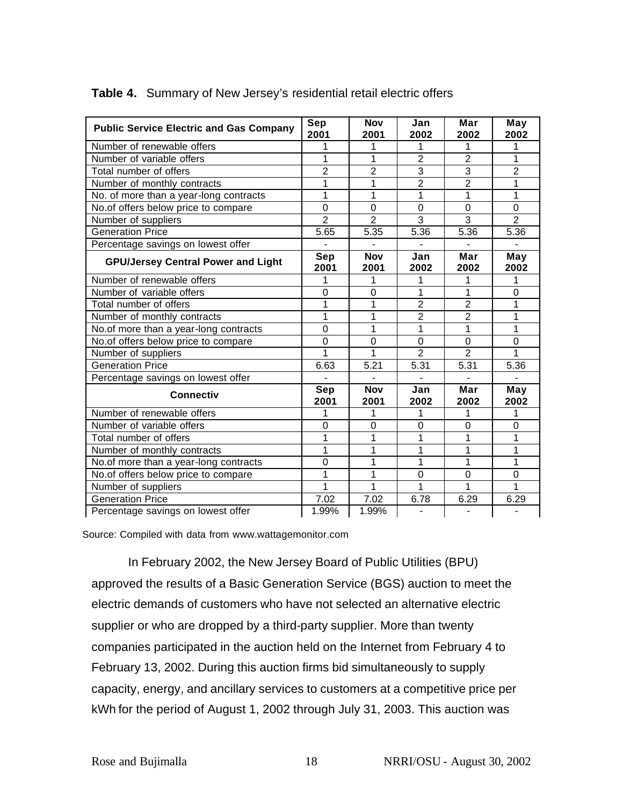| <b>Public Service Electric and Gas Company</b> | Sep<br>2001        | <b>Nov</b><br>2001 | Jan<br>2002    | Mar<br>2002    | May<br>2002    |
|------------------------------------------------|--------------------|--------------------|----------------|----------------|----------------|
| Number of renewable offers                     | 1                  |                    | 1              | 1              |                |
| Number of variable offers                      | 1                  |                    | $\overline{2}$ | $\overline{2}$ | 1              |
| Total number of offers                         | $\overline{2}$     | $\overline{2}$     | $\overline{3}$ | 3              | $\overline{2}$ |
| Number of monthly contracts                    | 1                  |                    | $\overline{2}$ | $\overline{2}$ | 1              |
| No. of more than a year-long contracts         | 1                  |                    | 1              | 1              | 1              |
| No.of offers below price to compare            | 0                  | $\overline{0}$     | 0              | $\overline{0}$ | $\mathbf 0$    |
| Number of suppliers                            | $\overline{2}$     | $\overline{2}$     | $\overline{3}$ | 3              | $\overline{2}$ |
| <b>Generation Price</b>                        | 5.65               | 5.35               | 5.36           | 5.36           | 5.36           |
| Percentage savings on lowest offer             |                    |                    |                |                |                |
| <b>GPU/Jersey Central Power and Light</b>      | <b>Sep</b><br>2001 | <b>Nov</b><br>2001 | Jan<br>2002    | Mar<br>2002    | May<br>2002    |
| Number of renewable offers                     | 1                  | 1                  | 1              |                |                |
| Number of variable offers                      | $\Omega$           | $\Omega$           | 1              | 1              | $\Omega$       |
| Total number of offers                         | 1                  | 1                  | $\overline{2}$ | $\overline{2}$ | 1              |
| Number of monthly contracts                    | 1                  | 1                  | $\overline{2}$ | $\overline{2}$ | 1              |
| No.of more than a year-long contracts          | 0                  | 1                  | 1              | 1              | 1              |
| No.of offers below price to compare            | 0                  | $\mathbf 0$        | $\Omega$       | $\Omega$       | $\Omega$       |
| Number of suppliers                            | 1                  |                    | $\overline{2}$ | $\overline{2}$ |                |
| <b>Generation Price</b>                        | 6.63               | 5.21               | 5.31           | 5.31           | 5.36           |
| Percentage savings on lowest offer             |                    |                    |                |                |                |
| <b>Connectiv</b>                               | Sep<br>2001        | <b>Nov</b><br>2001 | Jan<br>2002    | Mar<br>2002    | May<br>2002    |
| Number of renewable offers                     | 1                  | 1                  | 1              | 1              |                |
| Number of variable offers                      | $\mathbf 0$        | 0                  | 0              | $\overline{0}$ | 0              |
| Total number of offers                         | 1                  |                    | 1              | 1              | 1              |
| Number of monthly contracts                    | 1                  |                    | 1              | 1              | 1              |
| No.of more than a year-long contracts          | 0                  | 1                  | 1              | 1              | 1              |
| No.of offers below price to compare            | 1                  | 1                  | 0              | $\overline{0}$ | $\Omega$       |
| Number of suppliers                            | 1                  | 1                  | 1              | 1              |                |
| <b>Generation Price</b>                        | 7.02               | 7.02               | 6.78           | 6.29           | 6.29           |
| Percentage savings on lowest offer             | 1.99%              | 1.99%              | $\blacksquare$ | $\blacksquare$ |                |

### **Table 4.** Summary of New Jersey's residential retail electric offers

Source: Compiled with data from www.wattagemonitor.com

In February 2002, the New Jersey Board of Public Utilities (BPU) approved the results of a Basic Generation Service (BGS) auction to meet the electric demands of customers who have not selected an alternative electric supplier or who are dropped by a third-party supplier. More than twenty companies participated in the auction held on the Internet from February 4 to February 13, 2002. During this auction firms bid simultaneously to supply capacity, energy, and ancillary services to customers at a competitive price per kWh for the period of August 1, 2002 through July 31, 2003. This auction was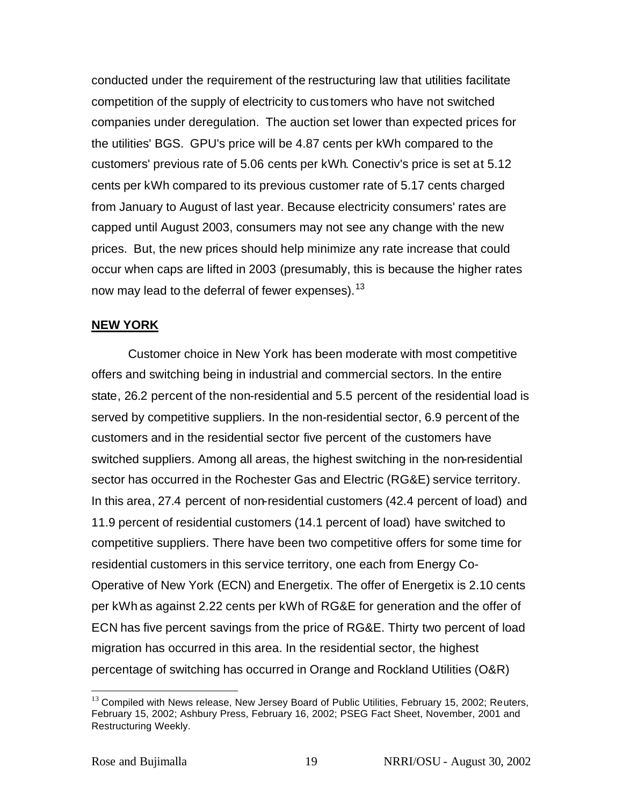conducted under the requirement of the restructuring law that utilities facilitate competition of the supply of electricity to customers who have not switched companies under deregulation. The auction set lower than expected prices for the utilities' BGS. GPU's price will be 4.87 cents per kWh compared to the customers' previous rate of 5.06 cents per kWh. Conectiv's price is set at 5.12 cents per kWh compared to its previous customer rate of 5.17 cents charged from January to August of last year. Because electricity consumers' rates are capped until August 2003, consumers may not see any change with the new prices. But, the new prices should help minimize any rate increase that could occur when caps are lifted in 2003 (presumably, this is because the higher rates now may lead to the deferral of fewer expenses).<sup>13</sup>

#### **NEW YORK**

Customer choice in New York has been moderate with most competitive offers and switching being in industrial and commercial sectors. In the entire state, 26.2 percent of the non-residential and 5.5 percent of the residential load is served by competitive suppliers. In the non-residential sector, 6.9 percent of the customers and in the residential sector five percent of the customers have switched suppliers. Among all areas, the highest switching in the non-residential sector has occurred in the Rochester Gas and Electric (RG&E) service territory. In this area, 27.4 percent of non-residential customers (42.4 percent of load) and 11.9 percent of residential customers (14.1 percent of load) have switched to competitive suppliers. There have been two competitive offers for some time for residential customers in this service territory, one each from Energy Co-Operative of New York (ECN) and Energetix. The offer of Energetix is 2.10 cents per kWh as against 2.22 cents per kWh of RG&E for generation and the offer of ECN has five percent savings from the price of RG&E. Thirty two percent of load migration has occurred in this area. In the residential sector, the highest percentage of switching has occurred in Orange and Rockland Utilities (O&R)

 $\overline{a}$ 

 $13$  Compiled with News release, New Jersey Board of Public Utilities, February 15, 2002; Reuters, February 15, 2002; Ashbury Press, February 16, 2002; PSEG Fact Sheet, November, 2001 and Restructuring Weekly.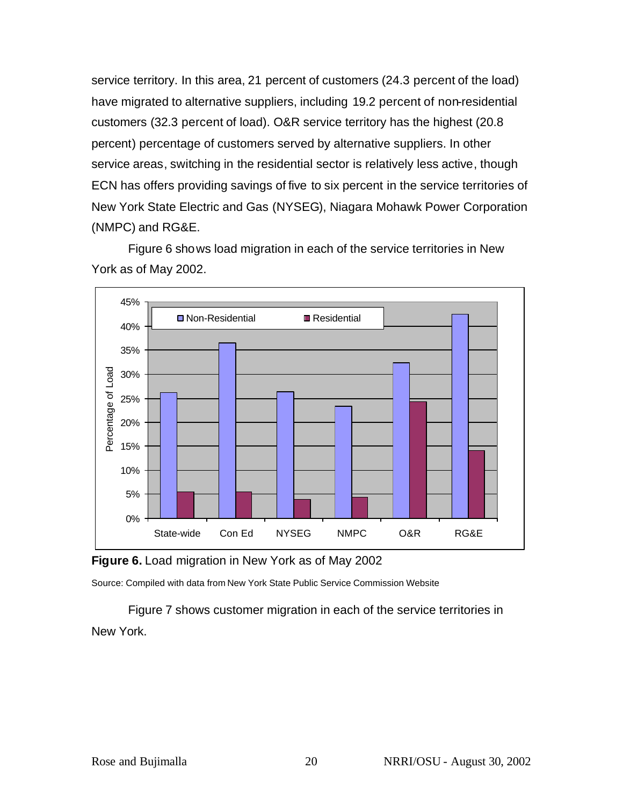service territory. In this area, 21 percent of customers (24.3 percent of the load) have migrated to alternative suppliers, including 19.2 percent of non-residential customers (32.3 percent of load). O&R service territory has the highest (20.8 percent) percentage of customers served by alternative suppliers. In other service areas, switching in the residential sector is relatively less active, though ECN has offers providing savings of five to six percent in the service territories of New York State Electric and Gas (NYSEG), Niagara Mohawk Power Corporation (NMPC) and RG&E.

Figure 6 shows load migration in each of the service territories in New York as of May 2002.



**Figure 6.** Load migration in New York as of May 2002

Source: Compiled with data from New York State Public Service Commission Website

Figure 7 shows customer migration in each of the service territories in New York.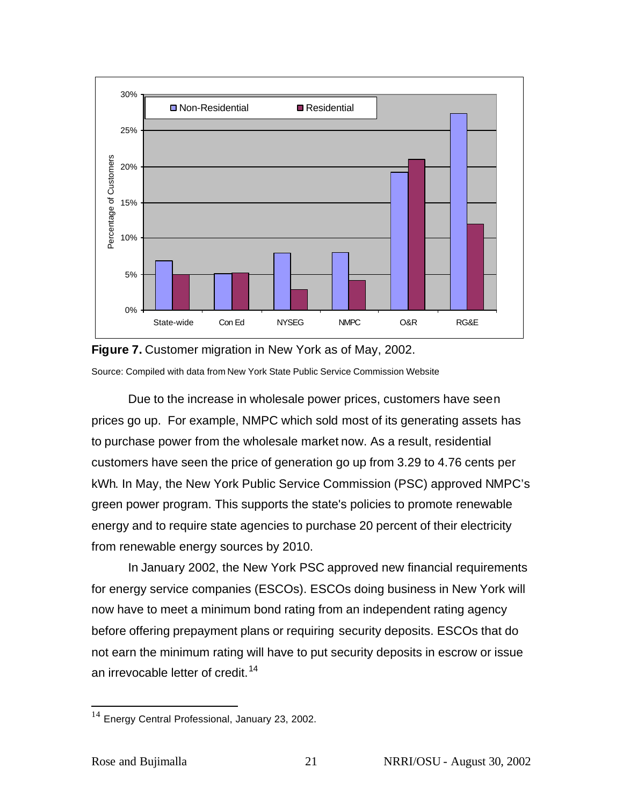



Due to the increase in wholesale power prices, customers have seen prices go up. For example, NMPC which sold most of its generating assets has to purchase power from the wholesale market now. As a result, residential customers have seen the price of generation go up from 3.29 to 4.76 cents per kWh. In May, the New York Public Service Commission (PSC) approved NMPC's green power program. This supports the state's policies to promote renewable energy and to require state agencies to purchase 20 percent of their electricity from renewable energy sources by 2010.

In January 2002, the New York PSC approved new financial requirements for energy service companies (ESCOs). ESCOs doing business in New York will now have to meet a minimum bond rating from an independent rating agency before offering prepayment plans or requiring security deposits. ESCOs that do not earn the minimum rating will have to put security deposits in escrow or issue an irrevocable letter of credit.<sup>14</sup>

 $\overline{a}$ 

 $14$  Energy Central Professional, January 23, 2002.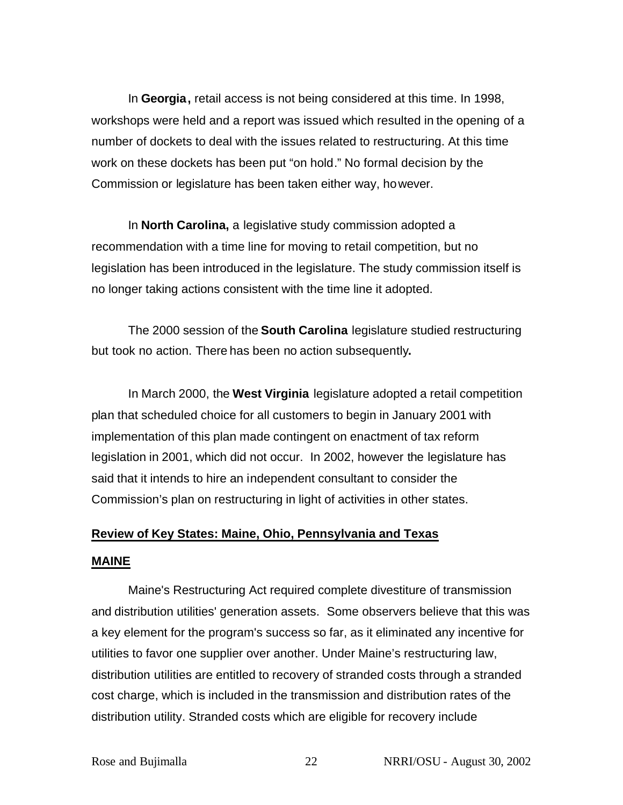In **Georgia,** retail access is not being considered at this time. In 1998, workshops were held and a report was issued which resulted in the opening of a number of dockets to deal with the issues related to restructuring. At this time work on these dockets has been put "on hold." No formal decision by the Commission or legislature has been taken either way, however.

In **North Carolina,** a legislative study commission adopted a recommendation with a time line for moving to retail competition, but no legislation has been introduced in the legislature. The study commission itself is no longer taking actions consistent with the time line it adopted.

The 2000 session of the **South Carolina** legislature studied restructuring but took no action. There has been no action subsequently**.** 

In March 2000, the **West Virginia** legislature adopted a retail competition plan that scheduled choice for all customers to begin in January 2001 with implementation of this plan made contingent on enactment of tax reform legislation in 2001, which did not occur. In 2002, however the legislature has said that it intends to hire an independent consultant to consider the Commission's plan on restructuring in light of activities in other states.

# **Review of Key States: Maine, Ohio, Pennsylvania and Texas**

### **MAINE**

Maine's Restructuring Act required complete divestiture of transmission and distribution utilities' generation assets. Some observers believe that this was a key element for the program's success so far, as it eliminated any incentive for utilities to favor one supplier over another. Under Maine's restructuring law, distribution utilities are entitled to recovery of stranded costs through a stranded cost charge, which is included in the transmission and distribution rates of the distribution utility. Stranded costs which are eligible for recovery include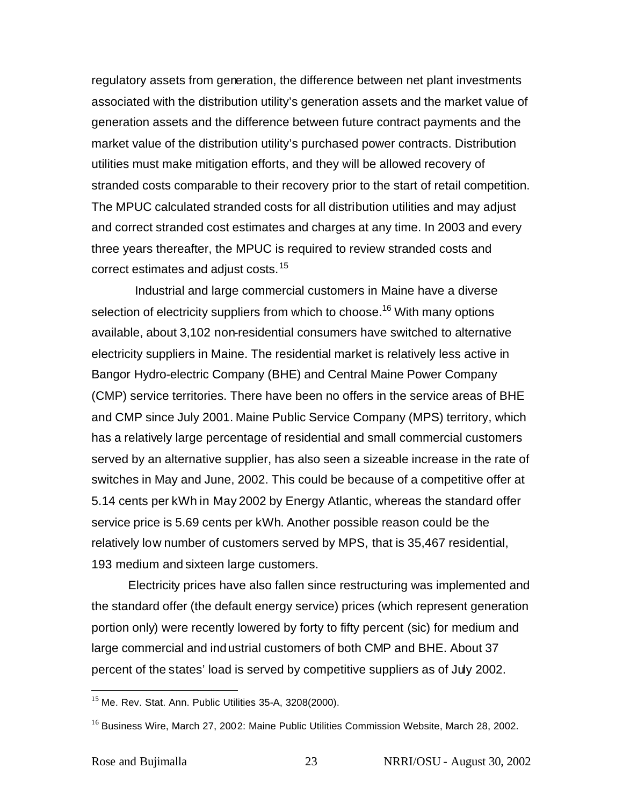regulatory assets from generation, the difference between net plant investments associated with the distribution utility's generation assets and the market value of generation assets and the difference between future contract payments and the market value of the distribution utility's purchased power contracts. Distribution utilities must make mitigation efforts, and they will be allowed recovery of stranded costs comparable to their recovery prior to the start of retail competition. The MPUC calculated stranded costs for all distribution utilities and may adjust and correct stranded cost estimates and charges at any time. In 2003 and every three years thereafter, the MPUC is required to review stranded costs and correct estimates and adjust costs.<sup>15</sup>

Industrial and large commercial customers in Maine have a diverse selection of electricity suppliers from which to choose.<sup>16</sup> With many options available, about 3,102 non-residential consumers have switched to alternative electricity suppliers in Maine. The residential market is relatively less active in Bangor Hydro-electric Company (BHE) and Central Maine Power Company (CMP) service territories. There have been no offers in the service areas of BHE and CMP since July 2001. Maine Public Service Company (MPS) territory, which has a relatively large percentage of residential and small commercial customers served by an alternative supplier, has also seen a sizeable increase in the rate of switches in May and June, 2002. This could be because of a competitive offer at 5.14 cents per kWh in May 2002 by Energy Atlantic, whereas the standard offer service price is 5.69 cents per kWh. Another possible reason could be the relatively low number of customers served by MPS, that is 35,467 residential, 193 medium and sixteen large customers.

Electricity prices have also fallen since restructuring was implemented and the standard offer (the default energy service) prices (which represent generation portion only) were recently lowered by forty to fifty percent (sic) for medium and large commercial and industrial customers of both CMP and BHE. About 37 percent of the states' load is served by competitive suppliers as of July 2002.

 $\overline{a}$ 

 $15$  Me. Rev. Stat. Ann. Public Utilities 35-A, 3208(2000).

<sup>&</sup>lt;sup>16</sup> Business Wire, March 27, 2002: Maine Public Utilities Commission Website, March 28, 2002.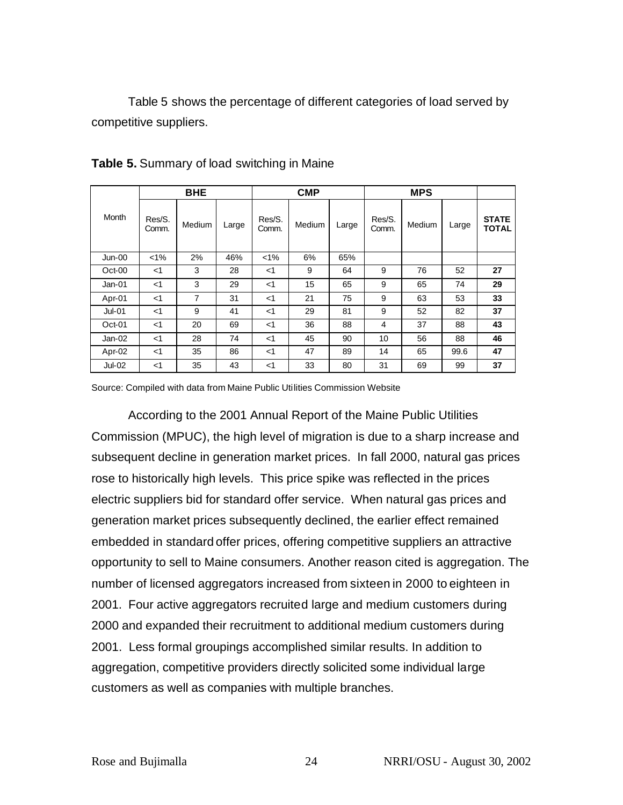Table 5 shows the percentage of different categories of load served by competitive suppliers.

|          |                 | <b>BHE</b> |       |                 | <b>CMP</b> |       | <b>MPS</b>      |        |       |                              |
|----------|-----------------|------------|-------|-----------------|------------|-------|-----------------|--------|-------|------------------------------|
| Month    | Res/S.<br>Comm. | Medium     | Large | Res/S.<br>Comm. | Medium     | Large | Res/S.<br>Comm. | Medium | Large | <b>STATE</b><br><b>TOTAL</b> |
| Jun-00   | $< 1\%$         | 2%         | 46%   | $1\%$           | 6%         | 65%   |                 |        |       |                              |
| Oct-00   | $<$ 1           | 3          | 28    | $<$ 1           | 9          | 64    | 9               | 76     | 52    | 27                           |
| $Jan-01$ | $<$ 1           | 3          | 29    | $<$ 1           | 15         | 65    | 9               | 65     | 74    | 29                           |
| Apr-01   | $<$ 1           | 7          | 31    | $<$ 1           | 21         | 75    | 9               | 63     | 53    | 33                           |
| $Jul-01$ | $<$ 1           | 9          | 41    | $<$ 1           | 29         | 81    | 9               | 52     | 82    | 37                           |
| $Oct-01$ | $<$ 1           | 20         | 69    | $<$ 1           | 36         | 88    | 4               | 37     | 88    | 43                           |
| $Jan-02$ | $<$ 1           | 28         | 74    | $<$ 1           | 45         | 90    | 10              | 56     | 88    | 46                           |
| Apr-02   | $<$ 1           | 35         | 86    | $<$ 1           | 47         | 89    | 14              | 65     | 99.6  | 47                           |
| $Jul-02$ | $<$ 1           | 35         | 43    | $<$ 1           | 33         | 80    | 31              | 69     | 99    | 37                           |

#### **Table 5.** Summary of load switching in Maine

Source: Compiled with data from Maine Public Utilities Commission Website

According to the 2001 Annual Report of the Maine Public Utilities Commission (MPUC), the high level of migration is due to a sharp increase and subsequent decline in generation market prices. In fall 2000, natural gas prices rose to historically high levels. This price spike was reflected in the prices electric suppliers bid for standard offer service. When natural gas prices and generation market prices subsequently declined, the earlier effect remained embedded in standard offer prices, offering competitive suppliers an attractive opportunity to sell to Maine consumers. Another reason cited is aggregation. The number of licensed aggregators increased from sixteen in 2000 to eighteen in 2001. Four active aggregators recruited large and medium customers during 2000 and expanded their recruitment to additional medium customers during 2001. Less formal groupings accomplished similar results. In addition to aggregation, competitive providers directly solicited some individual large customers as well as companies with multiple branches.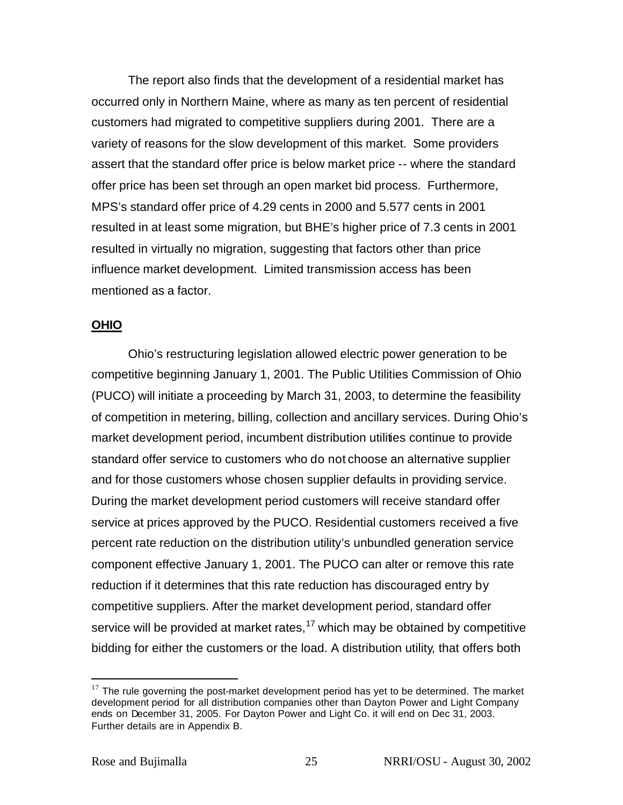The report also finds that the development of a residential market has occurred only in Northern Maine, where as many as ten percent of residential customers had migrated to competitive suppliers during 2001. There are a variety of reasons for the slow development of this market. Some providers assert that the standard offer price is below market price -- where the standard offer price has been set through an open market bid process. Furthermore, MPS's standard offer price of 4.29 cents in 2000 and 5.577 cents in 2001 resulted in at least some migration, but BHE's higher price of 7.3 cents in 2001 resulted in virtually no migration, suggesting that factors other than price influence market development. Limited transmission access has been mentioned as a factor.

## **OHIO**

Ohio's restructuring legislation allowed electric power generation to be competitive beginning January 1, 2001. The Public Utilities Commission of Ohio (PUCO) will initiate a proceeding by March 31, 2003, to determine the feasibility of competition in metering, billing, collection and ancillary services. During Ohio's market development period, incumbent distribution utilities continue to provide standard offer service to customers who do not choose an alternative supplier and for those customers whose chosen supplier defaults in providing service. During the market development period customers will receive standard offer service at prices approved by the PUCO. Residential customers received a five percent rate reduction on the distribution utility's unbundled generation service component effective January 1, 2001. The PUCO can alter or remove this rate reduction if it determines that this rate reduction has discouraged entry by competitive suppliers. After the market development period, standard offer service will be provided at market rates,<sup>17</sup> which may be obtained by competitive bidding for either the customers or the load. A distribution utility, that offers both

 $17$  The rule governing the post-market development period has yet to be determined. The market development period for all distribution companies other than Dayton Power and Light Company ends on December 31, 2005. For Dayton Power and Light Co. it will end on Dec 31, 2003. Further details are in Appendix B.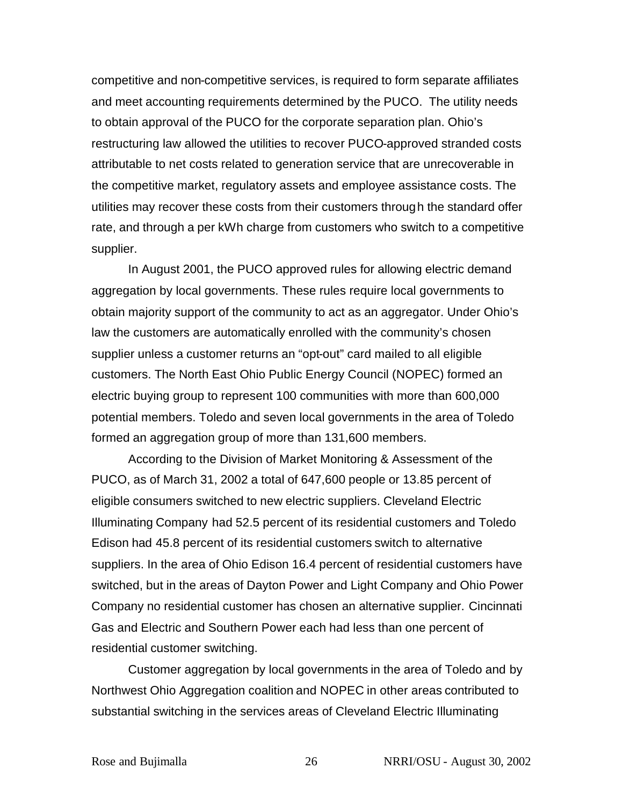competitive and non-competitive services, is required to form separate affiliates and meet accounting requirements determined by the PUCO. The utility needs to obtain approval of the PUCO for the corporate separation plan. Ohio's restructuring law allowed the utilities to recover PUCO-approved stranded costs attributable to net costs related to generation service that are unrecoverable in the competitive market, regulatory assets and employee assistance costs. The utilities may recover these costs from their customers through the standard offer rate, and through a per kWh charge from customers who switch to a competitive supplier.

In August 2001, the PUCO approved rules for allowing electric demand aggregation by local governments. These rules require local governments to obtain majority support of the community to act as an aggregator. Under Ohio's law the customers are automatically enrolled with the community's chosen supplier unless a customer returns an "opt-out" card mailed to all eligible customers. The North East Ohio Public Energy Council (NOPEC) formed an electric buying group to represent 100 communities with more than 600,000 potential members. Toledo and seven local governments in the area of Toledo formed an aggregation group of more than 131,600 members.

According to the Division of Market Monitoring & Assessment of the PUCO, as of March 31, 2002 a total of 647,600 people or 13.85 percent of eligible consumers switched to new electric suppliers. Cleveland Electric Illuminating Company had 52.5 percent of its residential customers and Toledo Edison had 45.8 percent of its residential customers switch to alternative suppliers. In the area of Ohio Edison 16.4 percent of residential customers have switched, but in the areas of Dayton Power and Light Company and Ohio Power Company no residential customer has chosen an alternative supplier. Cincinnati Gas and Electric and Southern Power each had less than one percent of residential customer switching.

Customer aggregation by local governments in the area of Toledo and by Northwest Ohio Aggregation coalition and NOPEC in other areas contributed to substantial switching in the services areas of Cleveland Electric Illuminating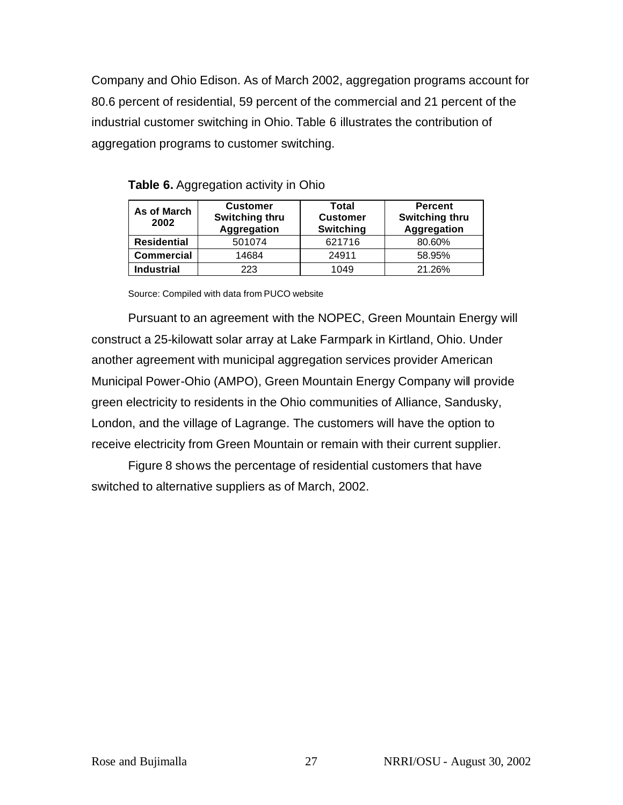Company and Ohio Edison. As of March 2002, aggregation programs account for 80.6 percent of residential, 59 percent of the commercial and 21 percent of the industrial customer switching in Ohio. Table 6 illustrates the contribution of aggregation programs to customer switching.

| As of March<br>2002 | <b>Customer</b><br><b>Switching thru</b><br>Aggregation | Total<br><b>Customer</b><br><b>Switching</b> | <b>Percent</b><br><b>Switching thru</b><br><b>Aggregation</b> |
|---------------------|---------------------------------------------------------|----------------------------------------------|---------------------------------------------------------------|
| <b>Residential</b>  | 501074                                                  | 621716                                       | 80.60%                                                        |
| <b>Commercial</b>   | 14684                                                   | 24911                                        | 58.95%                                                        |
| <b>Industrial</b>   | 223                                                     | 1049                                         | 21.26%                                                        |

**Table 6.** Aggregation activity in Ohio

Source: Compiled with data from PUCO website

Pursuant to an agreement with the NOPEC, Green Mountain Energy will construct a 25-kilowatt solar array at Lake Farmpark in Kirtland, Ohio. Under another agreement with municipal aggregation services provider American Municipal Power-Ohio (AMPO), Green Mountain Energy Company will provide green electricity to residents in the Ohio communities of Alliance, Sandusky, London, and the village of Lagrange. The customers will have the option to receive electricity from Green Mountain or remain with their current supplier.

Figure 8 shows the percentage of residential customers that have switched to alternative suppliers as of March, 2002.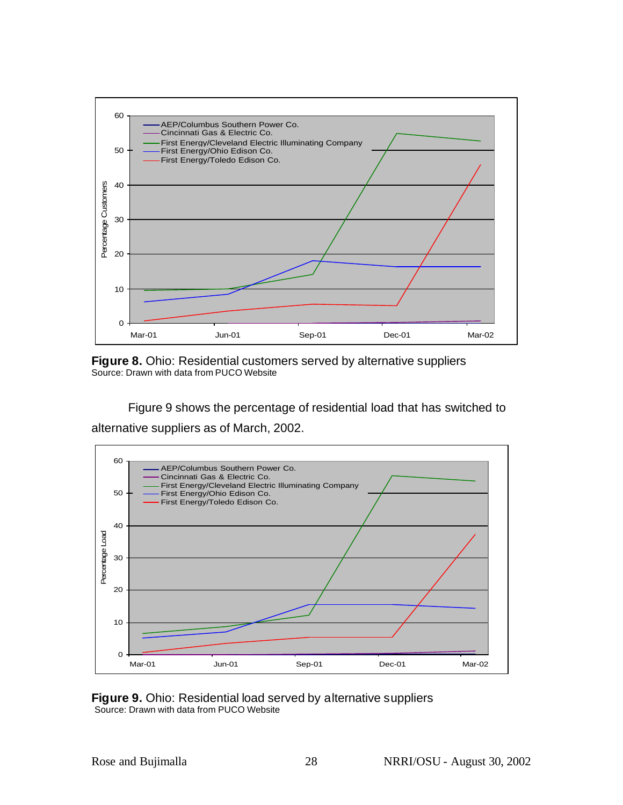

**Figure 8.** Ohio: Residential customers served by alternative suppliers Source: Drawn with data from PUCO Website

Figure 9 shows the percentage of residential load that has switched to alternative suppliers as of March, 2002.



**Figure 9.** Ohio: Residential load served by alternative suppliers Source: Drawn with data from PUCO Website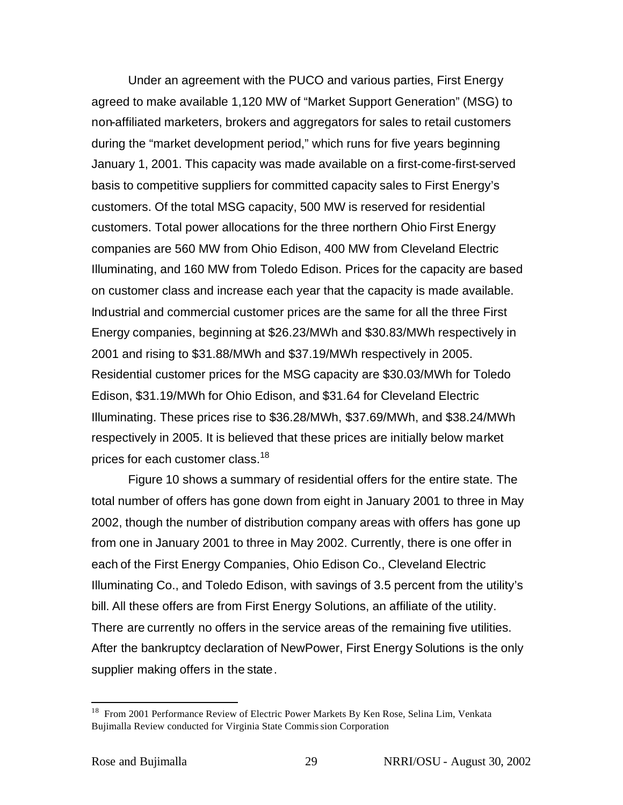Under an agreement with the PUCO and various parties, First Energy agreed to make available 1,120 MW of "Market Support Generation" (MSG) to non-affiliated marketers, brokers and aggregators for sales to retail customers during the "market development period," which runs for five years beginning January 1, 2001. This capacity was made available on a first-come-first-served basis to competitive suppliers for committed capacity sales to First Energy's customers. Of the total MSG capacity, 500 MW is reserved for residential customers. Total power allocations for the three northern Ohio First Energy companies are 560 MW from Ohio Edison, 400 MW from Cleveland Electric Illuminating, and 160 MW from Toledo Edison. Prices for the capacity are based on customer class and increase each year that the capacity is made available. Industrial and commercial customer prices are the same for all the three First Energy companies, beginning at \$26.23/MWh and \$30.83/MWh respectively in 2001 and rising to \$31.88/MWh and \$37.19/MWh respectively in 2005. Residential customer prices for the MSG capacity are \$30.03/MWh for Toledo Edison, \$31.19/MWh for Ohio Edison, and \$31.64 for Cleveland Electric Illuminating. These prices rise to \$36.28/MWh, \$37.69/MWh, and \$38.24/MWh respectively in 2005. It is believed that these prices are initially below market prices for each customer class.<sup>18</sup>

Figure 10 shows a summary of residential offers for the entire state. The total number of offers has gone down from eight in January 2001 to three in May 2002, though the number of distribution company areas with offers has gone up from one in January 2001 to three in May 2002. Currently, there is one offer in each of the First Energy Companies, Ohio Edison Co., Cleveland Electric Illuminating Co., and Toledo Edison, with savings of 3.5 percent from the utility's bill. All these offers are from First Energy Solutions, an affiliate of the utility. There are currently no offers in the service areas of the remaining five utilities. After the bankruptcy declaration of NewPower, First Energy Solutions is the only supplier making offers in the state.

<sup>&</sup>lt;sup>18</sup> From 2001 Performance Review of Electric Power Markets By Ken Rose, Selina Lim, Venkata Bujimalla Review conducted for Virginia State Commission Corporation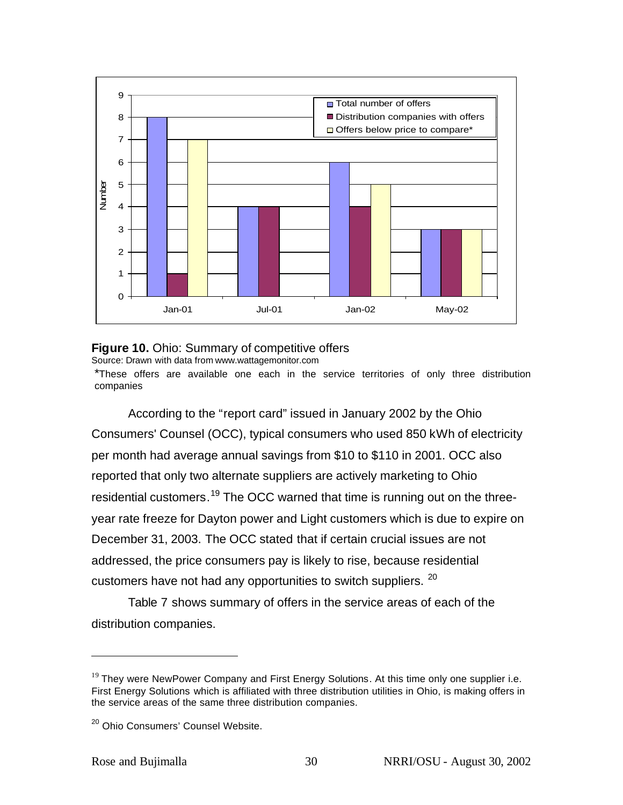

#### **Figure 10.** Ohio: Summary of competitive offers

Source: Drawn with data from www.wattagemonitor.com

\*These offers are available one each in the service territories of only three distribution companies

According to the "report card" issued in January 2002 by the Ohio Consumers' Counsel (OCC), typical consumers who used 850 kWh of electricity per month had average annual savings from \$10 to \$110 in 2001. OCC also reported that only two alternate suppliers are actively marketing to Ohio residential customers.<sup>19</sup> The OCC warned that time is running out on the threeyear rate freeze for Dayton power and Light customers which is due to expire on December 31, 2003. The OCC stated that if certain crucial issues are not addressed, the price consumers pay is likely to rise, because residential customers have not had any opportunities to switch suppliers. <sup>20</sup>

Table 7 shows summary of offers in the service areas of each of the distribution companies.

 $19$  They were NewPower Company and First Energy Solutions. At this time only one supplier i.e. First Energy Solutions which is affiliated with three distribution utilities in Ohio, is making offers in the service areas of the same three distribution companies.

<sup>&</sup>lt;sup>20</sup> Ohio Consumers' Counsel Website.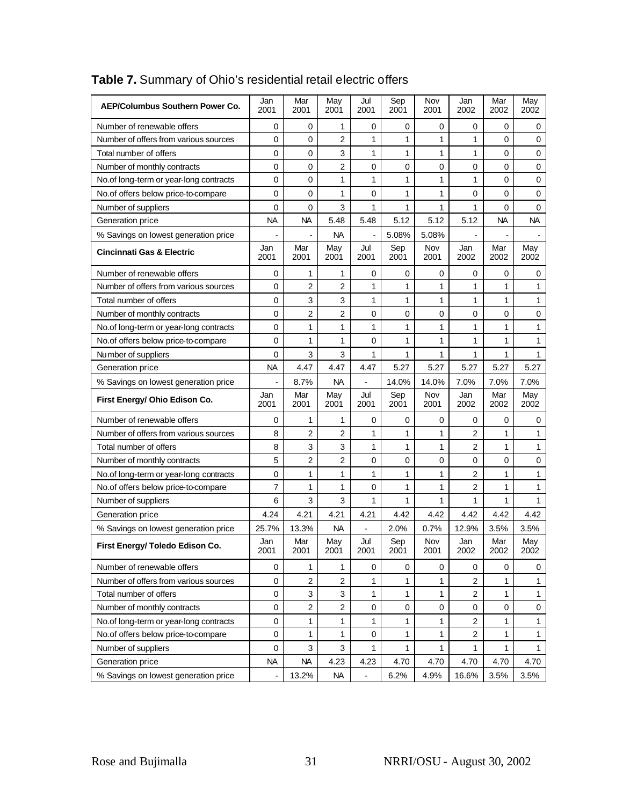| <b>AEP/Columbus Southern Power Co.</b> | Jan<br>2001   | Mar<br>2001      | May<br>2001             | Jul<br>2001   | Sep<br>2001 | Nov<br>2001  | Jan<br>2002    | Mar<br>2002  | May<br>2002  |
|----------------------------------------|---------------|------------------|-------------------------|---------------|-------------|--------------|----------------|--------------|--------------|
| Number of renewable offers             | 0             | 0                | 1                       | 0             | 0           | 0            | 0              | 0            | 0            |
| Number of offers from various sources  | 0             | 0                | $\overline{2}$          | 1             | 1           | 1            | 1              | 0            | 0            |
| Total number of offers                 | 0             | 0                | 3                       | 1             | 1           | 1            | 1              | 0            | 0            |
| Number of monthly contracts            | 0             | 0                | 2                       | 0             | 0           | 0            | 0              | 0            | 0            |
| No.of long-term or year-long contracts | 0             | 0                | 1                       | 1             | 1           | 1            | 1              | 0            | 0            |
| No.of offers below price-to-compare    | 0             | 0                | 1                       | 0             | 1           | 1            | 0              | 0            | 0            |
| Number of suppliers                    | $\mathbf 0$   | 0                | 3                       | 1             | 1           | 1            | 1              | 0            | 0            |
| Generation price                       | <b>NA</b>     | <b>NA</b>        | 5.48                    | 5.48          | 5.12        | 5.12         | 5.12           | <b>NA</b>    | <b>NA</b>    |
| % Savings on lowest generation price   |               |                  | NA.                     |               | 5.08%       | 5.08%        |                |              |              |
| <b>Cincinnati Gas &amp; Electric</b>   | Jan<br>2001   | Mar<br>2001      | May<br>2001             | Jul<br>2001   | Sep<br>2001 | Nov<br>2001  | Jan<br>2002    | Mar<br>2002  | May<br>2002  |
| Number of renewable offers             | 0             | 1                | 1                       | 0             | 0           | 0            | 0              | 0            | 0            |
| Number of offers from various sources  | 0             | 2                | $\overline{2}$          | 1             | 1           | 1            | $\mathbf{1}$   | 1            | $\mathbf{1}$ |
| Total number of offers                 | 0             | 3                | 3                       | 1             | 1           | 1            | 1              | 1            | 1            |
| Number of monthly contracts            | 0             | 2                | 2                       | 0             | 0           | 0            | 0              | 0            | 0            |
| No.of long-term or year-long contracts | 0             | 1                | 1                       | 1             | 1           | 1            | 1              | 1            | 1            |
| No.of offers below price-to-compare    | 0             | 1                | 1                       | 0             | 1           | 1            | 1              | 1            | 1            |
| Number of suppliers                    | 0             | 3                | 3                       | 1             | 1           | 1            | 1              | 1            | 1            |
| Generation price                       | <b>NA</b>     | 4.47             | 4.47                    | 4.47          | 5.27        | 5.27         | 5.27           | 5.27         | 5.27         |
| % Savings on lowest generation price   |               | 8.7%             | <b>NA</b>               | $\frac{1}{2}$ | 14.0%       | 14.0%        | 7.0%           | 7.0%         | 7.0%         |
| First Energy/ Ohio Edison Co.          | Jan<br>2001   | Mar<br>2001      | May<br>2001             | Jul<br>2001   | Sep<br>2001 | Nov<br>2001  | Jan<br>2002    | Mar<br>2002  | May<br>2002  |
| Number of renewable offers             | 0             | 1                | 1                       | 0             | 0           | 0            | 0              | 0            | 0            |
| Number of offers from various sources  | 8             | 2                | $\overline{c}$          | 1             | 1           | 1            | 2              | 1            | 1            |
| Total number of offers                 | 8             | 3                | 3                       | 1             | 1           | 1            | 2              | $\mathbf{1}$ | 1            |
| Number of monthly contracts            | 5             | 2                | 2                       | 0             | 0           | 0            | 0              | 0            | 0            |
| No.of long-term or year-long contracts | 0             | 1                | 1                       | 1             | 1           | 1            | 2              | 1            | 1            |
| No.of offers below price-to-compare    | 7             | 1                | 1                       | 0             | 1           | 1            | 2              | 1            | 1            |
| Number of suppliers                    | 6             | 3                | 3                       | 1             | 1           | $\mathbf{1}$ | 1              | 1            | $\mathbf{1}$ |
| Generation price                       | 4.24          | 4.21             | 4.21                    | 4.21          | 4.42        | 4.42         | 4.42           | 4.42         | 4.42         |
| % Savings on lowest generation price   | 25.7%         | 13.3%            | NА                      |               | 2.0%        | 0.7%         | 12.9%          | 3.5%         | 3.5%         |
| First Energy/ Toledo Edison Co.        | Jan<br>2001   | Mar<br>2001      | May<br>2001             | Jul<br>2001   | Sep<br>2001 | Nov<br>2001  | Jan<br>2002    | Mar<br>2002  | May<br>2002  |
| Number of renewable offers             | 0             | $\mathbf{1}$     | $\mathbf{1}$            | $\mathbf 0$   | 0           | 0            | 0              | 0            | 0            |
| Number of offers from various sources  | 0             | 2                | $\overline{\mathbf{c}}$ | 1             | 1           | 1            | 2              | 1            | $\mathbf{1}$ |
| Total number of offers                 | 0             | 3                | 3                       | 1             | 1           | 1            | $\overline{2}$ | $\mathbf{1}$ | $\mathbf{1}$ |
| Number of monthly contracts            | 0             | $\boldsymbol{2}$ | $\overline{c}$          | 0             | $\mathbf 0$ | $\mathbf 0$  | 0              | 0            | 0            |
| No.of long-term or year-long contracts | $\mathbf 0$   | 1                | $\mathbf{1}$            | 1             | 1           | 1            | $\overline{2}$ | 1            | 1            |
| No.of offers below price-to-compare    | $\pmb{0}$     | $\mathbf{1}$     | $\mathbf{1}$            | 0             | 1           | 1            | $\overline{c}$ | $\mathbf{1}$ | $\mathbf{1}$ |
| Number of suppliers                    | 0             | 3                | 3                       | 1             | 1           | 1            | 1              | 1            | 1            |
| Generation price                       | <b>NA</b>     | <b>NA</b>        | 4.23                    | 4.23          | 4.70        | 4.70         | 4.70           | 4.70         | 4.70         |
| % Savings on lowest generation price   | $\frac{1}{2}$ | 13.2%            | <b>NA</b>               |               | 6.2%        | 4.9%         | 16.6%          | 3.5%         | 3.5%         |

# **Table 7.** Summary of Ohio's residential retail electric offers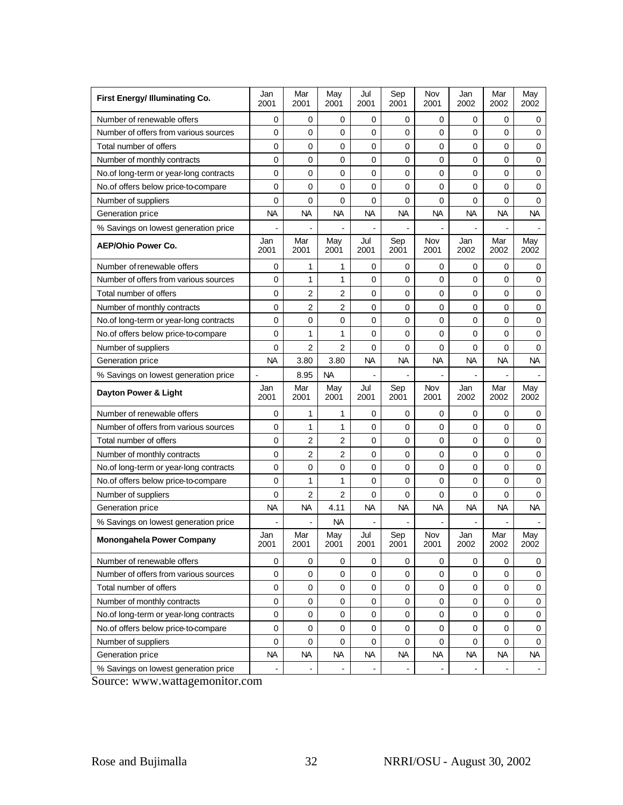| First Energy/ Illuminating Co.         | Jan<br>2001    | Mar<br>2001 | May<br>2001    | Jul<br>2001 | Sep<br>2001 | Nov<br>2001        | Jan<br>2002 | Mar<br>2002 | May<br>2002 |
|----------------------------------------|----------------|-------------|----------------|-------------|-------------|--------------------|-------------|-------------|-------------|
| Number of renewable offers             | 0              | 0           | 0              | 0           | 0           | 0                  | 0           | 0           | 0           |
| Number of offers from various sources  | 0              | 0           | 0              | 0           | 0           | $\mathbf 0$        | 0           | 0           | $\mathbf 0$ |
| Total number of offers                 | 0              | 0           | 0              | 0           | 0           | 0                  | 0           | 0           | $\mathbf 0$ |
| Number of monthly contracts            | 0              | 0           | 0              | 0           | 0           | 0                  | 0           | 0           | 0           |
| No.of long-term or year-long contracts | 0              | 0           | 0              | 0           | $\mathbf 0$ | 0                  | $\mathbf 0$ | 0           | $\mathbf 0$ |
| No.of offers below price-to-compare    | 0              | 0           | 0              | 0           | 0           | $\mathbf 0$        | 0           | 0           | $\mathbf 0$ |
| Number of suppliers                    | $\mathbf 0$    | 0           | 0              | $\mathbf 0$ | $\mathbf 0$ | $\mathbf 0$        | 0           | 0           | $\mathbf 0$ |
| Generation price                       | <b>NA</b>      | <b>NA</b>   | NА             | <b>NA</b>   | <b>NA</b>   | <b>NA</b>          | <b>NA</b>   | <b>NA</b>   | <b>NA</b>   |
| % Savings on lowest generation price   |                |             |                |             |             |                    |             |             |             |
| <b>AEP/Ohio Power Co.</b>              | Jan<br>2001    | Mar<br>2001 | May<br>2001    | Jul<br>2001 | Sep<br>2001 | <b>Nov</b><br>2001 | Jan<br>2002 | Mar<br>2002 | May<br>2002 |
| Number of renewable offers             | 0              | 1           | 1              | 0           | 0           | 0                  | 0           | 0           | 0           |
| Number of offers from various sources  | $\mathbf 0$    | 1           | $\mathbf{1}$   | $\mathbf 0$ | $\mathbf 0$ | $\mathbf 0$        | $\mathbf 0$ | 0           | $\pmb{0}$   |
| Total number of offers                 | 0              | 2           | 2              | 0           | 0           | 0                  | $\mathbf 0$ | 0           | 0           |
| Number of monthly contracts            | 0              | 2           | $\overline{c}$ | 0           | $\mathbf 0$ | $\mathbf 0$        | $\mathbf 0$ | 0           | $\mathbf 0$ |
| No.of long-term or year-long contracts | 0              | 0           | 0              | 0           | 0           | 0                  | 0           | 0           | 0           |
| No.of offers below price-to-compare    | $\mathbf 0$    | 1           | 1              | 0           | 0           | $\mathbf 0$        | 0           | 0           | $\mathbf 0$ |
| Number of suppliers                    | $\mathbf 0$    | 2           | $\overline{2}$ | 0           | 0           | $\mathbf 0$        | 0           | 0           | $\mathbf 0$ |
| Generation price                       | NA             | 3.80        | 3.80           | NА          | <b>NA</b>   | NА                 | NА          | NА          | NА          |
| % Savings on lowest generation price   | $\blacksquare$ | 8.95        | <b>NA</b>      |             |             |                    |             |             |             |
| Dayton Power & Light                   | Jan<br>2001    | Mar<br>2001 | May<br>2001    | Jul<br>2001 | Sep<br>2001 | Nov<br>2001        | Jan<br>2002 | Mar<br>2002 | May<br>2002 |
| Number of renewable offers             | 0              | 1           | 1              | 0           | 0           | 0                  | 0           | 0           | 0           |
| Number of offers from various sources  | 0              | 1           | 1              | 0           | 0           | 0                  | 0           | 0           | 0           |
| Total number of offers                 | 0              | 2           | 2              | 0           | 0           | $\mathbf 0$        | 0           | 0           | 0           |
| Number of monthly contracts            | 0              | 2           | 2              | 0           | $\mathbf 0$ | 0                  | 0           | 0           | 0           |
| No.of long-term or year-long contracts | 0              | 0           | 0              | 0           | 0           | $\mathbf 0$        | 0           | 0           | $\mathbf 0$ |
| No.of offers below price-to-compare    | 0              | 1           | 1              | $\mathbf 0$ | $\mathbf 0$ | $\mathbf 0$        | $\mathbf 0$ | 0           | $\pmb{0}$   |
| Number of suppliers                    | 0              | 2           | 2              | 0           | 0           | 0                  | 0           | 0           | 0           |
| Generation price                       | <b>NA</b>      | NA          | 4.11           | NA.         | <b>NA</b>   | <b>NA</b>          | <b>NA</b>   | NA.         | <b>NA</b>   |
| % Savings on lowest generation price   |                |             | NА             |             |             |                    |             |             |             |
| Monongahela Power Company              | Jan<br>2001    | Mar<br>2001 | May<br>2001    | Jul<br>2001 | Sep<br>2001 | Nov<br>2001        | Jan<br>2002 | Mar<br>2002 | May<br>2002 |
| Number of renewable offers             | 0              | 0           | 0              | 0           | 0           | 0                  | $\mathbf 0$ | 0           | 0           |
| Number of offers from various sources  | 0              | 0           | 0              | 0           | 0           | 0                  | $\mathbf 0$ | 0           | 0           |
| Total number of offers                 | 0              | $\mathbf 0$ | 0              | 0           | $\pmb{0}$   | $\mathbf 0$        | $\mathbf 0$ | 0           | $\mathbf 0$ |
| Number of monthly contracts            | 0              | 0           | 0              | 0           | $\mathbf 0$ | $\mathbf 0$        | 0           | 0           | 0           |
| No.of long-term or year-long contracts | $\mathbf 0$    | 0           | 0              | 0           | 0           | 0                  | $\Omega$    | 0           | 0           |
| No.of offers below price-to-compare    | $\pmb{0}$      | 0           | 0              | 0           | 0           | $\mathbf 0$        | $\mathbf 0$ | 0           | 0           |
| Number of suppliers                    | 0              | 0           | 0              | 0           | 0           | 0                  | 0           | 0           | 0           |
|                                        |                |             |                |             |             |                    |             |             |             |
| Generation price                       | <b>NA</b>      | <b>NA</b>   | <b>NA</b>      | <b>NA</b>   | <b>NA</b>   | <b>NA</b>          | <b>NA</b>   | <b>NA</b>   | <b>NA</b>   |

Source: www.wattagemonitor.com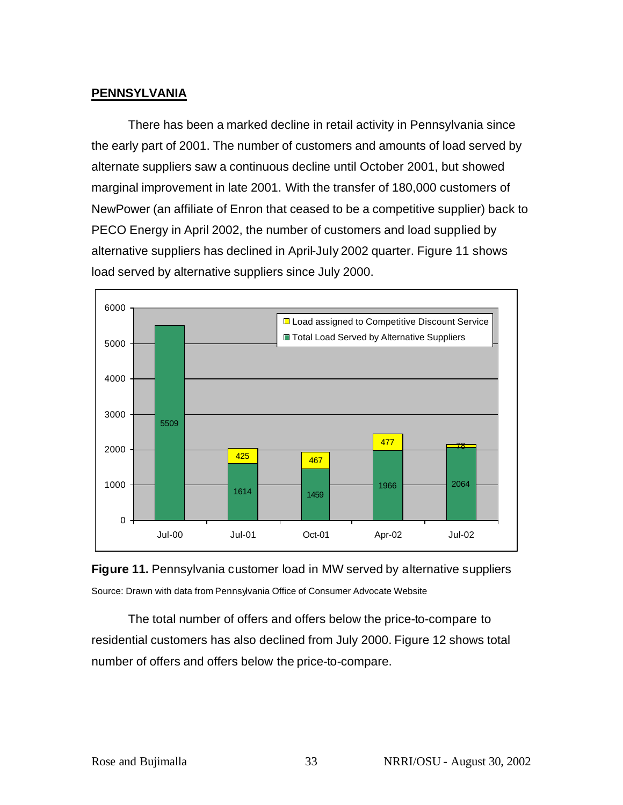## **PENNSYLVANIA**

There has been a marked decline in retail activity in Pennsylvania since the early part of 2001. The number of customers and amounts of load served by alternate suppliers saw a continuous decline until October 2001, but showed marginal improvement in late 2001. With the transfer of 180,000 customers of NewPower (an affiliate of Enron that ceased to be a competitive supplier) back to PECO Energy in April 2002, the number of customers and load supplied by alternative suppliers has declined in April-July 2002 quarter. Figure 11 shows load served by alternative suppliers since July 2000.





The total number of offers and offers below the price-to-compare to residential customers has also declined from July 2000. Figure 12 shows total number of offers and offers below the price-to-compare.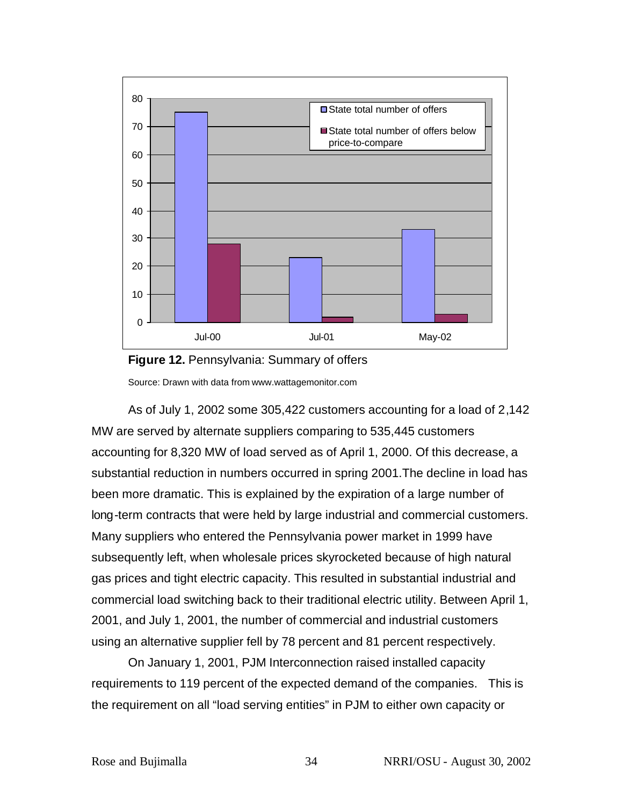



As of July 1, 2002 some 305,422 customers accounting for a load of 2,142 MW are served by alternate suppliers comparing to 535,445 customers accounting for 8,320 MW of load served as of April 1, 2000. Of this decrease, a substantial reduction in numbers occurred in spring 2001.The decline in load has been more dramatic. This is explained by the expiration of a large number of long-term contracts that were held by large industrial and commercial customers. Many suppliers who entered the Pennsylvania power market in 1999 have subsequently left, when wholesale prices skyrocketed because of high natural gas prices and tight electric capacity. This resulted in substantial industrial and commercial load switching back to their traditional electric utility. Between April 1, 2001, and July 1, 2001, the number of commercial and industrial customers using an alternative supplier fell by 78 percent and 81 percent respectively.

On January 1, 2001, PJM Interconnection raised installed capacity requirements to 119 percent of the expected demand of the companies. This is the requirement on all "load serving entities" in PJM to either own capacity or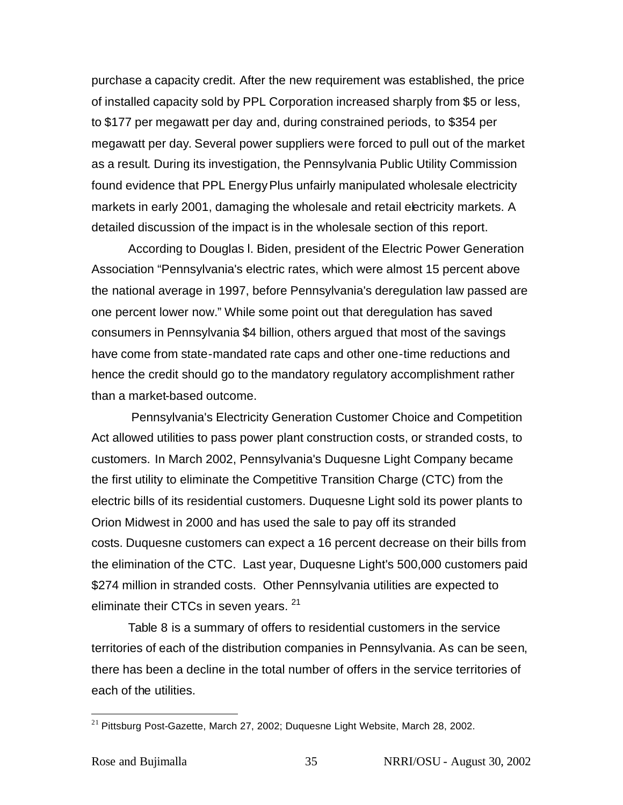purchase a capacity credit. After the new requirement was established, the price of installed capacity sold by PPL Corporation increased sharply from \$5 or less, to \$177 per megawatt per day and, during constrained periods, to \$354 per megawatt per day. Several power suppliers were forced to pull out of the market as a result. During its investigation, the Pennsylvania Public Utility Commission found evidence that PPL EnergyPlus unfairly manipulated wholesale electricity markets in early 2001, damaging the wholesale and retail electricity markets. A detailed discussion of the impact is in the wholesale section of this report.

According to Douglas l. Biden, president of the Electric Power Generation Association "Pennsylvania's electric rates, which were almost 15 percent above the national average in 1997, before Pennsylvania's deregulation law passed are one percent lower now." While some point out that deregulation has saved consumers in Pennsylvania \$4 billion, others argued that most of the savings have come from state-mandated rate caps and other one-time reductions and hence the credit should go to the mandatory regulatory accomplishment rather than a market-based outcome.

 Pennsylvania's Electricity Generation Customer Choice and Competition Act allowed utilities to pass power plant construction costs, or stranded costs, to customers. In March 2002, Pennsylvania's Duquesne Light Company became the first utility to eliminate the Competitive Transition Charge (CTC) from the electric bills of its residential customers. Duquesne Light sold its power plants to Orion Midwest in 2000 and has used the sale to pay off its stranded costs. Duquesne customers can expect a 16 percent decrease on their bills from the elimination of the CTC. Last year, Duquesne Light's 500,000 customers paid \$274 million in stranded costs. Other Pennsylvania utilities are expected to eliminate their CTCs in seven years. <sup>21</sup>

Table 8 is a summary of offers to residential customers in the service territories of each of the distribution companies in Pennsylvania. As can be seen, there has been a decline in the total number of offers in the service territories of each of the utilities.

 $21$  Pittsburg Post-Gazette, March 27, 2002; Duquesne Light Website, March 28, 2002.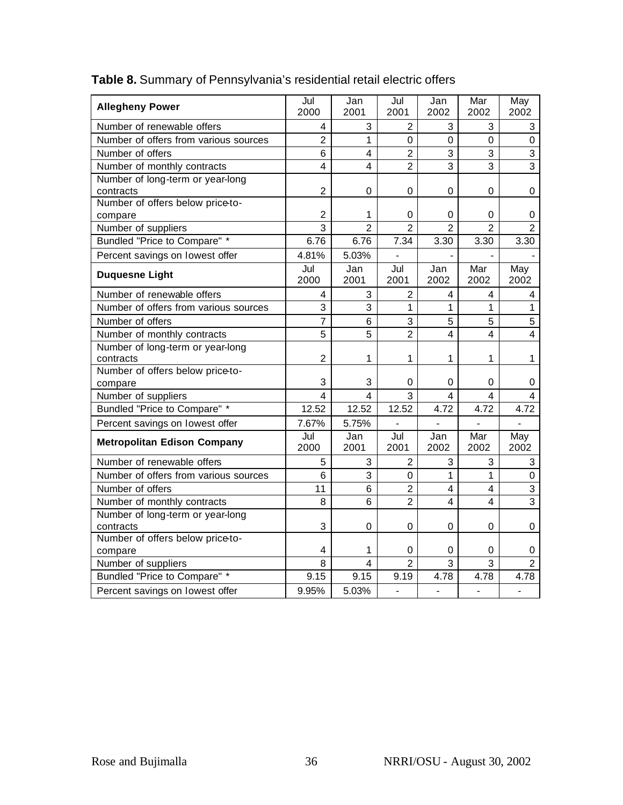| <b>Allegheny Power</b>                        | Jul<br>2000             | Jan<br>2001             | Jul<br>2001              | Jan<br>2002    | Mar<br>2002    | May<br>2002             |
|-----------------------------------------------|-------------------------|-------------------------|--------------------------|----------------|----------------|-------------------------|
| Number of renewable offers                    | 4                       | 3                       | $\overline{2}$           | 3              | 3              | 3                       |
| Number of offers from various sources         | $\overline{2}$          | $\mathbf{1}$            | $\overline{0}$           | $\Omega$       | $\mathsf 0$    | $\pmb{0}$               |
| Number of offers                              | 6                       | 4                       | $\overline{2}$           | 3              | 3              | 3                       |
| Number of monthly contracts                   | $\overline{\mathbf{4}}$ | $\overline{\mathbf{4}}$ | $\overline{2}$           | $\overline{3}$ | 3              | $\overline{3}$          |
| Number of long-term or year-long<br>contracts | $\overline{2}$          | $\mathbf 0$             | 0                        | $\mathbf 0$    | $\mathbf 0$    | 0                       |
| Number of offers below price-to-              |                         |                         |                          |                |                |                         |
| compare                                       | $\overline{2}$          | 1                       | 0                        | 0              | 0              | 0                       |
| Number of suppliers                           | $\overline{3}$          | $\overline{2}$          | $\overline{2}$           | $\overline{2}$ | $\overline{2}$ | $\overline{2}$          |
| Bundled "Price to Compare" *                  | 6.76                    | 6.76                    | 7.34                     | 3.30           | 3.30           | 3.30                    |
| Percent savings on lowest offer               | 4.81%                   | 5.03%                   | $\overline{\phantom{a}}$ |                |                |                         |
| <b>Duquesne Light</b>                         | Jul<br>2000             | Jan<br>2001             | Jul<br>2001              | Jan<br>2002    | Mar<br>2002    | May<br>2002             |
| Number of renewable offers                    | 4                       | 3                       | $\overline{2}$           | 4              | 4              | 4                       |
| Number of offers from various sources         | 3                       | 3                       | $\mathbf{1}$             | 1              | 1              | $\mathbf{1}$            |
| Number of offers                              | $\overline{7}$          | 6                       | 3                        | 5              | 5              | 5                       |
| Number of monthly contracts                   | 5                       | 5                       | $\overline{2}$           | $\overline{4}$ | 4              | $\overline{\mathbf{4}}$ |
| Number of long-term or year-long<br>contracts | $\overline{2}$          | 1                       | 1                        | 1              | 1              | $\mathbf{1}$            |
| Number of offers below price-to-              |                         |                         |                          |                |                |                         |
| compare                                       | 3                       | 3                       | 0                        | 0              | 0              | 0                       |
| Number of suppliers                           | 4                       | $\overline{4}$          | 3                        | 4              | 4              | 4                       |
| Bundled "Price to Compare" *                  | 12.52                   | 12.52                   | 12.52                    | 4.72           | 4.72           | 4.72                    |
| Percent savings on lowest offer               | 7.67%                   | 5.75%                   |                          |                |                |                         |
| <b>Metropolitan Edison Company</b>            | Jul<br>2000             | Jan<br>2001             | Jul<br>2001              | Jan<br>2002    | Mar<br>2002    | May<br>2002             |
| Number of renewable offers                    | 5                       | $\sqrt{3}$              | $\overline{2}$           | 3              | 3              | 3                       |
| Number of offers from various sources         | 6                       | 3                       | $\overline{0}$           | 1              | $\mathbf{1}$   | $\pmb{0}$               |
| Number of offers                              | 11                      | 6                       | $\overline{2}$           | 4              | 4              | 3                       |
| Number of monthly contracts                   | 8                       | 6                       | $\overline{2}$           | 4              | 4              | 3                       |
| Number of long-term or year-long              |                         |                         | 0                        | $\mathbf 0$    |                |                         |
| contracts<br>Number of offers below price-to- | 3                       | $\mathsf 0$             |                          |                | 0              | 0                       |
| compare                                       | 4                       | 1                       | 0                        | 0              | 0              | 0                       |
| Number of suppliers                           | 8                       | 4                       | $\overline{2}$           | 3              | 3              | $\overline{2}$          |
| Bundled "Price to Compare" *                  | 9.15                    | 9.15                    | 9.19                     | 4.78           | 4.78           | 4.78                    |
| Percent savings on lowest offer               | 9.95%                   | 5.03%                   | $\overline{a}$           | $\overline{a}$ |                | $\overline{a}$          |
|                                               |                         |                         |                          |                |                |                         |

# **Table 8.** Summary of Pennsylvania's residential retail electric offers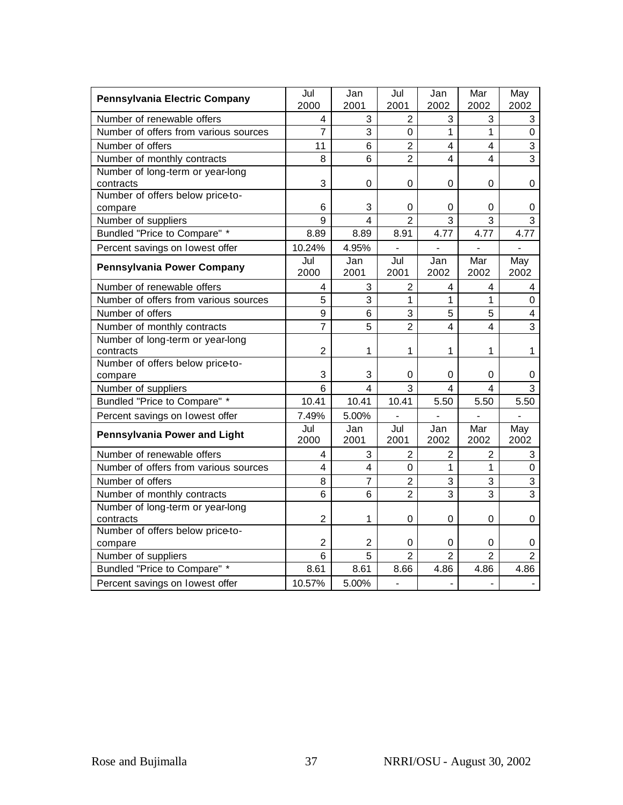| Pennsylvania Electric Company                 | Jul<br>2000    | Jan<br>2001             | Jul<br>2001    | Jan<br>2002                  | Mar<br>2002                        | May<br>2002               |
|-----------------------------------------------|----------------|-------------------------|----------------|------------------------------|------------------------------------|---------------------------|
| Number of renewable offers                    | 4              | 3                       | $\overline{2}$ | 3                            | 3                                  | 3                         |
| Number of offers from various sources         | $\overline{7}$ | 3                       | 0              | 1                            | 1                                  | $\mathbf 0$               |
| Number of offers                              | 11             | 6                       | $\overline{2}$ | 4                            | 4                                  | 3                         |
| Number of monthly contracts                   | 8              | 6                       | $\overline{2}$ | 4                            | 4                                  | 3                         |
| Number of long-term or year-long<br>contracts | 3              | 0                       | 0              | 0                            | 0                                  | 0                         |
| Number of offers below price-to-              |                |                         |                |                              |                                    |                           |
| compare                                       | 6              | 3                       | 0              | 0                            | 0                                  | 0                         |
| Number of suppliers                           | 9              | $\overline{\mathbf{A}}$ | $\overline{2}$ | 3                            | 3                                  | 3                         |
| Bundled "Price to Compare" *                  | 8.89           | 8.89                    | 8.91           | 4.77                         | 4.77                               | 4.77                      |
| Percent savings on lowest offer               | 10.24%         | 4.95%                   | $\blacksquare$ |                              |                                    |                           |
| <b>Pennsylvania Power Company</b>             | Jul<br>2000    | Jan<br>2001             | Jul<br>2001    | Jan<br>2002                  | Mar<br>2002                        | May<br>2002               |
| Number of renewable offers                    | 4              | 3                       | $\overline{2}$ | 4                            | 4                                  | 4                         |
| Number of offers from various sources         | 5              | 3                       | $\mathbf{1}$   | $\mathbf{1}$                 | 1                                  | $\mathbf 0$               |
| Number of offers                              | $\overline{9}$ | 6                       | 3              | 5                            | 5                                  | $\overline{\mathbf{4}}$   |
| Number of monthly contracts                   | $\overline{7}$ | 5                       | $\overline{2}$ | $\overline{4}$               | 4                                  | 3                         |
| Number of long-term or year-long<br>contracts | $\overline{2}$ | 1                       | 1              | 1                            | 1                                  | 1                         |
| Number of offers below price-to-              |                |                         |                |                              |                                    |                           |
| compare                                       | 3              | 3                       | 0              | 0                            | $\mathbf 0$                        | 0                         |
| Number of suppliers                           | 6              | 4                       | 3              | 4                            | 4                                  | 3                         |
| Bundled "Price to Compare" *                  | 10.41          | 10.41                   | 10.41          | 5.50                         | 5.50                               | 5.50                      |
| Percent savings on lowest offer               | 7.49%          | 5.00%                   |                |                              |                                    |                           |
| <b>Pennsylvania Power and Light</b>           | Jul<br>2000    | Jan<br>2001             | Jul<br>2001    | Jan<br>2002                  | $\overline{\mathsf{M}}$ ar<br>2002 | May<br>2002               |
| Number of renewable offers                    | 4              | 3                       | $\overline{2}$ | $\overline{2}$               | $\overline{2}$                     | 3                         |
| Number of offers from various sources         | 4              | 4                       | $\overline{0}$ | 1                            | 1                                  | $\pmb{0}$                 |
| Number of offers                              | 8              | 7                       | $\overline{2}$ | 3                            | 3                                  | $\ensuremath{\mathsf{3}}$ |
| Number of monthly contracts                   | 6              | 6                       | $\overline{2}$ | 3                            | 3                                  | 3                         |
| Number of long-term or year-long<br>contracts | $\overline{2}$ | 1                       | 0              | 0                            | 0                                  | 0                         |
| Number of offers below price-to-              |                |                         |                |                              |                                    |                           |
| compare                                       | $\overline{2}$ | $\overline{c}$          | 0              | 0                            | 0                                  | 0                         |
| Number of suppliers                           | 6              | 5                       | $\overline{2}$ | $\overline{2}$               | $\overline{2}$                     | $\overline{2}$            |
| Bundled "Price to Compare" *                  | 8.61           | 8.61                    | 8.66           | 4.86                         | 4.86                               | 4.86                      |
| Percent savings on lowest offer               | 10.57%         | 5.00%                   |                | $\qquad \qquad \blacksquare$ | $\overline{\phantom{0}}$           |                           |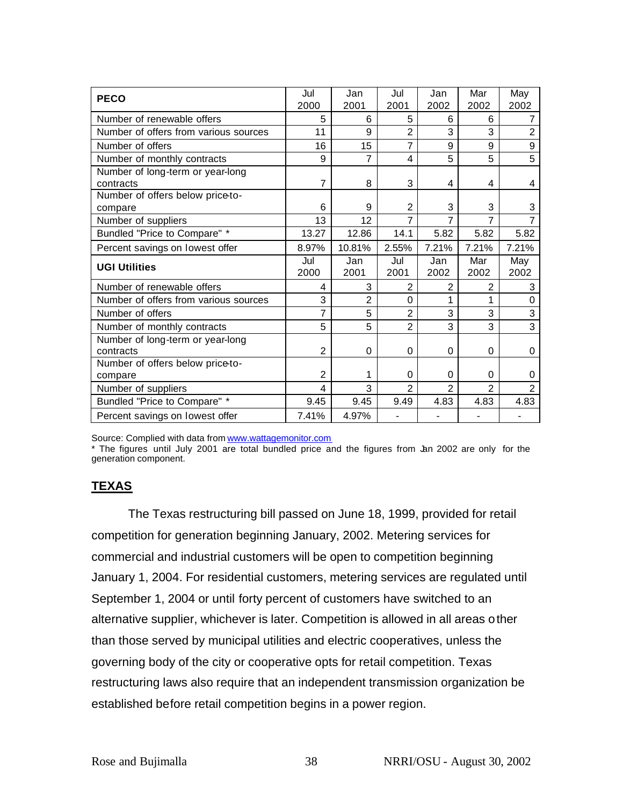| <b>PECO</b>                           | Jul            | Jan            | Jul            | Jan            | Mar            | May            |
|---------------------------------------|----------------|----------------|----------------|----------------|----------------|----------------|
|                                       | 2000           | 2001           | 2001           | 2002           | 2002           | 2002           |
| Number of renewable offers            | 5              | 6              | 5              | 6              | 6              | 7              |
| Number of offers from various sources | 11             | 9              | $\overline{2}$ | 3              | 3              | $\overline{2}$ |
| Number of offers                      | 16             | 15             | 7              | 9              | 9              | 9              |
| Number of monthly contracts           | 9              | 7              | 4              | 5              | 5              | 5              |
| Number of long-term or year-long      |                |                |                |                |                |                |
| contracts                             | 7              | 8              | 3              | 4              | 4              | 4              |
| Number of offers below price-to-      |                |                |                |                |                |                |
| compare                               | 6              | 9              | $\overline{2}$ | 3              | 3              | 3              |
| Number of suppliers                   | 13             | 12             | 7              | 7              | 7              | 7              |
| Bundled "Price to Compare" *          | 13.27          | 12.86          | 14.1           | 5.82           | 5.82           | 5.82           |
| Percent savings on lowest offer       | 8.97%          | 10.81%         | 2.55%          | 7.21%          | 7.21%          | 7.21%          |
| <b>UGI Utilities</b>                  | Jul            | Jan            | Jul            | Jan            | Mar            | May            |
|                                       | 2000           | 2001           | 2001           | 2002           | 2002           | 2002           |
| Number of renewable offers            | 4              | 3              | $\overline{2}$ | $\overline{2}$ | $\overline{2}$ | 3              |
| Number of offers from various sources | 3              | $\overline{2}$ | $\Omega$       | 1              | 1              | $\Omega$       |
| Number of offers                      | 7              | 5              | $\overline{2}$ | 3              | 3              | 3              |
| Number of monthly contracts           | 5              | 5              | $\overline{2}$ | 3              | 3              | 3              |
| Number of long-term or year-long      |                |                |                |                |                |                |
| contracts                             | $\overline{2}$ | 0              | 0              | 0              | $\Omega$       | 0              |
| Number of offers below price-to-      |                |                |                |                |                |                |
| compare                               | $\overline{2}$ | 1              | 0              | 0              | 0              | 0              |
| Number of suppliers                   | $\overline{4}$ | 3              | $\overline{2}$ | $\overline{2}$ | $\overline{2}$ | $\overline{2}$ |
| Bundled "Price to Compare" *          | 9.45           | 9.45           | 9.49           | 4.83           | 4.83           | 4.83           |
| Percent savings on lowest offer       | 7.41%          | 4.97%          |                |                |                |                |

Source: Complied with data from www.wattagemonitor.com

\* The figures until July 2001 are total bundled price and the figures from Jan 2002 are only for the generation component.

## **TEXAS**

The Texas restructuring bill passed on June 18, 1999, provided for retail competition for generation beginning January, 2002. Metering services for commercial and industrial customers will be open to competition beginning January 1, 2004. For residential customers, metering services are regulated until September 1, 2004 or until forty percent of customers have switched to an alternative supplier, whichever is later. Competition is allowed in all areas other than those served by municipal utilities and electric cooperatives, unless the governing body of the city or cooperative opts for retail competition. Texas restructuring laws also require that an independent transmission organization be established before retail competition begins in a power region.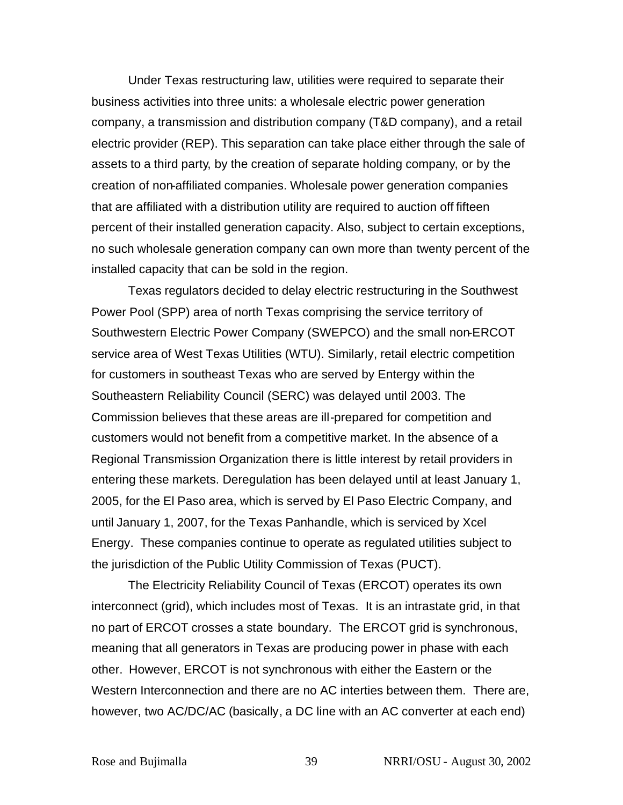Under Texas restructuring law, utilities were required to separate their business activities into three units: a wholesale electric power generation company, a transmission and distribution company (T&D company), and a retail electric provider (REP). This separation can take place either through the sale of assets to a third party, by the creation of separate holding company, or by the creation of non-affiliated companies. Wholesale power generation companies that are affiliated with a distribution utility are required to auction off fifteen percent of their installed generation capacity. Also, subject to certain exceptions, no such wholesale generation company can own more than twenty percent of the installed capacity that can be sold in the region.

Texas regulators decided to delay electric restructuring in the Southwest Power Pool (SPP) area of north Texas comprising the service territory of Southwestern Electric Power Company (SWEPCO) and the small non-ERCOT service area of West Texas Utilities (WTU). Similarly, retail electric competition for customers in southeast Texas who are served by Entergy within the Southeastern Reliability Council (SERC) was delayed until 2003. The Commission believes that these areas are ill-prepared for competition and customers would not benefit from a competitive market. In the absence of a Regional Transmission Organization there is little interest by retail providers in entering these markets. Deregulation has been delayed until at least January 1, 2005, for the El Paso area, which is served by El Paso Electric Company, and until January 1, 2007, for the Texas Panhandle, which is serviced by Xcel Energy. These companies continue to operate as regulated utilities subject to the jurisdiction of the Public Utility Commission of Texas (PUCT).

The Electricity Reliability Council of Texas (ERCOT) operates its own interconnect (grid), which includes most of Texas. It is an intrastate grid, in that no part of ERCOT crosses a state boundary. The ERCOT grid is synchronous, meaning that all generators in Texas are producing power in phase with each other. However, ERCOT is not synchronous with either the Eastern or the Western Interconnection and there are no AC interties between them. There are, however, two AC/DC/AC (basically, a DC line with an AC converter at each end)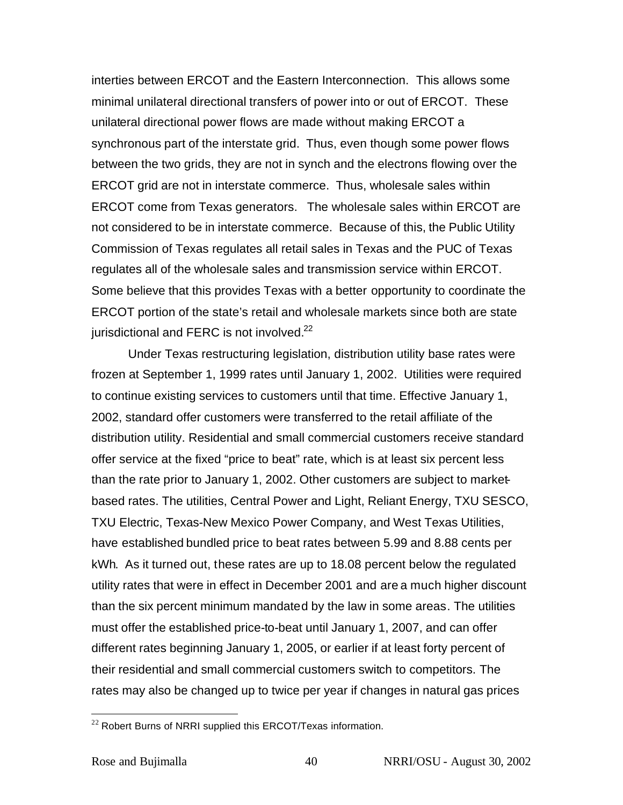interties between ERCOT and the Eastern Interconnection. This allows some minimal unilateral directional transfers of power into or out of ERCOT. These unilateral directional power flows are made without making ERCOT a synchronous part of the interstate grid. Thus, even though some power flows between the two grids, they are not in synch and the electrons flowing over the ERCOT grid are not in interstate commerce. Thus, wholesale sales within ERCOT come from Texas generators. The wholesale sales within ERCOT are not considered to be in interstate commerce. Because of this, the Public Utility Commission of Texas regulates all retail sales in Texas and the PUC of Texas regulates all of the wholesale sales and transmission service within ERCOT. Some believe that this provides Texas with a better opportunity to coordinate the ERCOT portion of the state's retail and wholesale markets since both are state jurisdictional and FERC is not involved.<sup>22</sup>

Under Texas restructuring legislation, distribution utility base rates were frozen at September 1, 1999 rates until January 1, 2002. Utilities were required to continue existing services to customers until that time. Effective January 1, 2002, standard offer customers were transferred to the retail affiliate of the distribution utility. Residential and small commercial customers receive standard offer service at the fixed "price to beat" rate, which is at least six percent less than the rate prior to January 1, 2002. Other customers are subject to marketbased rates. The utilities, Central Power and Light, Reliant Energy, TXU SESCO, TXU Electric, Texas-New Mexico Power Company, and West Texas Utilities, have established bundled price to beat rates between 5.99 and 8.88 cents per kWh. As it turned out, these rates are up to 18.08 percent below the regulated utility rates that were in effect in December 2001 and are a much higher discount than the six percent minimum mandated by the law in some areas. The utilities must offer the established price-to-beat until January 1, 2007, and can offer different rates beginning January 1, 2005, or earlier if at least forty percent of their residential and small commercial customers switch to competitors. The rates may also be changed up to twice per year if changes in natural gas prices

 $22$  Robert Burns of NRRI supplied this ERCOT/Texas information.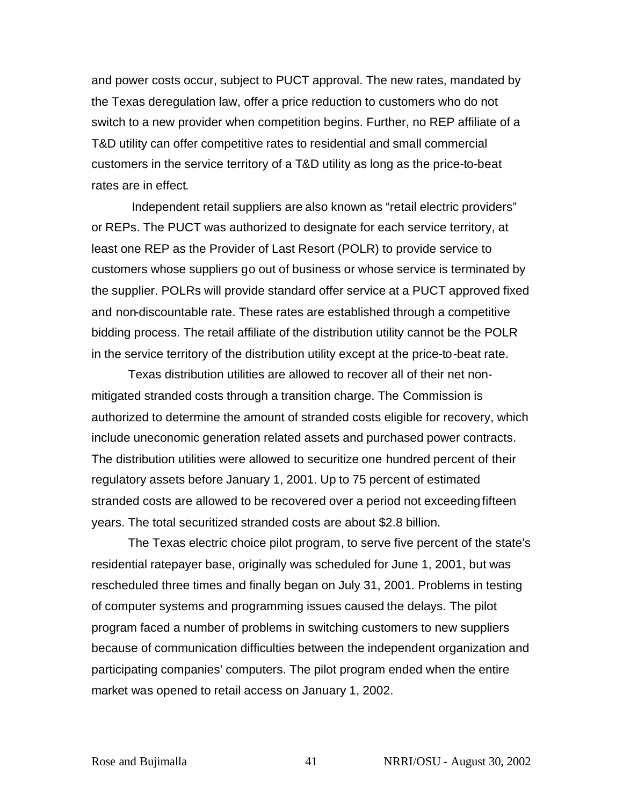and power costs occur, subject to PUCT approval. The new rates, mandated by the Texas deregulation law, offer a price reduction to customers who do not switch to a new provider when competition begins. Further, no REP affiliate of a T&D utility can offer competitive rates to residential and small commercial customers in the service territory of a T&D utility as long as the price-to-beat rates are in effect.

Independent retail suppliers are also known as "retail electric providers" or REPs. The PUCT was authorized to designate for each service territory, at least one REP as the Provider of Last Resort (POLR) to provide service to customers whose suppliers go out of business or whose service is terminated by the supplier. POLRs will provide standard offer service at a PUCT approved fixed and non-discountable rate. These rates are established through a competitive bidding process. The retail affiliate of the distribution utility cannot be the POLR in the service territory of the distribution utility except at the price-to-beat rate.

Texas distribution utilities are allowed to recover all of their net nonmitigated stranded costs through a transition charge. The Commission is authorized to determine the amount of stranded costs eligible for recovery, which include uneconomic generation related assets and purchased power contracts. The distribution utilities were allowed to securitize one hundred percent of their regulatory assets before January 1, 2001. Up to 75 percent of estimated stranded costs are allowed to be recovered over a period not exceeding fifteen years. The total securitized stranded costs are about \$2.8 billion.

The Texas electric choice pilot program, to serve five percent of the state's residential ratepayer base, originally was scheduled for June 1, 2001, but was rescheduled three times and finally began on July 31, 2001. Problems in testing of computer systems and programming issues caused the delays. The pilot program faced a number of problems in switching customers to new suppliers because of communication difficulties between the independent organization and participating companies' computers. The pilot program ended when the entire market was opened to retail access on January 1, 2002.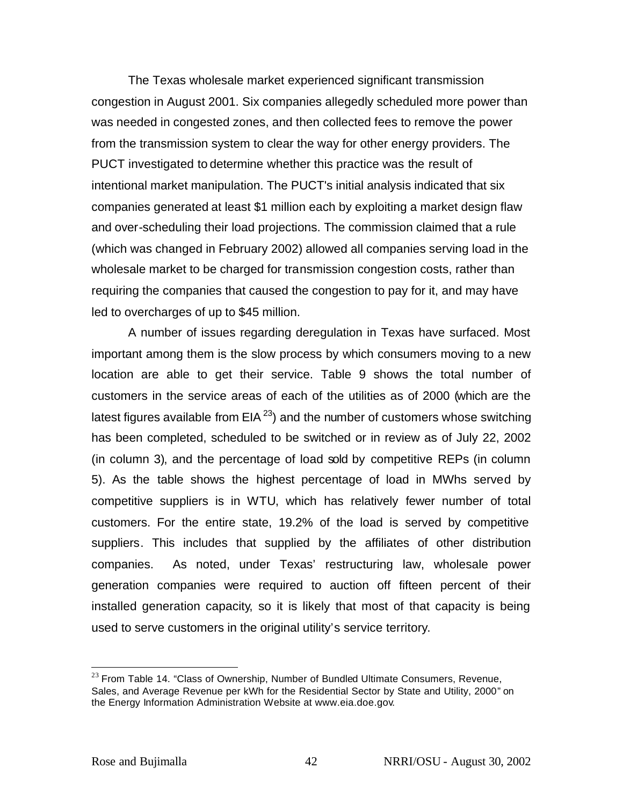The Texas wholesale market experienced significant transmission congestion in August 2001. Six companies allegedly scheduled more power than was needed in congested zones, and then collected fees to remove the power from the transmission system to clear the way for other energy providers. The PUCT investigated to determine whether this practice was the result of intentional market manipulation. The PUCT's initial analysis indicated that six companies generated at least \$1 million each by exploiting a market design flaw and over-scheduling their load projections. The commission claimed that a rule (which was changed in February 2002) allowed all companies serving load in the wholesale market to be charged for transmission congestion costs, rather than requiring the companies that caused the congestion to pay for it, and may have led to overcharges of up to \$45 million.

A number of issues regarding deregulation in Texas have surfaced. Most important among them is the slow process by which consumers moving to a new location are able to get their service. Table 9 shows the total number of customers in the service areas of each of the utilities as of 2000 (which are the latest figures available from EIA $^{23}$ ) and the number of customers whose switching has been completed, scheduled to be switched or in review as of July 22, 2002 (in column 3), and the percentage of load sold by competitive REPs (in column 5). As the table shows the highest percentage of load in MWhs served by competitive suppliers is in WTU, which has relatively fewer number of total customers. For the entire state, 19.2% of the load is served by competitive suppliers. This includes that supplied by the affiliates of other distribution companies. As noted, under Texas' restructuring law, wholesale power generation companies were required to auction off fifteen percent of their installed generation capacity, so it is likely that most of that capacity is being used to serve customers in the original utility's service territory.

 $23$  From Table 14. "Class of Ownership, Number of Bundled Ultimate Consumers, Revenue, Sales, and Average Revenue per kWh for the Residential Sector by State and Utility, 2000" on the Energy Information Administration Website at www.eia.doe.gov.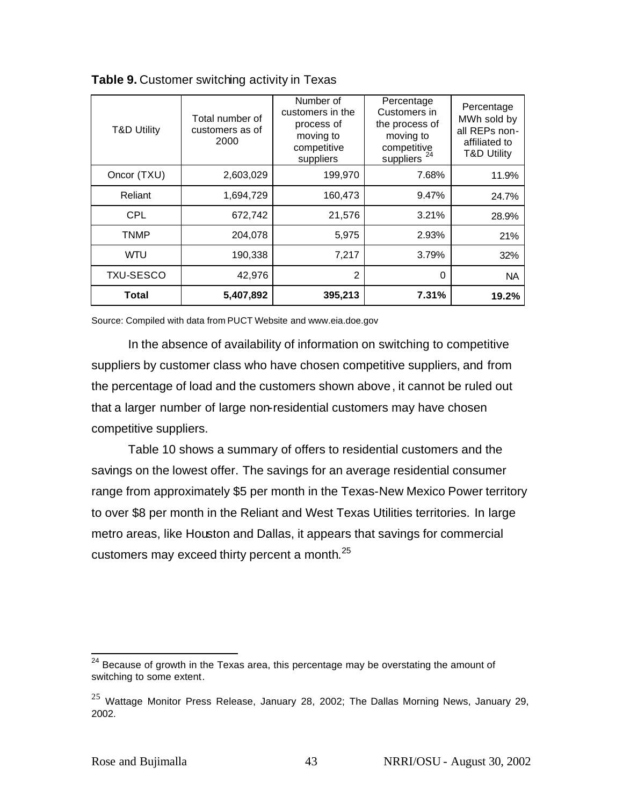| <b>T&amp;D Utility</b> | Total number of<br>customers as of<br>2000 | Number of<br>customers in the<br>process of<br>moving to<br>competitive<br>suppliers | Percentage<br>Customers in<br>the process of<br>moving to<br>competitive<br>24<br>suppliers | Percentage<br>MWh sold by<br>all REPs non-<br>affiliated to<br><b>T&amp;D Utility</b> |
|------------------------|--------------------------------------------|--------------------------------------------------------------------------------------|---------------------------------------------------------------------------------------------|---------------------------------------------------------------------------------------|
| Oncor (TXU)            | 2,603,029                                  | 199,970                                                                              | 7.68%                                                                                       | 11.9%                                                                                 |
| Reliant                | 1,694,729                                  | 160,473                                                                              | 9.47%                                                                                       | 24.7%                                                                                 |
| <b>CPL</b>             | 672,742                                    | 21,576                                                                               | 3.21%                                                                                       | 28.9%                                                                                 |
| TNMP                   | 204,078                                    | 5,975                                                                                | 2.93%                                                                                       | 21%                                                                                   |
| <b>WTU</b>             | 190,338                                    | 7,217                                                                                | 3.79%                                                                                       | 32%                                                                                   |
| <b>TXU-SESCO</b>       | 42,976                                     | $\overline{2}$                                                                       | 0                                                                                           | <b>NA</b>                                                                             |
| Total                  | 5,407,892                                  | 395,213                                                                              | 7.31%                                                                                       | 19.2%                                                                                 |

**Table 9.** Customer switching activity in Texas

Source: Compiled with data from PUCT Website and www.eia.doe.gov

In the absence of availability of information on switching to competitive suppliers by customer class who have chosen competitive suppliers, and from the percentage of load and the customers shown above, it cannot be ruled out that a larger number of large non-residential customers may have chosen competitive suppliers.

Table 10 shows a summary of offers to residential customers and the savings on the lowest offer. The savings for an average residential consumer range from approximately \$5 per month in the Texas-New Mexico Power territory to over \$8 per month in the Reliant and West Texas Utilities territories. In large metro areas, like Houston and Dallas, it appears that savings for commercial customers may exceed thirty percent a month.<sup>25</sup>

 $24$  Because of growth in the Texas area, this percentage may be overstating the amount of switching to some extent.

 $25$  Wattage Monitor Press Release, January 28, 2002; The Dallas Morning News, January 29, 2002.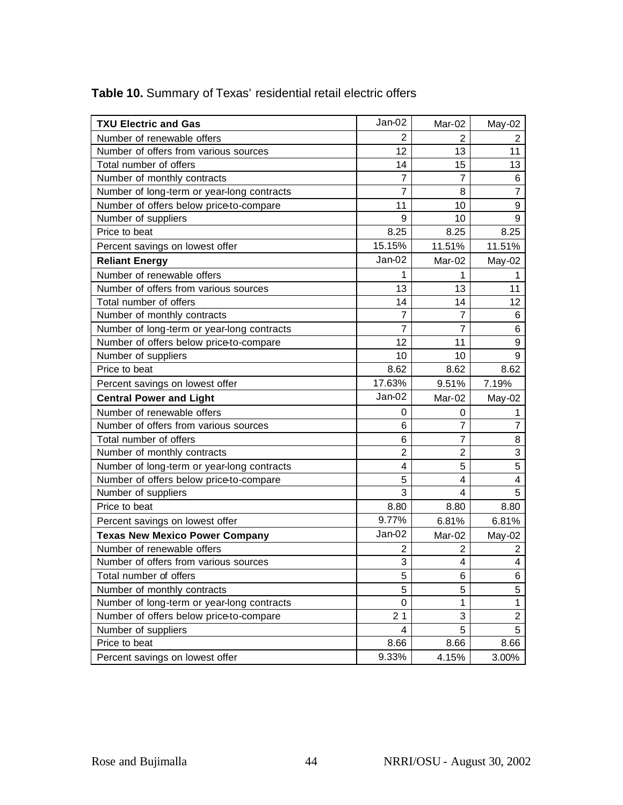| <b>TXU Electric and Gas</b>                | Jan-02         | Mar-02         | May-02                  |
|--------------------------------------------|----------------|----------------|-------------------------|
| Number of renewable offers                 | $\overline{2}$ | 2              | $\overline{2}$          |
| Number of offers from various sources      | 12             | 13             | 11                      |
| Total number of offers                     | 14             | 15             | 13                      |
| Number of monthly contracts                | 7              | 7              | 6                       |
| Number of long-term or year-long contracts | 7              | 8              | $\overline{7}$          |
| Number of offers below price-to-compare    | 11             | 10             | $\boldsymbol{9}$        |
| Number of suppliers                        | 9              | 10             | 9                       |
| Price to beat                              | 8.25           | 8.25           | 8.25                    |
| Percent savings on lowest offer            | 15.15%         | 11.51%         | 11.51%                  |
| <b>Reliant Energy</b>                      | Jan-02         | Mar-02         | May-02                  |
| Number of renewable offers                 | 1              | 1              | 1                       |
| Number of offers from various sources      | 13             | 13             | 11                      |
| Total number of offers                     | 14             | 14             | 12                      |
| Number of monthly contracts                | 7              | 7              | 6                       |
| Number of long-term or year-long contracts | 7              | 7              | 6                       |
| Number of offers below price-to-compare    | 12             | 11             | $\boldsymbol{9}$        |
| Number of suppliers                        | 10             | 10             | 9                       |
| Price to beat                              | 8.62           | 8.62           | 8.62                    |
| Percent savings on lowest offer            | 17.63%         | 9.51%          | 7.19%                   |
| <b>Central Power and Light</b>             | Jan-02         | Mar-02         | May-02                  |
| Number of renewable offers                 | 0              | 0              | 1                       |
| Number of offers from various sources      | 6              | 7              | $\overline{7}$          |
| Total number of offers                     | 6              | 7              | 8                       |
| Number of monthly contracts                | $\overline{2}$ | $\overline{2}$ | 3                       |
| Number of long-term or year-long contracts | 4              | 5              | 5                       |
| Number of offers below price-to-compare    | 5              | 4              | $\overline{\mathbf{4}}$ |
| Number of suppliers                        | 3              | 4              | 5                       |
| Price to beat                              | 8.80           | 8.80           | 8.80                    |
| Percent savings on lowest offer            | 9.77%          | 6.81%          | 6.81%                   |
| <b>Texas New Mexico Power Company</b>      | Jan-02         | Mar-02         | May-02                  |
| Number of renewable offers                 | 2              | 2              | 2                       |
| Number of offers from various sources      | 3              | 4              | 4                       |
| Total number of offers                     | 5              | 6              | 6                       |
| Number of monthly contracts                | 5              | 5              | 5                       |
| Number of long-term or year-long contracts | 0              | 1              | $\mathbf{1}$            |
| Number of offers below price-to-compare    | 21             | 3              | $\overline{c}$          |
| Number of suppliers                        | 4              | 5              | 5                       |
| Price to beat                              | 8.66           | 8.66           | 8.66                    |
| Percent savings on lowest offer            | 9.33%          | 4.15%          | 3.00%                   |

# **Table 10.** Summary of Texas' residential retail electric offers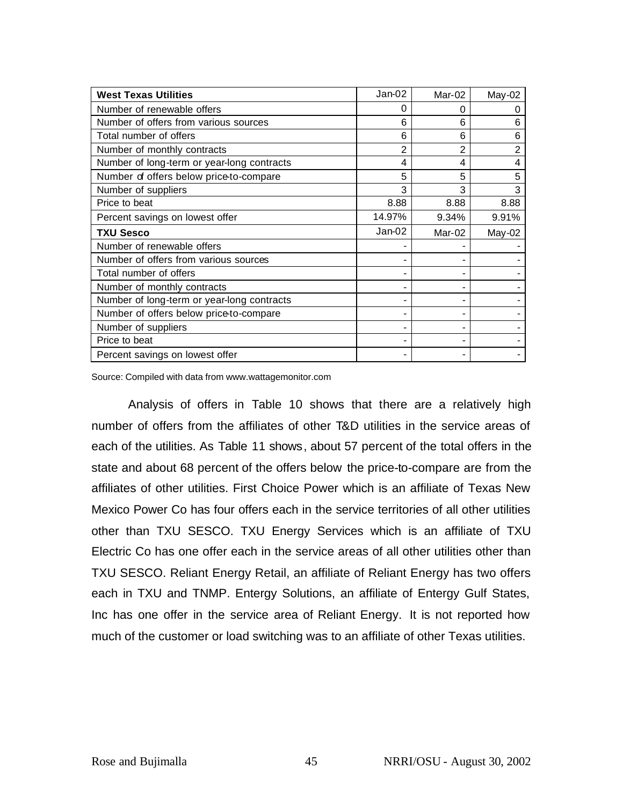| <b>West Texas Utilities</b>                | Jan-02   | $Mar-02$       | May-02         |
|--------------------------------------------|----------|----------------|----------------|
| Number of renewable offers                 | 0        | 0              |                |
| Number of offers from various sources      | 6        | 6              | 6              |
| Total number of offers                     | 6        | 6              | 6              |
| Number of monthly contracts                | 2        | $\overline{2}$ | $\overline{2}$ |
| Number of long-term or year-long contracts | 4        | 4              | 4              |
| Number of offers below price-to-compare    | 5        | 5              | 5              |
| Number of suppliers                        | 3        | 3              | 3              |
| Price to beat                              | 8.88     | 8.88           | 8.88           |
| Percent savings on lowest offer            | 14.97%   | 9.34%          | 9.91%          |
| <b>TXU Sesco</b>                           | $Jan-02$ | Mar-02         | May-02         |
| Number of renewable offers                 |          |                |                |
| Number of offers from various sources      |          |                |                |
| Total number of offers                     |          |                |                |
| Number of monthly contracts                |          |                |                |
| Number of long-term or year-long contracts |          |                |                |
| Number of offers below price-to-compare    |          |                |                |
| Number of suppliers                        |          |                |                |
| Price to beat                              |          |                |                |
| Percent savings on lowest offer            |          |                |                |

Source: Compiled with data from www.wattagemonitor.com

Analysis of offers in Table 10 shows that there are a relatively high number of offers from the affiliates of other T&D utilities in the service areas of each of the utilities. As Table 11 shows, about 57 percent of the total offers in the state and about 68 percent of the offers below the price-to-compare are from the affiliates of other utilities. First Choice Power which is an affiliate of Texas New Mexico Power Co has four offers each in the service territories of all other utilities other than TXU SESCO. TXU Energy Services which is an affiliate of TXU Electric Co has one offer each in the service areas of all other utilities other than TXU SESCO. Reliant Energy Retail, an affiliate of Reliant Energy has two offers each in TXU and TNMP. Entergy Solutions, an affiliate of Entergy Gulf States, Inc has one offer in the service area of Reliant Energy. It is not reported how much of the customer or load switching was to an affiliate of other Texas utilities.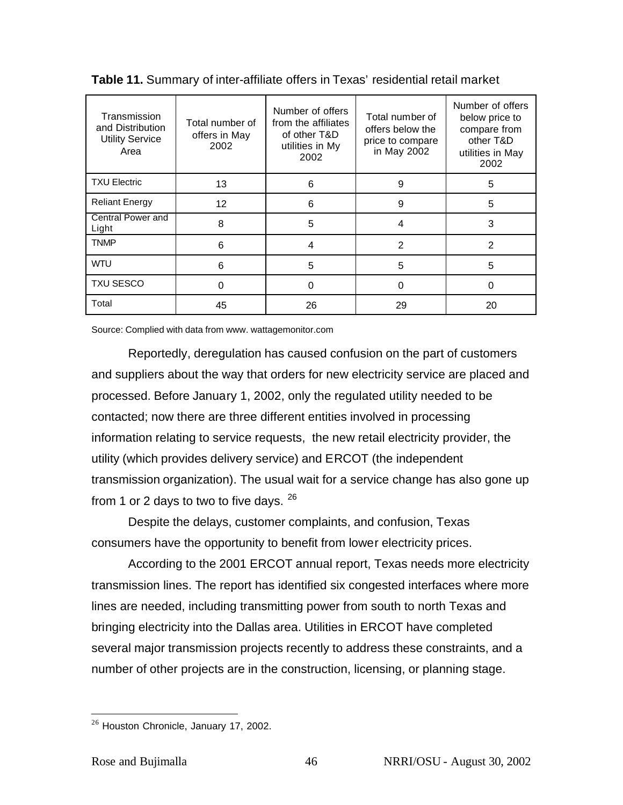| Transmission<br>and Distribution<br><b>Utility Service</b><br>Area | Total number of<br>offers in May<br>2002 | Number of offers<br>from the affiliates<br>of other T&D<br>utilities in My<br>2002 | Total number of<br>offers below the<br>price to compare<br>in May 2002 | Number of offers<br>below price to<br>compare from<br>other T&D<br>utilities in May<br>2002 |
|--------------------------------------------------------------------|------------------------------------------|------------------------------------------------------------------------------------|------------------------------------------------------------------------|---------------------------------------------------------------------------------------------|
| <b>TXU Electric</b>                                                | 13                                       | 6                                                                                  | 9                                                                      | 5                                                                                           |
| <b>Reliant Energy</b>                                              | $12 \overline{ }$                        | 6                                                                                  | 9                                                                      | 5                                                                                           |
| Central Power and<br>Light                                         | 8                                        | 5                                                                                  | 4                                                                      | 3                                                                                           |
| <b>TNMP</b>                                                        | 6                                        | 4                                                                                  | 2                                                                      | 2                                                                                           |
| <b>WTU</b>                                                         | 6                                        | 5                                                                                  | 5                                                                      | 5                                                                                           |
| <b>TXU SESCO</b>                                                   | 0                                        | O                                                                                  | 0                                                                      | 0                                                                                           |
| Total                                                              | 45                                       | 26                                                                                 | 29                                                                     | 20                                                                                          |

Source: Complied with data from www. wattagemonitor.com

Reportedly, deregulation has caused confusion on the part of customers and suppliers about the way that orders for new electricity service are placed and processed. Before January 1, 2002, only the regulated utility needed to be contacted; now there are three different entities involved in processing information relating to service requests, the new retail electricity provider, the utility (which provides delivery service) and ERCOT (the independent transmission organization). The usual wait for a service change has also gone up from 1 or 2 days to two to five days.  $26$ 

Despite the delays, customer complaints, and confusion, Texas consumers have the opportunity to benefit from lower electricity prices.

According to the 2001 ERCOT annual report, Texas needs more electricity transmission lines. The report has identified six congested interfaces where more lines are needed, including transmitting power from south to north Texas and bringing electricity into the Dallas area. Utilities in ERCOT have completed several major transmission projects recently to address these constraints, and a number of other projects are in the construction, licensing, or planning stage.

<sup>&</sup>lt;sup>26</sup> Houston Chronicle, January 17, 2002.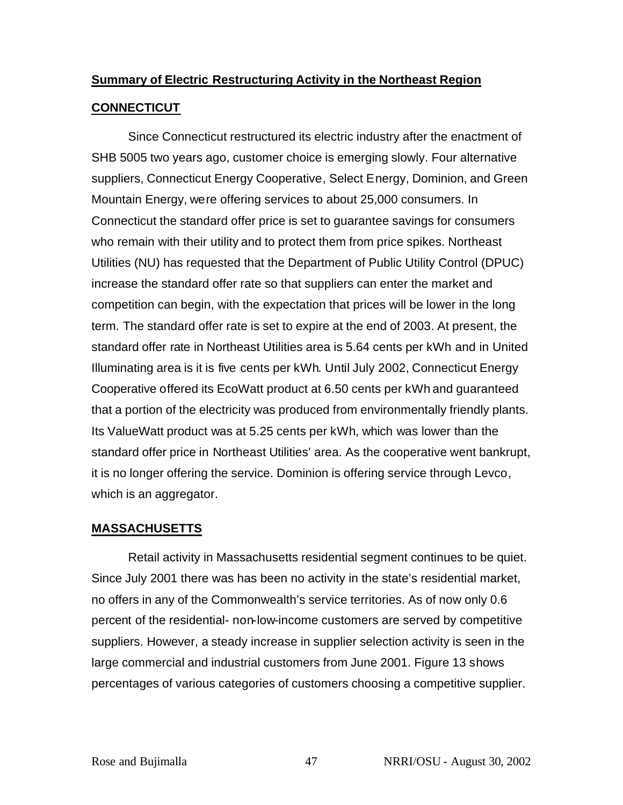# **Summary of Electric Restructuring Activity in the Northeast Region**

## **CONNECTICUT**

Since Connecticut restructured its electric industry after the enactment of SHB 5005 two years ago, customer choice is emerging slowly. Four alternative suppliers, Connecticut Energy Cooperative, Select Energy, Dominion, and Green Mountain Energy, were offering services to about 25,000 consumers. In Connecticut the standard offer price is set to guarantee savings for consumers who remain with their utility and to protect them from price spikes. Northeast Utilities (NU) has requested that the Department of Public Utility Control (DPUC) increase the standard offer rate so that suppliers can enter the market and competition can begin, with the expectation that prices will be lower in the long term. The standard offer rate is set to expire at the end of 2003. At present, the standard offer rate in Northeast Utilities area is 5.64 cents per kWh and in United Illuminating area is it is five cents per kWh. Until July 2002, Connecticut Energy Cooperative offered its EcoWatt product at 6.50 cents per kWh and guaranteed that a portion of the electricity was produced from environmentally friendly plants. Its ValueWatt product was at 5.25 cents per kWh, which was lower than the standard offer price in Northeast Utilities' area. As the cooperative went bankrupt, it is no longer offering the service. Dominion is offering service through Levco, which is an aggregator.

## **MASSACHUSETTS**

Retail activity in Massachusetts residential segment continues to be quiet. Since July 2001 there was has been no activity in the state's residential market, no offers in any of the Commonwealth's service territories. As of now only 0.6 percent of the residential- non-low-income customers are served by competitive suppliers. However, a steady increase in supplier selection activity is seen in the large commercial and industrial customers from June 2001. Figure 13 shows percentages of various categories of customers choosing a competitive supplier.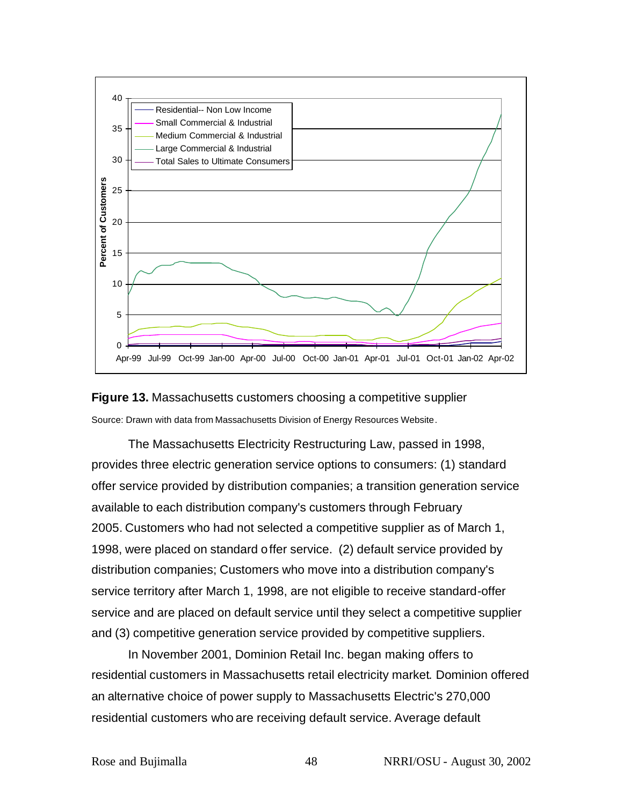



The Massachusetts Electricity Restructuring Law, passed in 1998, provides three electric generation service options to consumers: (1) standard offer service provided by distribution companies; a transition generation service available to each distribution company's customers through February 2005. Customers who had not selected a competitive supplier as of March 1, 1998, were placed on standard offer service. (2) default service provided by distribution companies; Customers who move into a distribution company's service territory after March 1, 1998, are not eligible to receive standard-offer service and are placed on default service until they select a competitive supplier and (3) competitive generation service provided by competitive suppliers.

In November 2001, Dominion Retail Inc. began making offers to residential customers in Massachusetts retail electricity market. Dominion offered an alternative choice of power supply to Massachusetts Electric's 270,000 residential customers who are receiving default service. Average default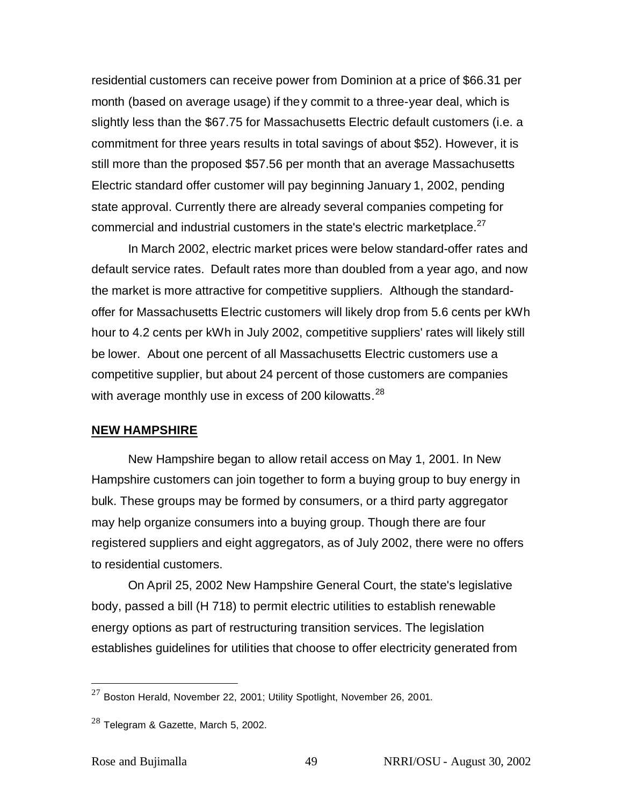residential customers can receive power from Dominion at a price of \$66.31 per month (based on average usage) if they commit to a three-year deal, which is slightly less than the \$67.75 for Massachusetts Electric default customers (i.e. a commitment for three years results in total savings of about \$52). However, it is still more than the proposed \$57.56 per month that an average Massachusetts Electric standard offer customer will pay beginning January 1, 2002, pending state approval. Currently there are already several companies competing for commercial and industrial customers in the state's electric marketplace. $^{27}$ 

In March 2002, electric market prices were below standard-offer rates and default service rates. Default rates more than doubled from a year ago, and now the market is more attractive for competitive suppliers. Although the standardoffer for Massachusetts Electric customers will likely drop from 5.6 cents per kWh hour to 4.2 cents per kWh in July 2002, competitive suppliers' rates will likely still be lower. About one percent of all Massachusetts Electric customers use a competitive supplier, but about 24 percent of those customers are companies with average monthly use in excess of 200 kilowatts.<sup>28</sup>

#### **NEW HAMPSHIRE**

New Hampshire began to allow retail access on May 1, 2001. In New Hampshire customers can join together to form a buying group to buy energy in bulk. These groups may be formed by consumers, or a third party aggregator may help organize consumers into a buying group. Though there are four registered suppliers and eight aggregators, as of July 2002, there were no offers to residential customers.

On April 25, 2002 New Hampshire General Court, the state's legislative body, passed a bill (H 718) to permit electric utilities to establish renewable energy options as part of restructuring transition services. The legislation establishes guidelines for utilities that choose to offer electricity generated from

 $^{27}$  Boston Herald, November 22, 2001; Utility Spotlight, November 26, 2001.

 $28$  Telegram & Gazette, March 5, 2002.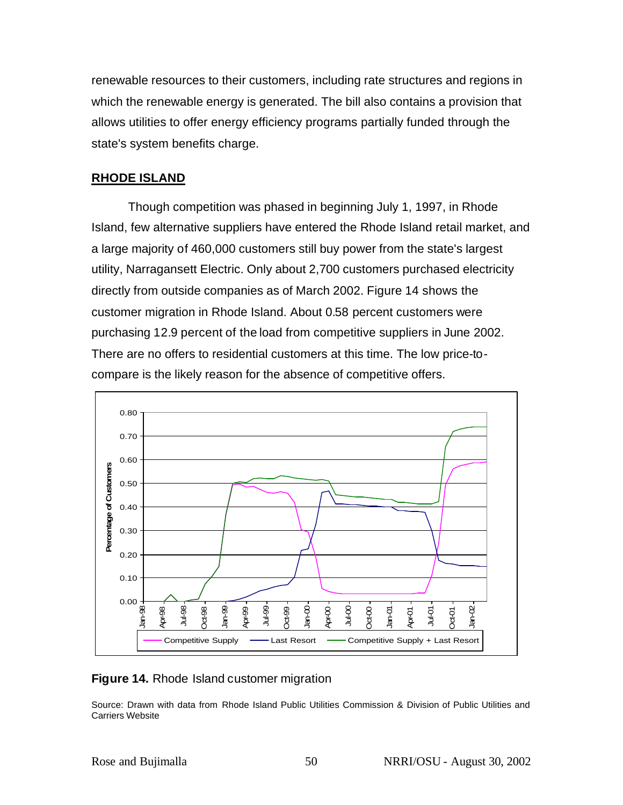renewable resources to their customers, including rate structures and regions in which the renewable energy is generated. The bill also contains a provision that allows utilities to offer energy efficiency programs partially funded through the state's system benefits charge.

## **RHODE ISLAND**

Though competition was phased in beginning July 1, 1997, in Rhode Island, few alternative suppliers have entered the Rhode Island retail market, and a large majority of 460,000 customers still buy power from the state's largest utility, Narragansett Electric. Only about 2,700 customers purchased electricity directly from outside companies as of March 2002. Figure 14 shows the customer migration in Rhode Island. About 0.58 percent customers were purchasing 12.9 percent of the load from competitive suppliers in June 2002. There are no offers to residential customers at this time. The low price-tocompare is the likely reason for the absence of competitive offers.



## **Figure 14.** Rhode Island customer migration

Source: Drawn with data from Rhode Island Public Utilities Commission & Division of Public Utilities and Carriers Website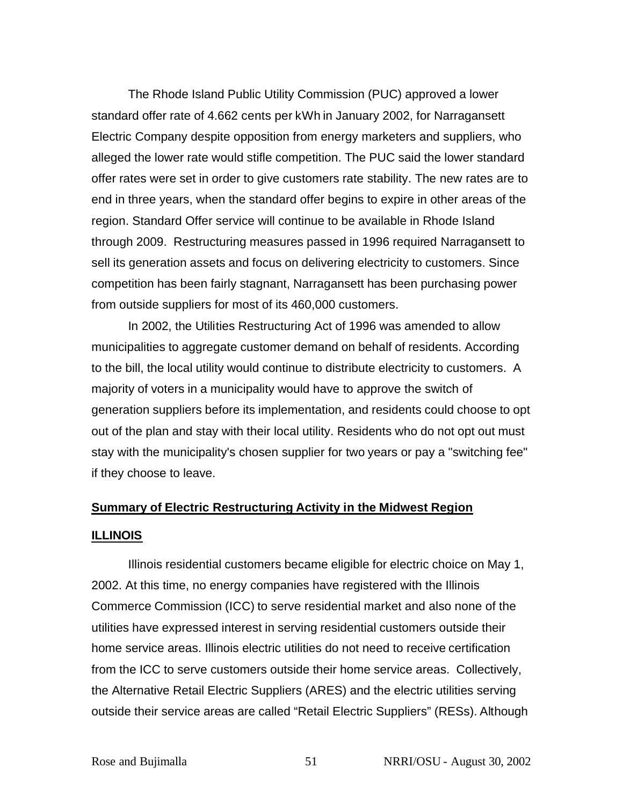The Rhode Island Public Utility Commission (PUC) approved a lower standard offer rate of 4.662 cents per kWh in January 2002, for Narragansett Electric Company despite opposition from energy marketers and suppliers, who alleged the lower rate would stifle competition. The PUC said the lower standard offer rates were set in order to give customers rate stability. The new rates are to end in three years, when the standard offer begins to expire in other areas of the region. Standard Offer service will continue to be available in Rhode Island through 2009. Restructuring measures passed in 1996 required Narragansett to sell its generation assets and focus on delivering electricity to customers. Since competition has been fairly stagnant, Narragansett has been purchasing power from outside suppliers for most of its 460,000 customers.

In 2002, the Utilities Restructuring Act of 1996 was amended to allow municipalities to aggregate customer demand on behalf of residents. According to the bill, the local utility would continue to distribute electricity to customers. A majority of voters in a municipality would have to approve the switch of generation suppliers before its implementation, and residents could choose to opt out of the plan and stay with their local utility. Residents who do not opt out must stay with the municipality's chosen supplier for two years or pay a "switching fee" if they choose to leave.

# **Summary of Electric Restructuring Activity in the Midwest Region ILLINOIS**

Illinois residential customers became eligible for electric choice on May 1, 2002. At this time, no energy companies have registered with the Illinois Commerce Commission (ICC) to serve residential market and also none of the utilities have expressed interest in serving residential customers outside their home service areas. Illinois electric utilities do not need to receive certification from the ICC to serve customers outside their home service areas. Collectively, the Alternative Retail Electric Suppliers (ARES) and the electric utilities serving outside their service areas are called "Retail Electric Suppliers" (RESs). Although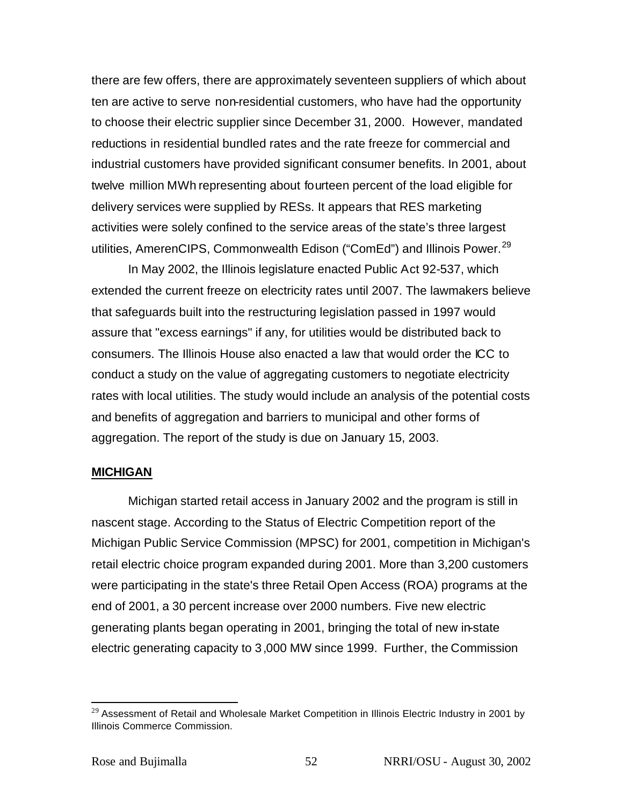there are few offers, there are approximately seventeen suppliers of which about ten are active to serve non-residential customers, who have had the opportunity to choose their electric supplier since December 31, 2000. However, mandated reductions in residential bundled rates and the rate freeze for commercial and industrial customers have provided significant consumer benefits. In 2001, about twelve million MWh representing about fourteen percent of the load eligible for delivery services were supplied by RESs. It appears that RES marketing activities were solely confined to the service areas of the state's three largest utilities, AmerenCIPS, Commonwealth Edison ("ComEd") and Illinois Power.<sup>29</sup>

In May 2002, the Illinois legislature enacted Public Act 92-537, which extended the current freeze on electricity rates until 2007. The lawmakers believe that safeguards built into the restructuring legislation passed in 1997 would assure that "excess earnings" if any, for utilities would be distributed back to consumers. The Illinois House also enacted a law that would order the ICC to conduct a study on the value of aggregating customers to negotiate electricity rates with local utilities. The study would include an analysis of the potential costs and benefits of aggregation and barriers to municipal and other forms of aggregation. The report of the study is due on January 15, 2003.

#### **MICHIGAN**

Michigan started retail access in January 2002 and the program is still in nascent stage. According to the Status of Electric Competition report of the Michigan Public Service Commission (MPSC) for 2001, competition in Michigan's retail electric choice program expanded during 2001. More than 3,200 customers were participating in the state's three Retail Open Access (ROA) programs at the end of 2001, a 30 percent increase over 2000 numbers. Five new electric generating plants began operating in 2001, bringing the total of new in-state electric generating capacity to 3,000 MW since 1999. Further, the Commission

 $^{29}$  Assessment of Retail and Wholesale Market Competition in Illinois Electric Industry in 2001 by Illinois Commerce Commission.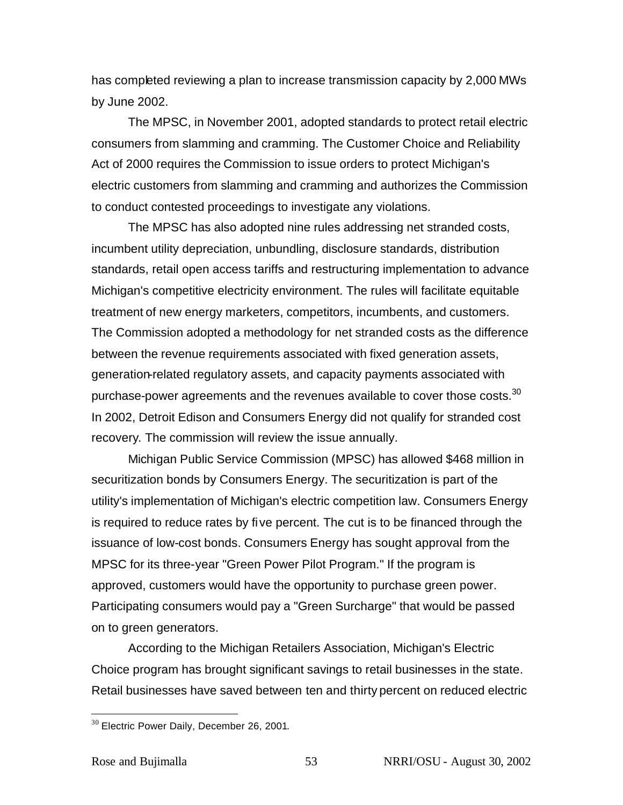has completed reviewing a plan to increase transmission capacity by 2,000 MWs by June 2002.

The MPSC, in November 2001, adopted standards to protect retail electric consumers from slamming and cramming. The Customer Choice and Reliability Act of 2000 requires the Commission to issue orders to protect Michigan's electric customers from slamming and cramming and authorizes the Commission to conduct contested proceedings to investigate any violations.

The MPSC has also adopted nine rules addressing net stranded costs, incumbent utility depreciation, unbundling, disclosure standards, distribution standards, retail open access tariffs and restructuring implementation to advance Michigan's competitive electricity environment. The rules will facilitate equitable treatment of new energy marketers, competitors, incumbents, and customers. The Commission adopted a methodology for net stranded costs as the difference between the revenue requirements associated with fixed generation assets, generation-related regulatory assets, and capacity payments associated with purchase-power agreements and the revenues available to cover those costs.<sup>30</sup> In 2002, Detroit Edison and Consumers Energy did not qualify for stranded cost recovery. The commission will review the issue annually.

Michigan Public Service Commission (MPSC) has allowed \$468 million in securitization bonds by Consumers Energy. The securitization is part of the utility's implementation of Michigan's electric competition law. Consumers Energy is required to reduce rates by five percent. The cut is to be financed through the issuance of low-cost bonds. Consumers Energy has sought approval from the MPSC for its three-year "Green Power Pilot Program." If the program is approved, customers would have the opportunity to purchase green power. Participating consumers would pay a "Green Surcharge" that would be passed on to green generators.

According to the Michigan Retailers Association, Michigan's Electric Choice program has brought significant savings to retail businesses in the state. Retail businesses have saved between ten and thirty percent on reduced electric

<sup>&</sup>lt;sup>30</sup> Electric Power Daily, December 26, 2001.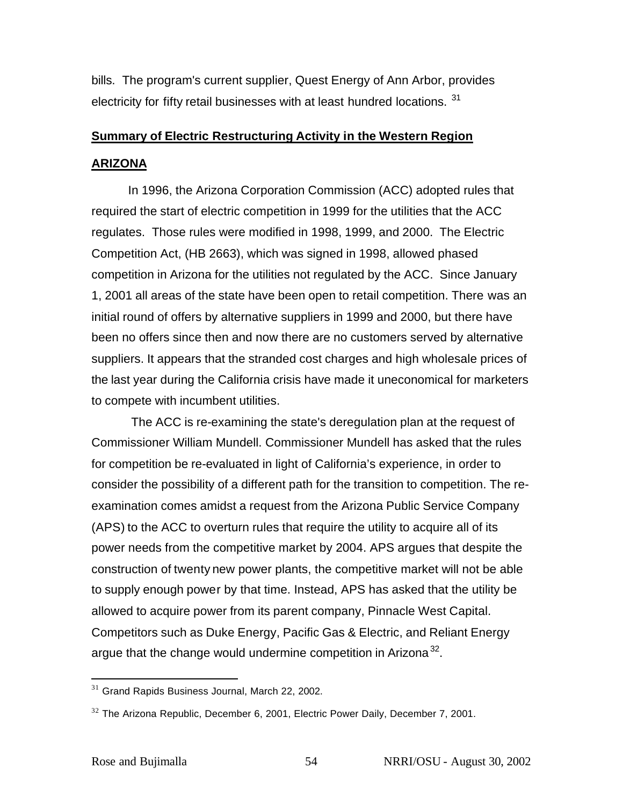bills. The program's current supplier, Quest Energy of Ann Arbor, provides electricity for fifty retail businesses with at least hundred locations. <sup>31</sup>

# **Summary of Electric Restructuring Activity in the Western Region ARIZONA**

In 1996, the Arizona Corporation Commission (ACC) adopted rules that required the start of electric competition in 1999 for the utilities that the ACC regulates. Those rules were modified in 1998, 1999, and 2000. The Electric Competition Act, (HB 2663), which was signed in 1998, allowed phased competition in Arizona for the utilities not regulated by the ACC. Since January 1, 2001 all areas of the state have been open to retail competition. There was an initial round of offers by alternative suppliers in 1999 and 2000, but there have been no offers since then and now there are no customers served by alternative suppliers. It appears that the stranded cost charges and high wholesale prices of the last year during the California crisis have made it uneconomical for marketers to compete with incumbent utilities.

 The ACC is re-examining the state's deregulation plan at the request of Commissioner William Mundell. Commissioner Mundell has asked that the rules for competition be re-evaluated in light of California's experience, in order to consider the possibility of a different path for the transition to competition. The reexamination comes amidst a request from the Arizona Public Service Company (APS) to the ACC to overturn rules that require the utility to acquire all of its power needs from the competitive market by 2004. APS argues that despite the construction of twenty new power plants, the competitive market will not be able to supply enough power by that time. Instead, APS has asked that the utility be allowed to acquire power from its parent company, Pinnacle West Capital. Competitors such as Duke Energy, Pacific Gas & Electric, and Reliant Energy argue that the change would undermine competition in Arizona<sup>32</sup>.

 $31$  Grand Rapids Business Journal, March 22, 2002.

 $32$  The Arizona Republic, December 6, 2001, Electric Power Daily, December 7, 2001.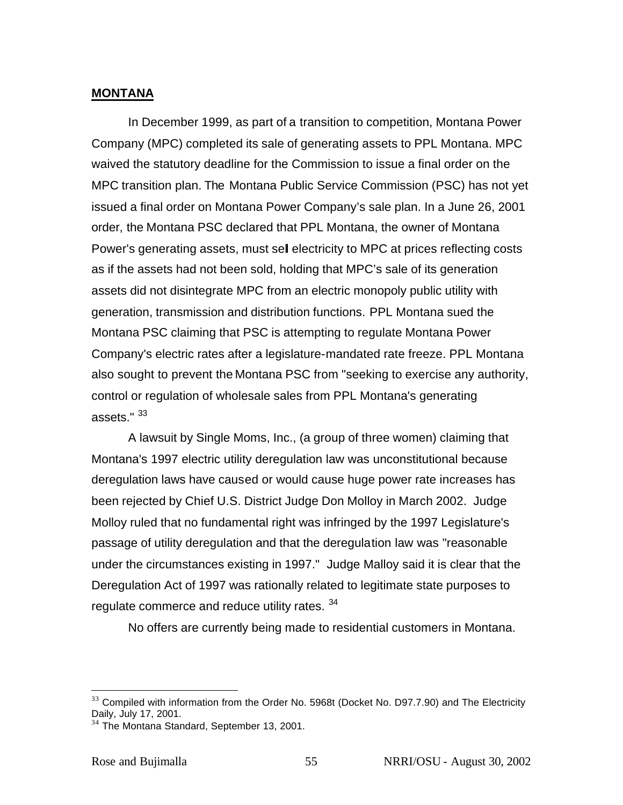#### **MONTANA**

In December 1999, as part of a transition to competition, Montana Power Company (MPC) completed its sale of generating assets to PPL Montana. MPC waived the statutory deadline for the Commission to issue a final order on the MPC transition plan. The Montana Public Service Commission (PSC) has not yet issued a final order on Montana Power Company's sale plan. In a June 26, 2001 order, the Montana PSC declared that PPL Montana, the owner of Montana Power's generating assets, must sell electricity to MPC at prices reflecting costs as if the assets had not been sold, holding that MPC's sale of its generation assets did not disintegrate MPC from an electric monopoly public utility with generation, transmission and distribution functions. PPL Montana sued the Montana PSC claiming that PSC is attempting to regulate Montana Power Company's electric rates after a legislature-mandated rate freeze. PPL Montana also sought to prevent the Montana PSC from "seeking to exercise any authority, control or regulation of wholesale sales from PPL Montana's generating assets." <sup>33</sup>

A lawsuit by Single Moms, Inc., (a group of three women) claiming that Montana's 1997 electric utility deregulation law was unconstitutional because deregulation laws have caused or would cause huge power rate increases has been rejected by Chief U.S. District Judge Don Molloy in March 2002. Judge Molloy ruled that no fundamental right was infringed by the 1997 Legislature's passage of utility deregulation and that the deregulation law was "reasonable under the circumstances existing in 1997." Judge Malloy said it is clear that the Deregulation Act of 1997 was rationally related to legitimate state purposes to regulate commerce and reduce utility rates. 34

No offers are currently being made to residential customers in Montana.

 $33$  Compiled with information from the Order No. 5968t (Docket No. D97.7.90) and The Electricity Daily, July 17, 2001.

<sup>&</sup>lt;sup>34</sup> The Montana Standard, September 13, 2001.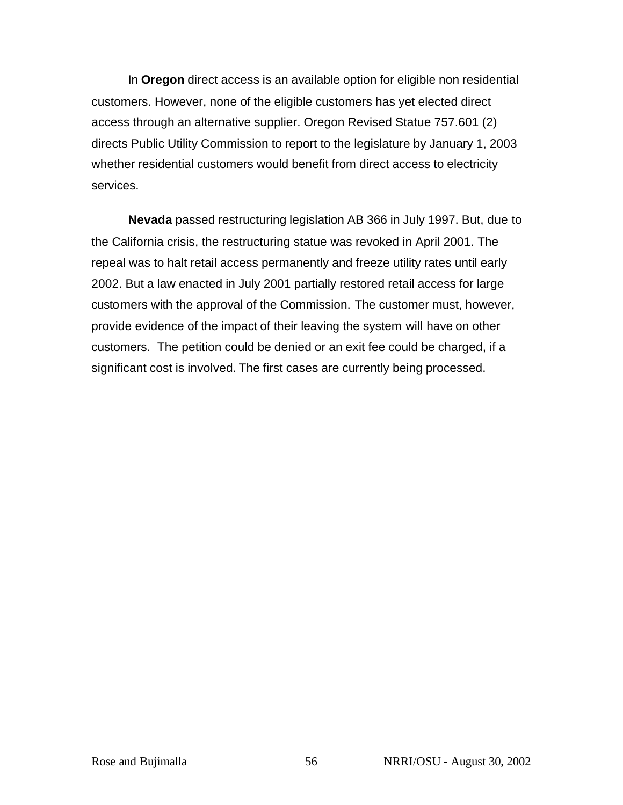In **Oregon** direct access is an available option for eligible non residential customers. However, none of the eligible customers has yet elected direct access through an alternative supplier. Oregon Revised Statue 757.601 (2) directs Public Utility Commission to report to the legislature by January 1, 2003 whether residential customers would benefit from direct access to electricity services.

**Nevada** passed restructuring legislation AB 366 in July 1997. But, due to the California crisis, the restructuring statue was revoked in April 2001. The repeal was to halt retail access permanently and freeze utility rates until early 2002. But a law enacted in July 2001 partially restored retail access for large customers with the approval of the Commission. The customer must, however, provide evidence of the impact of their leaving the system will have on other customers. The petition could be denied or an exit fee could be charged, if a significant cost is involved. The first cases are currently being processed.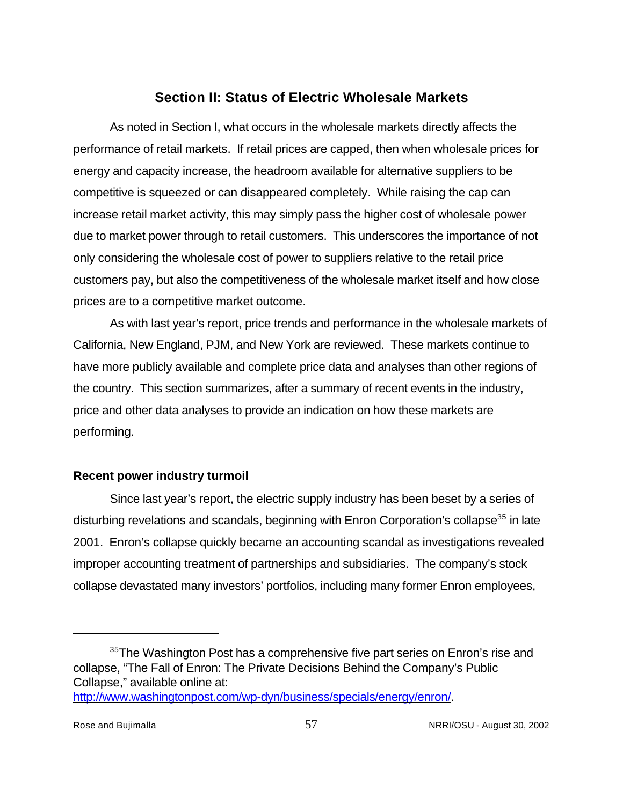## **Section II: Status of Electric Wholesale Markets**

As noted in Section I, what occurs in the wholesale markets directly affects the performance of retail markets. If retail prices are capped, then when wholesale prices for energy and capacity increase, the headroom available for alternative suppliers to be competitive is squeezed or can disappeared completely. While raising the cap can increase retail market activity, this may simply pass the higher cost of wholesale power due to market power through to retail customers. This underscores the importance of not only considering the wholesale cost of power to suppliers relative to the retail price customers pay, but also the competitiveness of the wholesale market itself and how close prices are to a competitive market outcome.

As with last year's report, price trends and performance in the wholesale markets of California, New England, PJM, and New York are reviewed. These markets continue to have more publicly available and complete price data and analyses than other regions of the country. This section summarizes, after a summary of recent events in the industry, price and other data analyses to provide an indication on how these markets are performing.

## **Recent power industry turmoil**

Since last year's report, the electric supply industry has been beset by a series of disturbing revelations and scandals, beginning with Enron Corporation's collapse<sup>35</sup> in late 2001. Enron's collapse quickly became an accounting scandal as investigations revealed improper accounting treatment of partnerships and subsidiaries. The company's stock collapse devastated many investors' portfolios, including many former Enron employees,

 $35$ The Washington Post has a comprehensive five part series on Enron's rise and collapse, "The Fall of Enron: The Private Decisions Behind the Company's Public Collapse," available online at: http://www.washingtonpost.com/wp-dyn/business/specials/energy/enron/.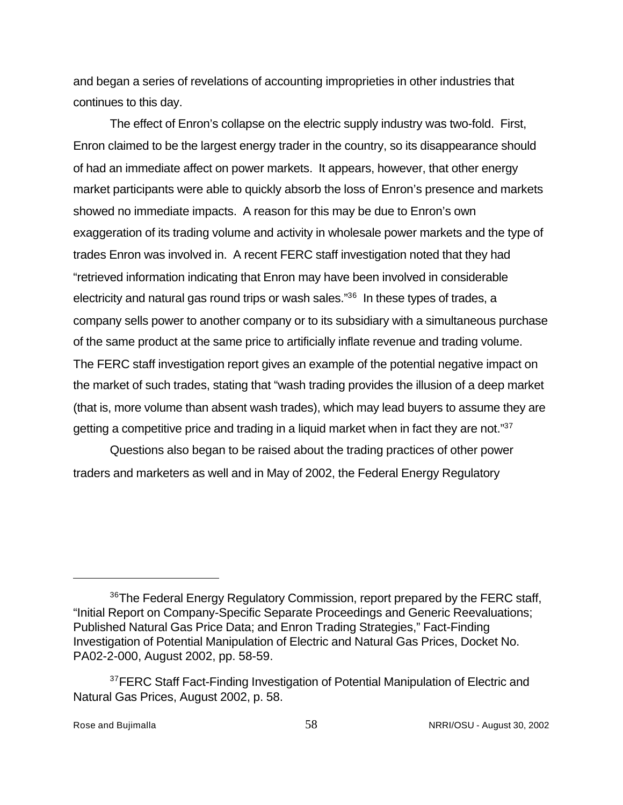and began a series of revelations of accounting improprieties in other industries that continues to this day.

The effect of Enron's collapse on the electric supply industry was two-fold. First, Enron claimed to be the largest energy trader in the country, so its disappearance should of had an immediate affect on power markets. It appears, however, that other energy market participants were able to quickly absorb the loss of Enron's presence and markets showed no immediate impacts. A reason for this may be due to Enron's own exaggeration of its trading volume and activity in wholesale power markets and the type of trades Enron was involved in. A recent FERC staff investigation noted that they had "retrieved information indicating that Enron may have been involved in considerable electricity and natural gas round trips or wash sales."<sup>36</sup> In these types of trades, a company sells power to another company or to its subsidiary with a simultaneous purchase of the same product at the same price to artificially inflate revenue and trading volume. The FERC staff investigation report gives an example of the potential negative impact on the market of such trades, stating that "wash trading provides the illusion of a deep market (that is, more volume than absent wash trades), which may lead buyers to assume they are getting a competitive price and trading in a liquid market when in fact they are not."37

Questions also began to be raised about the trading practices of other power traders and marketers as well and in May of 2002, the Federal Energy Regulatory

<sup>&</sup>lt;sup>36</sup>The Federal Energy Regulatory Commission, report prepared by the FERC staff, "Initial Report on Company-Specific Separate Proceedings and Generic Reevaluations; Published Natural Gas Price Data; and Enron Trading Strategies," Fact-Finding Investigation of Potential Manipulation of Electric and Natural Gas Prices, Docket No. PA02-2-000, August 2002, pp. 58-59.

<sup>&</sup>lt;sup>37</sup>FERC Staff Fact-Finding Investigation of Potential Manipulation of Electric and Natural Gas Prices, August 2002, p. 58.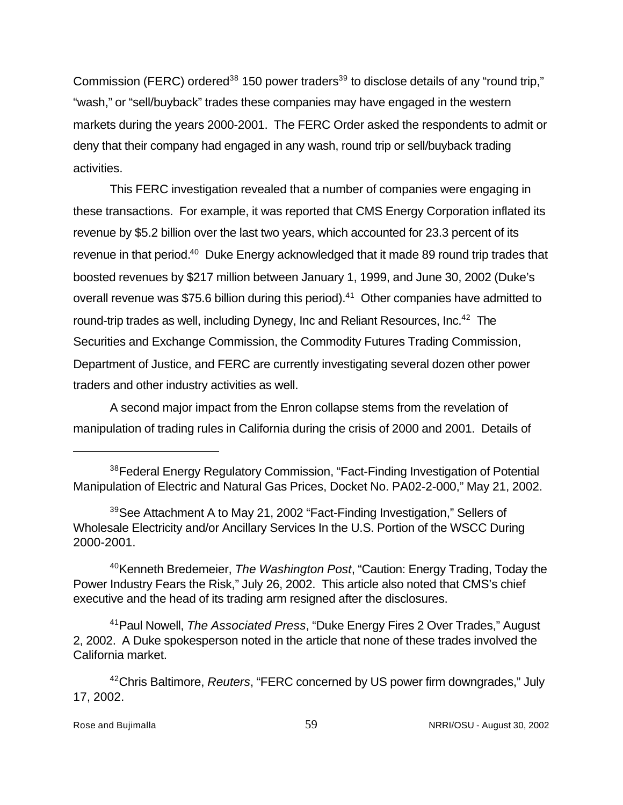Commission (FERC) ordered<sup>38</sup> 150 power traders<sup>39</sup> to disclose details of any "round trip," "wash," or "sell/buyback" trades these companies may have engaged in the western markets during the years 2000-2001. The FERC Order asked the respondents to admit or deny that their company had engaged in any wash, round trip or sell/buyback trading activities.

This FERC investigation revealed that a number of companies were engaging in these transactions. For example, it was reported that CMS Energy Corporation inflated its revenue by \$5.2 billion over the last two years, which accounted for 23.3 percent of its revenue in that period.<sup>40</sup> Duke Energy acknowledged that it made 89 round trip trades that boosted revenues by \$217 million between January 1, 1999, and June 30, 2002 (Duke's overall revenue was \$75.6 billion during this period).<sup>41</sup> Other companies have admitted to round-trip trades as well, including Dynegy, Inc and Reliant Resources, Inc.<sup>42</sup> The Securities and Exchange Commission, the Commodity Futures Trading Commission, Department of Justice, and FERC are currently investigating several dozen other power traders and other industry activities as well.

A second major impact from the Enron collapse stems from the revelation of manipulation of trading rules in California during the crisis of 2000 and 2001. Details of

<sup>40</sup>Kenneth Bredemeier, *The Washington Post*, "Caution: Energy Trading, Today the Power Industry Fears the Risk," July 26, 2002. This article also noted that CMS's chief executive and the head of its trading arm resigned after the disclosures.

<sup>41</sup>Paul Nowell, *The Associated Press*, "Duke Energy Fires 2 Over Trades," August 2, 2002. A Duke spokesperson noted in the article that none of these trades involved the California market.

<sup>42</sup>Chris Baltimore, *Reuters*, "FERC concerned by US power firm downgrades," July 17, 2002.

<sup>&</sup>lt;sup>38</sup> Federal Energy Regulatory Commission, "Fact-Finding Investigation of Potential Manipulation of Electric and Natural Gas Prices, Docket No. PA02-2-000," May 21, 2002.

<sup>39</sup>See Attachment A to May 21, 2002 "Fact-Finding Investigation," Sellers of Wholesale Electricity and/or Ancillary Services In the U.S. Portion of the WSCC During 2000-2001.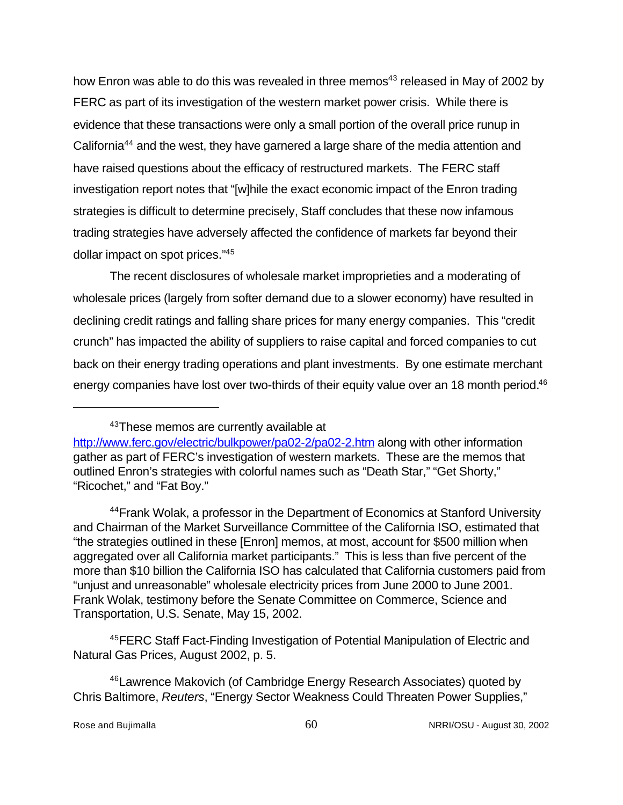how Enron was able to do this was revealed in three memos<sup>43</sup> released in May of 2002 by FERC as part of its investigation of the western market power crisis. While there is evidence that these transactions were only a small portion of the overall price runup in California<sup>44</sup> and the west, they have garnered a large share of the media attention and have raised questions about the efficacy of restructured markets. The FERC staff investigation report notes that "[w]hile the exact economic impact of the Enron trading strategies is difficult to determine precisely, Staff concludes that these now infamous trading strategies have adversely affected the confidence of markets far beyond their dollar impact on spot prices."<sup>45</sup>

The recent disclosures of wholesale market improprieties and a moderating of wholesale prices (largely from softer demand due to a slower economy) have resulted in declining credit ratings and falling share prices for many energy companies. This "credit crunch" has impacted the ability of suppliers to raise capital and forced companies to cut back on their energy trading operations and plant investments. By one estimate merchant energy companies have lost over two-thirds of their equity value over an 18 month period.<sup>46</sup>

<sup>44</sup> Frank Wolak, a professor in the Department of Economics at Stanford University and Chairman of the Market Surveillance Committee of the California ISO, estimated that "the strategies outlined in these [Enron] memos, at most, account for \$500 million when aggregated over all California market participants." This is less than five percent of the more than \$10 billion the California ISO has calculated that California customers paid from "unjust and unreasonable" wholesale electricity prices from June 2000 to June 2001. Frank Wolak, testimony before the Senate Committee on Commerce, Science and Transportation, U.S. Senate, May 15, 2002.

<sup>45</sup>FERC Staff Fact-Finding Investigation of Potential Manipulation of Electric and Natural Gas Prices, August 2002, p. 5.

<sup>46</sup>Lawrence Makovich (of Cambridge Energy Research Associates) quoted by Chris Baltimore, *Reuters*, "Energy Sector Weakness Could Threaten Power Supplies,"

<sup>&</sup>lt;sup>43</sup>These memos are currently available at

http://www.ferc.gov/electric/bulkpower/pa02-2/pa02-2.htm along with other information gather as part of FERC's investigation of western markets. These are the memos that outlined Enron's strategies with colorful names such as "Death Star," "Get Shorty," "Ricochet," and "Fat Boy."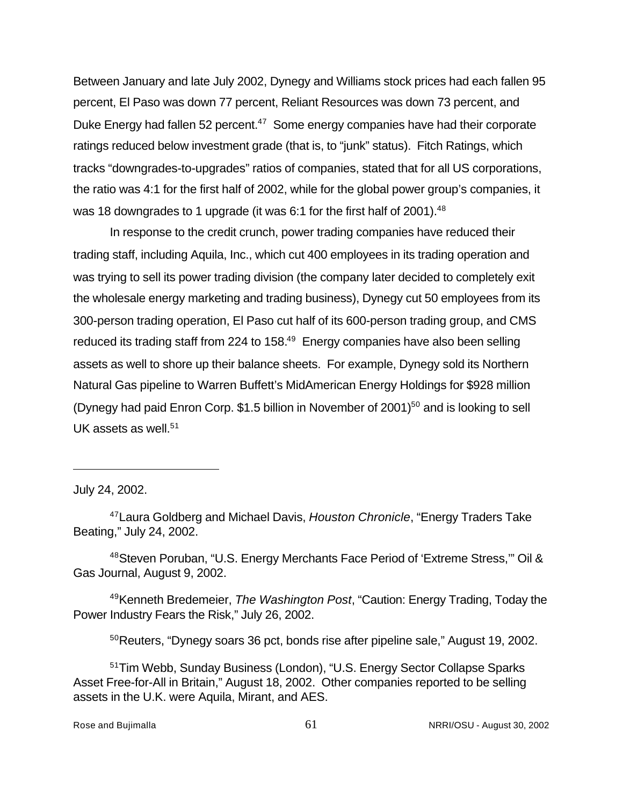Between January and late July 2002, Dynegy and Williams stock prices had each fallen 95 percent, El Paso was down 77 percent, Reliant Resources was down 73 percent, and Duke Energy had fallen 52 percent.<sup>47</sup> Some energy companies have had their corporate ratings reduced below investment grade (that is, to "junk" status). Fitch Ratings, which tracks "downgrades-to-upgrades" ratios of companies, stated that for all US corporations, the ratio was 4:1 for the first half of 2002, while for the global power group's companies, it was 18 downgrades to 1 upgrade (it was 6:1 for the first half of 2001).  $48$ 

In response to the credit crunch, power trading companies have reduced their trading staff, including Aquila, Inc., which cut 400 employees in its trading operation and was trying to sell its power trading division (the company later decided to completely exit the wholesale energy marketing and trading business), Dynegy cut 50 employees from its 300-person trading operation, El Paso cut half of its 600-person trading group, and CMS reduced its trading staff from 224 to  $158<sup>49</sup>$  Energy companies have also been selling assets as well to shore up their balance sheets. For example, Dynegy sold its Northern Natural Gas pipeline to Warren Buffett's MidAmerican Energy Holdings for \$928 million (Dynegy had paid Enron Corp.  $$1.5$  billion in November of 2001)<sup>50</sup> and is looking to sell UK assets as well. $51$ 

July 24, 2002.

<sup>48</sup>Steven Poruban, "U.S. Energy Merchants Face Period of 'Extreme Stress,'" Oil & Gas Journal, August 9, 2002.

<sup>49</sup>Kenneth Bredemeier, *The Washington Post*, "Caution: Energy Trading, Today the Power Industry Fears the Risk," July 26, 2002.

<sup>50</sup>Reuters, "Dynegy soars 36 pct, bonds rise after pipeline sale," August 19, 2002.

<sup>51</sup>Tim Webb, Sunday Business (London), "U.S. Energy Sector Collapse Sparks Asset Free-for-All in Britain," August 18, 2002. Other companies reported to be selling assets in the U.K. were Aquila, Mirant, and AES.

<sup>47</sup>Laura Goldberg and Michael Davis, *Houston Chronicle*, "Energy Traders Take Beating," July 24, 2002.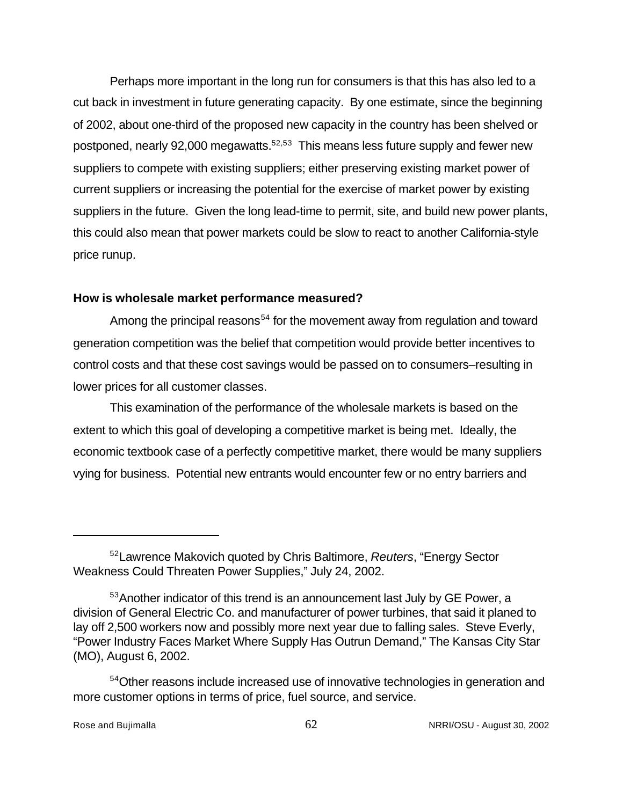Perhaps more important in the long run for consumers is that this has also led to a cut back in investment in future generating capacity. By one estimate, since the beginning of 2002, about one-third of the proposed new capacity in the country has been shelved or postponed, nearly 92,000 megawatts.<sup>52,53</sup> This means less future supply and fewer new suppliers to compete with existing suppliers; either preserving existing market power of current suppliers or increasing the potential for the exercise of market power by existing suppliers in the future. Given the long lead-time to permit, site, and build new power plants, this could also mean that power markets could be slow to react to another California-style price runup.

#### **How is wholesale market performance measured?**

Among the principal reasons<sup>54</sup> for the movement away from regulation and toward generation competition was the belief that competition would provide better incentives to control costs and that these cost savings would be passed on to consumers–resulting in lower prices for all customer classes.

This examination of the performance of the wholesale markets is based on the extent to which this goal of developing a competitive market is being met. Ideally, the economic textbook case of a perfectly competitive market, there would be many suppliers vying for business. Potential new entrants would encounter few or no entry barriers and

<sup>52</sup>Lawrence Makovich quoted by Chris Baltimore, *Reuters*, "Energy Sector Weakness Could Threaten Power Supplies," July 24, 2002.

<sup>&</sup>lt;sup>53</sup> Another indicator of this trend is an announcement last July by GE Power, a division of General Electric Co. and manufacturer of power turbines, that said it planed to lay off 2,500 workers now and possibly more next year due to falling sales. Steve Everly, "Power Industry Faces Market Where Supply Has Outrun Demand," The Kansas City Star (MO), August 6, 2002.

<sup>&</sup>lt;sup>54</sup>Other reasons include increased use of innovative technologies in generation and more customer options in terms of price, fuel source, and service.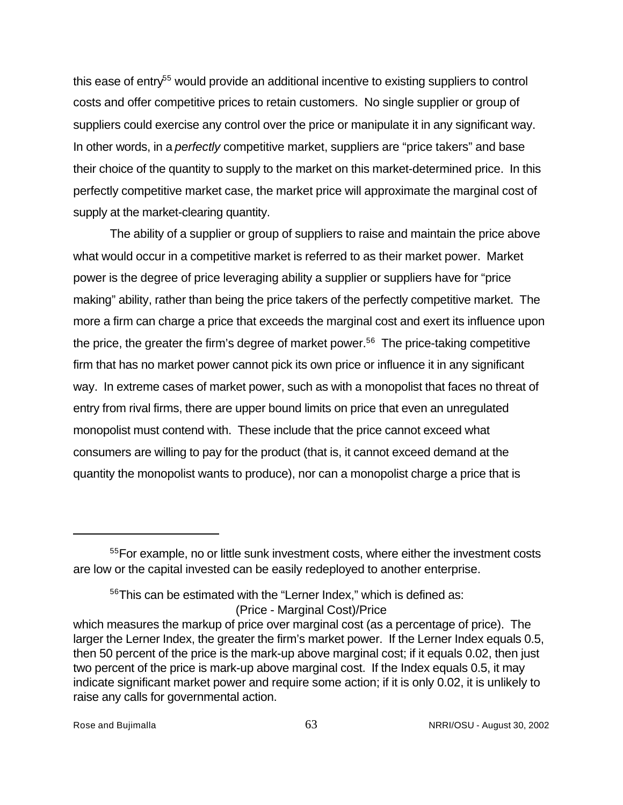this ease of entry<sup>55</sup> would provide an additional incentive to existing suppliers to control costs and offer competitive prices to retain customers. No single supplier or group of suppliers could exercise any control over the price or manipulate it in any significant way. In other words, in a *perfectly* competitive market, suppliers are "price takers" and base their choice of the quantity to supply to the market on this market-determined price. In this perfectly competitive market case, the market price will approximate the marginal cost of supply at the market-clearing quantity.

The ability of a supplier or group of suppliers to raise and maintain the price above what would occur in a competitive market is referred to as their market power. Market power is the degree of price leveraging ability a supplier or suppliers have for "price making" ability, rather than being the price takers of the perfectly competitive market. The more a firm can charge a price that exceeds the marginal cost and exert its influence upon the price, the greater the firm's degree of market power.<sup>56</sup> The price-taking competitive firm that has no market power cannot pick its own price or influence it in any significant way. In extreme cases of market power, such as with a monopolist that faces no threat of entry from rival firms, there are upper bound limits on price that even an unregulated monopolist must contend with. These include that the price cannot exceed what consumers are willing to pay for the product (that is, it cannot exceed demand at the quantity the monopolist wants to produce), nor can a monopolist charge a price that is

(Price - Marginal Cost)/Price

<sup>55</sup>For example, no or little sunk investment costs, where either the investment costs are low or the capital invested can be easily redeployed to another enterprise.

<sup>&</sup>lt;sup>56</sup>This can be estimated with the "Lerner Index," which is defined as:

which measures the markup of price over marginal cost (as a percentage of price). The larger the Lerner Index, the greater the firm's market power. If the Lerner Index equals 0.5, then 50 percent of the price is the mark-up above marginal cost; if it equals 0.02, then just two percent of the price is mark-up above marginal cost. If the Index equals 0.5, it may indicate significant market power and require some action; if it is only 0.02, it is unlikely to raise any calls for governmental action.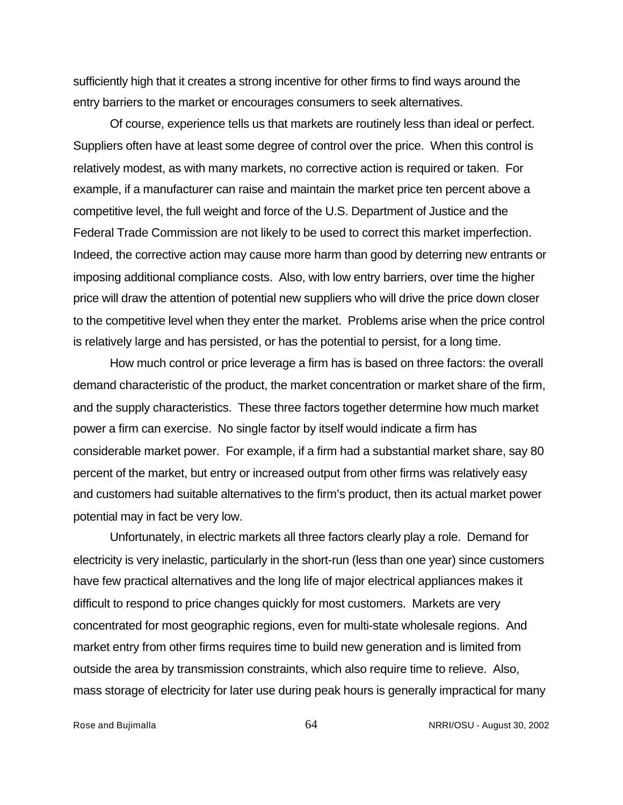sufficiently high that it creates a strong incentive for other firms to find ways around the entry barriers to the market or encourages consumers to seek alternatives.

Of course, experience tells us that markets are routinely less than ideal or perfect. Suppliers often have at least some degree of control over the price. When this control is relatively modest, as with many markets, no corrective action is required or taken. For example, if a manufacturer can raise and maintain the market price ten percent above a competitive level, the full weight and force of the U.S. Department of Justice and the Federal Trade Commission are not likely to be used to correct this market imperfection. Indeed, the corrective action may cause more harm than good by deterring new entrants or imposing additional compliance costs. Also, with low entry barriers, over time the higher price will draw the attention of potential new suppliers who will drive the price down closer to the competitive level when they enter the market. Problems arise when the price control is relatively large and has persisted, or has the potential to persist, for a long time.

How much control or price leverage a firm has is based on three factors: the overall demand characteristic of the product, the market concentration or market share of the firm, and the supply characteristics. These three factors together determine how much market power a firm can exercise. No single factor by itself would indicate a firm has considerable market power. For example, if a firm had a substantial market share, say 80 percent of the market, but entry or increased output from other firms was relatively easy and customers had suitable alternatives to the firm's product, then its actual market power potential may in fact be very low.

Unfortunately, in electric markets all three factors clearly play a role. Demand for electricity is very inelastic, particularly in the short-run (less than one year) since customers have few practical alternatives and the long life of major electrical appliances makes it difficult to respond to price changes quickly for most customers. Markets are very concentrated for most geographic regions, even for multi-state wholesale regions. And market entry from other firms requires time to build new generation and is limited from outside the area by transmission constraints, which also require time to relieve. Also, mass storage of electricity for later use during peak hours is generally impractical for many

Rose and Bujimalla 64 NRRI/OSU - August 30, 2002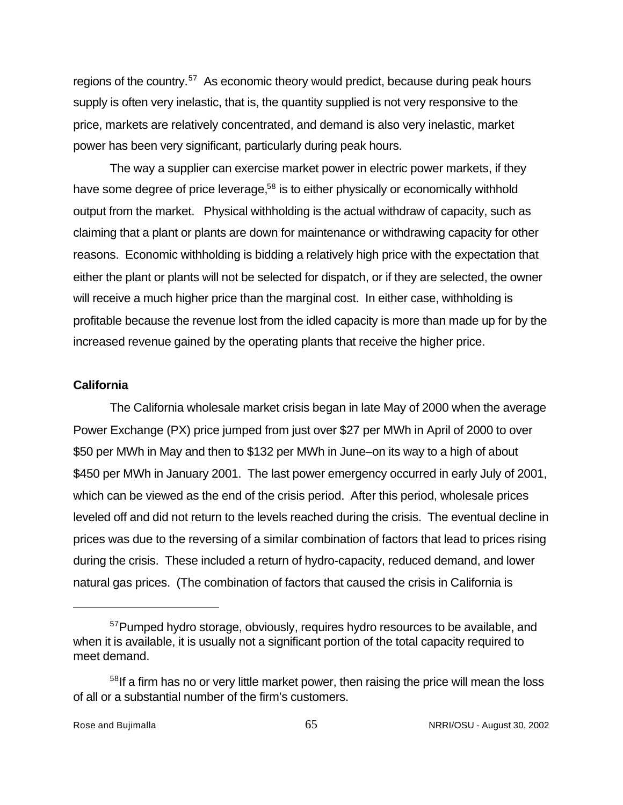regions of the country.<sup>57</sup> As economic theory would predict, because during peak hours supply is often very inelastic, that is, the quantity supplied is not very responsive to the price, markets are relatively concentrated, and demand is also very inelastic, market power has been very significant, particularly during peak hours.

The way a supplier can exercise market power in electric power markets, if they have some degree of price leverage,<sup>58</sup> is to either physically or economically withhold output from the market. Physical withholding is the actual withdraw of capacity, such as claiming that a plant or plants are down for maintenance or withdrawing capacity for other reasons. Economic withholding is bidding a relatively high price with the expectation that either the plant or plants will not be selected for dispatch, or if they are selected, the owner will receive a much higher price than the marginal cost. In either case, withholding is profitable because the revenue lost from the idled capacity is more than made up for by the increased revenue gained by the operating plants that receive the higher price.

#### **California**

The California wholesale market crisis began in late May of 2000 when the average Power Exchange (PX) price jumped from just over \$27 per MWh in April of 2000 to over \$50 per MWh in May and then to \$132 per MWh in June–on its way to a high of about \$450 per MWh in January 2001. The last power emergency occurred in early July of 2001, which can be viewed as the end of the crisis period. After this period, wholesale prices leveled off and did not return to the levels reached during the crisis. The eventual decline in prices was due to the reversing of a similar combination of factors that lead to prices rising during the crisis. These included a return of hydro-capacity, reduced demand, and lower natural gas prices. (The combination of factors that caused the crisis in California is

<sup>&</sup>lt;sup>57</sup>Pumped hydro storage, obviously, requires hydro resources to be available, and when it is available, it is usually not a significant portion of the total capacity required to meet demand.

<sup>&</sup>lt;sup>58</sup>If a firm has no or very little market power, then raising the price will mean the loss of all or a substantial number of the firm's customers.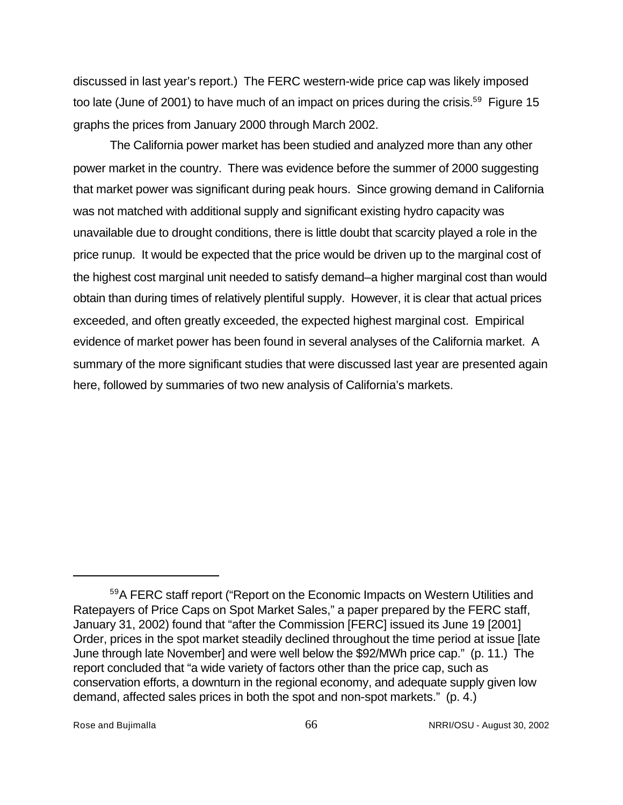discussed in last year's report.) The FERC western-wide price cap was likely imposed too late (June of 2001) to have much of an impact on prices during the crisis.<sup>59</sup> Figure 15 graphs the prices from January 2000 through March 2002.

The California power market has been studied and analyzed more than any other power market in the country. There was evidence before the summer of 2000 suggesting that market power was significant during peak hours. Since growing demand in California was not matched with additional supply and significant existing hydro capacity was unavailable due to drought conditions, there is little doubt that scarcity played a role in the price runup. It would be expected that the price would be driven up to the marginal cost of the highest cost marginal unit needed to satisfy demand–a higher marginal cost than would obtain than during times of relatively plentiful supply. However, it is clear that actual prices exceeded, and often greatly exceeded, the expected highest marginal cost. Empirical evidence of market power has been found in several analyses of the California market. A summary of the more significant studies that were discussed last year are presented again here, followed by summaries of two new analysis of California's markets.

<sup>59</sup>A FERC staff report ("Report on the Economic Impacts on Western Utilities and Ratepayers of Price Caps on Spot Market Sales," a paper prepared by the FERC staff, January 31, 2002) found that "after the Commission [FERC] issued its June 19 [2001] Order, prices in the spot market steadily declined throughout the time period at issue [late June through late November] and were well below the \$92/MWh price cap." (p. 11.) The report concluded that "a wide variety of factors other than the price cap, such as conservation efforts, a downturn in the regional economy, and adequate supply given low demand, affected sales prices in both the spot and non-spot markets." (p. 4.)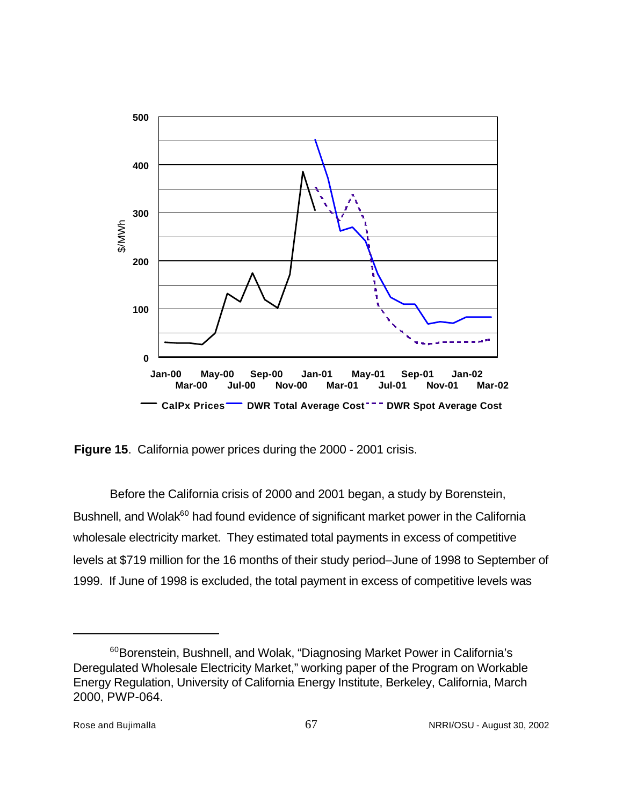

**Figure 15**. California power prices during the 2000 - 2001 crisis.

Before the California crisis of 2000 and 2001 began, a study by Borenstein, Bushnell, and Wolak<sup>60</sup> had found evidence of significant market power in the California wholesale electricity market. They estimated total payments in excess of competitive levels at \$719 million for the 16 months of their study period–June of 1998 to September of 1999. If June of 1998 is excluded, the total payment in excess of competitive levels was

<sup>&</sup>lt;sup>60</sup>Borenstein, Bushnell, and Wolak, "Diagnosing Market Power in California's Deregulated Wholesale Electricity Market," working paper of the Program on Workable Energy Regulation, University of California Energy Institute, Berkeley, California, March 2000, PWP-064.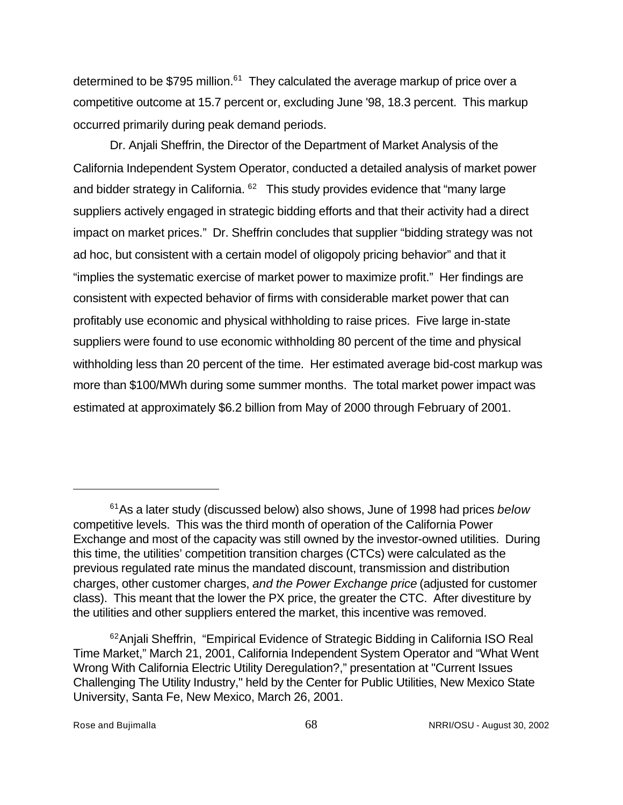determined to be \$795 million. $61$  They calculated the average markup of price over a competitive outcome at 15.7 percent or, excluding June '98, 18.3 percent. This markup occurred primarily during peak demand periods.

Dr. Anjali Sheffrin, the Director of the Department of Market Analysis of the California Independent System Operator, conducted a detailed analysis of market power and bidder strategy in California.  $62$  This study provides evidence that "many large suppliers actively engaged in strategic bidding efforts and that their activity had a direct impact on market prices." Dr. Sheffrin concludes that supplier "bidding strategy was not ad hoc, but consistent with a certain model of oligopoly pricing behavior" and that it "implies the systematic exercise of market power to maximize profit." Her findings are consistent with expected behavior of firms with considerable market power that can profitably use economic and physical withholding to raise prices. Five large in-state suppliers were found to use economic withholding 80 percent of the time and physical withholding less than 20 percent of the time. Her estimated average bid-cost markup was more than \$100/MWh during some summer months. The total market power impact was estimated at approximately \$6.2 billion from May of 2000 through February of 2001.

<sup>61</sup>As a later study (discussed below) also shows, June of 1998 had prices *below* competitive levels. This was the third month of operation of the California Power Exchange and most of the capacity was still owned by the investor-owned utilities. During this time, the utilities' competition transition charges (CTCs) were calculated as the previous regulated rate minus the mandated discount, transmission and distribution charges, other customer charges, *and the Power Exchange price* (adjusted for customer class). This meant that the lower the PX price, the greater the CTC. After divestiture by the utilities and other suppliers entered the market, this incentive was removed.

<sup>&</sup>lt;sup>62</sup>Anjali Sheffrin, "Empirical Evidence of Strategic Bidding in California ISO Real Time Market," March 21, 2001, California Independent System Operator and "What Went Wrong With California Electric Utility Deregulation?," presentation at "Current Issues Challenging The Utility Industry," held by the Center for Public Utilities, New Mexico State University, Santa Fe, New Mexico, March 26, 2001.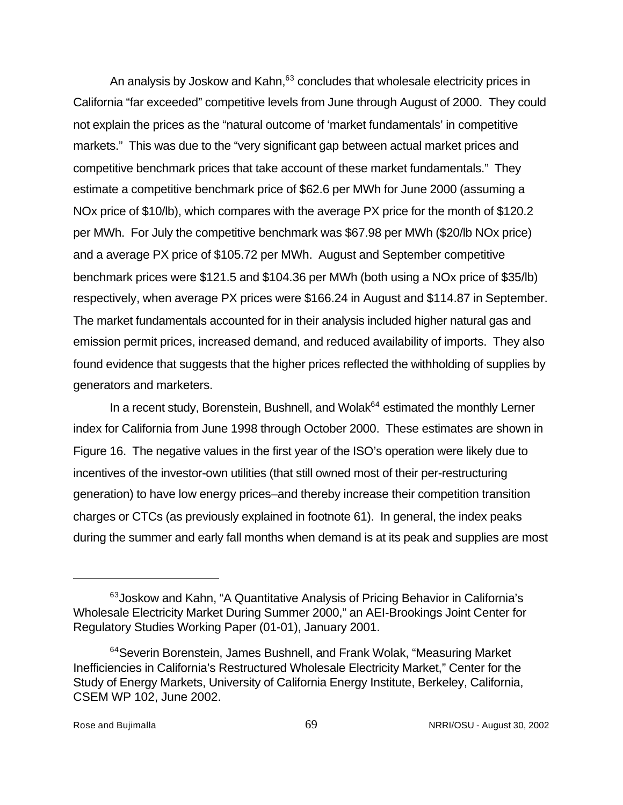An analysis by Joskow and Kahn, $63$  concludes that wholesale electricity prices in California "far exceeded" competitive levels from June through August of 2000. They could not explain the prices as the "natural outcome of 'market fundamentals' in competitive markets." This was due to the "very significant gap between actual market prices and competitive benchmark prices that take account of these market fundamentals." They estimate a competitive benchmark price of \$62.6 per MWh for June 2000 (assuming a NOx price of \$10/lb), which compares with the average PX price for the month of \$120.2 per MWh. For July the competitive benchmark was \$67.98 per MWh (\$20/lb NOx price) and a average PX price of \$105.72 per MWh. August and September competitive benchmark prices were \$121.5 and \$104.36 per MWh (both using a NOx price of \$35/lb) respectively, when average PX prices were \$166.24 in August and \$114.87 in September. The market fundamentals accounted for in their analysis included higher natural gas and emission permit prices, increased demand, and reduced availability of imports. They also found evidence that suggests that the higher prices reflected the withholding of supplies by generators and marketers.

In a recent study, Borenstein, Bushnell, and Wolak<sup>64</sup> estimated the monthly Lerner index for California from June 1998 through October 2000. These estimates are shown in Figure 16. The negative values in the first year of the ISO's operation were likely due to incentives of the investor-own utilities (that still owned most of their per-restructuring generation) to have low energy prices–and thereby increase their competition transition charges or CTCs (as previously explained in footnote 61). In general, the index peaks during the summer and early fall months when demand is at its peak and supplies are most

<sup>63</sup>Joskow and Kahn, "A Quantitative Analysis of Pricing Behavior in California's Wholesale Electricity Market During Summer 2000," an AEI-Brookings Joint Center for Regulatory Studies Working Paper (01-01), January 2001.

<sup>&</sup>lt;sup>64</sup>Severin Borenstein, James Bushnell, and Frank Wolak, "Measuring Market Inefficiencies in California's Restructured Wholesale Electricity Market," Center for the Study of Energy Markets, University of California Energy Institute, Berkeley, California, CSEM WP 102, June 2002.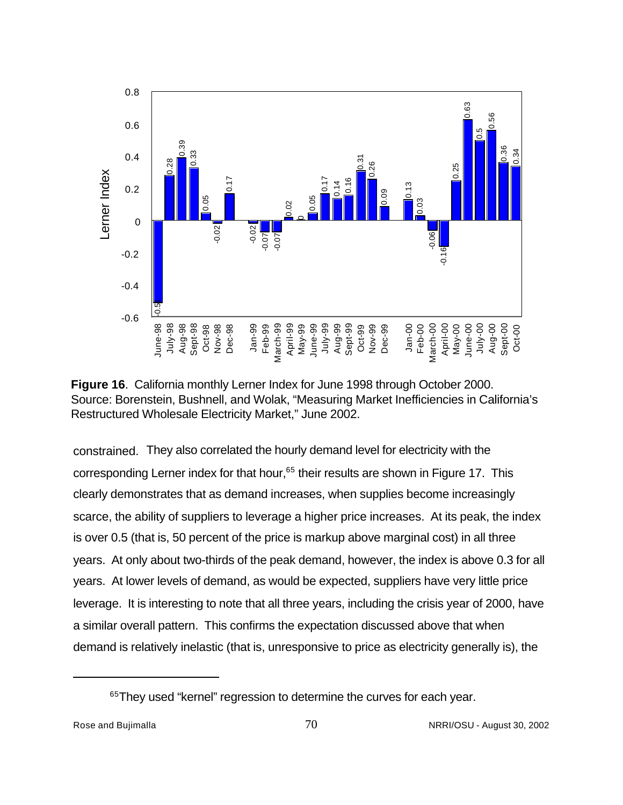



constrained. They also correlated the hourly demand level for electricity with the corresponding Lerner index for that hour,<sup>65</sup> their results are shown in Figure 17. This clearly demonstrates that as demand increases, when supplies become increasingly scarce, the ability of suppliers to leverage a higher price increases. At its peak, the index is over 0.5 (that is, 50 percent of the price is markup above marginal cost) in all three years. At only about two-thirds of the peak demand, however, the index is above 0.3 for all years. At lower levels of demand, as would be expected, suppliers have very little price leverage. It is interesting to note that all three years, including the crisis year of 2000, have a similar overall pattern. This confirms the expectation discussed above that when demand is relatively inelastic (that is, unresponsive to price as electricity generally is), the

<sup>&</sup>lt;sup>65</sup>They used "kernel" regression to determine the curves for each year.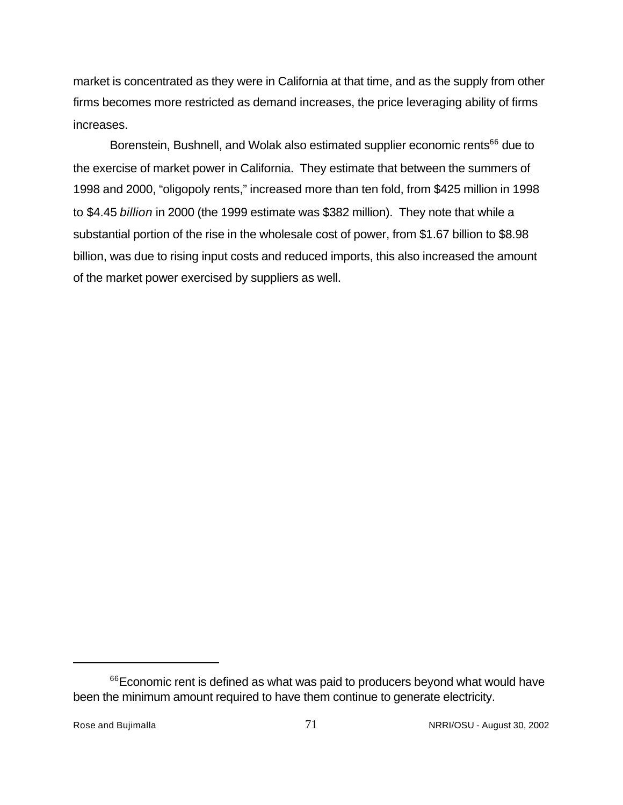market is concentrated as they were in California at that time, and as the supply from other firms becomes more restricted as demand increases, the price leveraging ability of firms increases.

Borenstein, Bushnell, and Wolak also estimated supplier economic rents<sup>66</sup> due to the exercise of market power in California. They estimate that between the summers of 1998 and 2000, "oligopoly rents," increased more than ten fold, from \$425 million in 1998 to \$4.45 *billion* in 2000 (the 1999 estimate was \$382 million). They note that while a substantial portion of the rise in the wholesale cost of power, from \$1.67 billion to \$8.98 billion, was due to rising input costs and reduced imports, this also increased the amount of the market power exercised by suppliers as well.

<sup>&</sup>lt;sup>66</sup>Economic rent is defined as what was paid to producers beyond what would have been the minimum amount required to have them continue to generate electricity.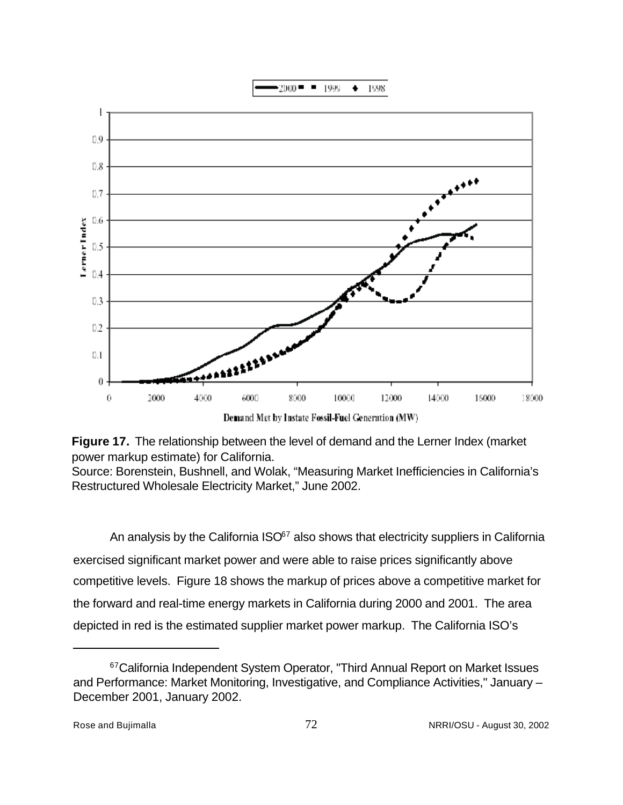



Demand Met by Instate Fossil-Fuel Generation (MW)



Source: Borenstein, Bushnell, and Wolak, "Measuring Market Inefficiencies in California's Restructured Wholesale Electricity Market," June 2002.

An analysis by the California  $ISO^{67}$  also shows that electricity suppliers in California exercised significant market power and were able to raise prices significantly above competitive levels. Figure 18 shows the markup of prices above a competitive market for the forward and real-time energy markets in California during 2000 and 2001. The area depicted in red is the estimated supplier market power markup. The California ISO's

<sup>&</sup>lt;sup>67</sup>California Independent System Operator, "Third Annual Report on Market Issues and Performance: Market Monitoring, Investigative, and Compliance Activities," January – December 2001, January 2002.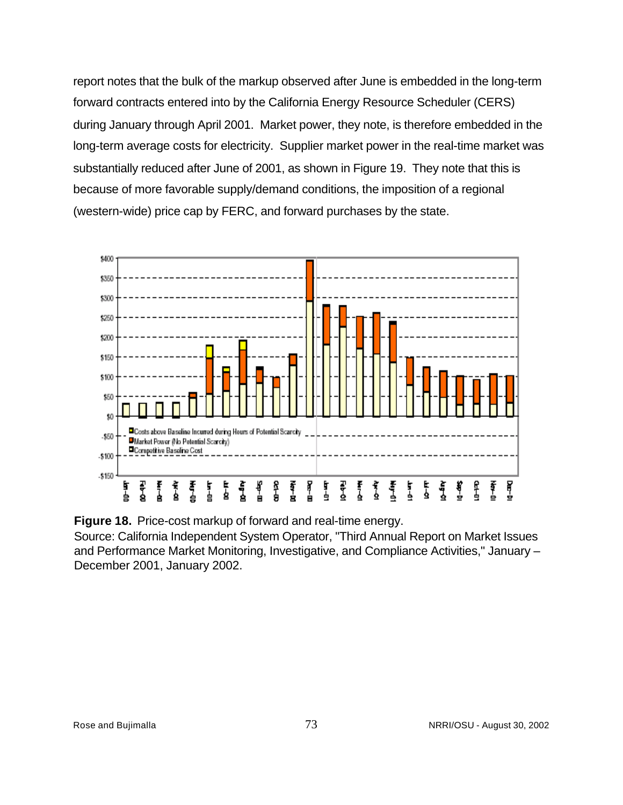report notes that the bulk of the markup observed after June is embedded in the long-term forward contracts entered into by the California Energy Resource Scheduler (CERS) during January through April 2001. Market power, they note, is therefore embedded in the long-term average costs for electricity. Supplier market power in the real-time market was substantially reduced after June of 2001, as shown in Figure 19. They note that this is because of more favorable supply/demand conditions, the imposition of a regional (western-wide) price cap by FERC, and forward purchases by the state.



**Figure 18.** Price-cost markup of forward and real-time energy.

Source: California Independent System Operator, "Third Annual Report on Market Issues and Performance Market Monitoring, Investigative, and Compliance Activities," January – December 2001, January 2002.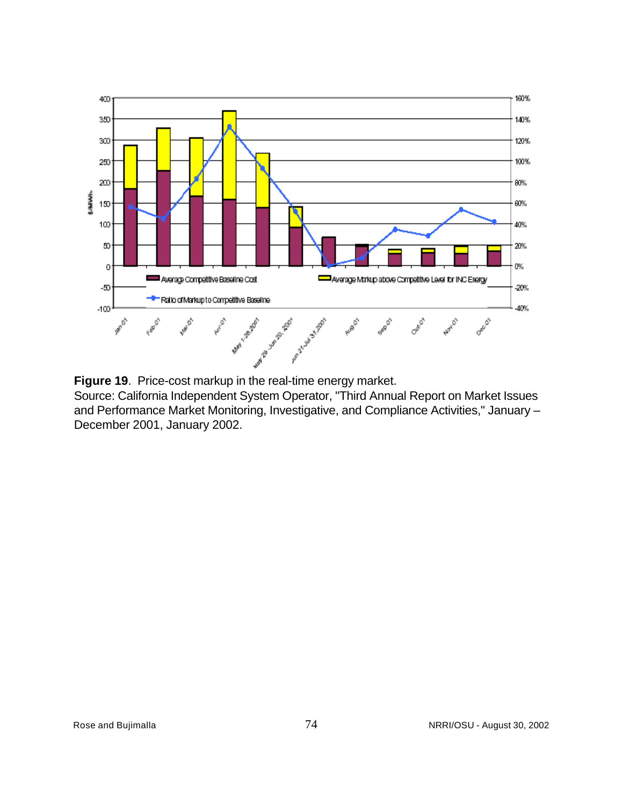

**Figure 19**. Price-cost markup in the real-time energy market.

Source: California Independent System Operator, "Third Annual Report on Market Issues and Performance Market Monitoring, Investigative, and Compliance Activities," January – December 2001, January 2002.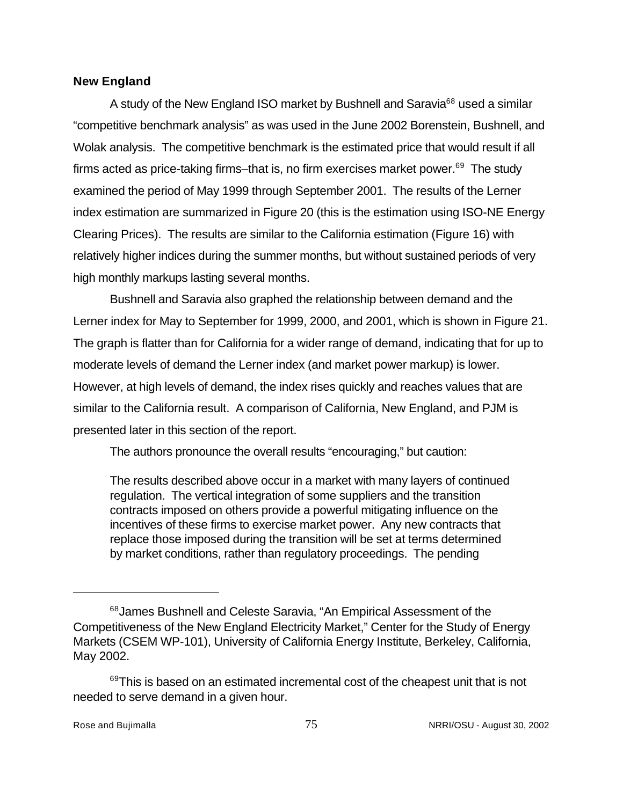#### **New England**

A study of the New England ISO market by Bushnell and Saravia<sup>68</sup> used a similar "competitive benchmark analysis" as was used in the June 2002 Borenstein, Bushnell, and Wolak analysis. The competitive benchmark is the estimated price that would result if all firms acted as price-taking firms–that is, no firm exercises market power.<sup>69</sup> The study examined the period of May 1999 through September 2001. The results of the Lerner index estimation are summarized in Figure 20 (this is the estimation using ISO-NE Energy Clearing Prices). The results are similar to the California estimation (Figure 16) with relatively higher indices during the summer months, but without sustained periods of very high monthly markups lasting several months.

Bushnell and Saravia also graphed the relationship between demand and the Lerner index for May to September for 1999, 2000, and 2001, which is shown in Figure 21. The graph is flatter than for California for a wider range of demand, indicating that for up to moderate levels of demand the Lerner index (and market power markup) is lower. However, at high levels of demand, the index rises quickly and reaches values that are similar to the California result. A comparison of California, New England, and PJM is presented later in this section of the report.

The authors pronounce the overall results "encouraging," but caution:

The results described above occur in a market with many layers of continued regulation. The vertical integration of some suppliers and the transition contracts imposed on others provide a powerful mitigating influence on the incentives of these firms to exercise market power. Any new contracts that replace those imposed during the transition will be set at terms determined by market conditions, rather than regulatory proceedings. The pending

<sup>68</sup> James Bushnell and Celeste Saravia, "An Empirical Assessment of the Competitiveness of the New England Electricity Market," Center for the Study of Energy Markets (CSEM WP-101), University of California Energy Institute, Berkeley, California, May 2002.

<sup>&</sup>lt;sup>69</sup>This is based on an estimated incremental cost of the cheapest unit that is not needed to serve demand in a given hour.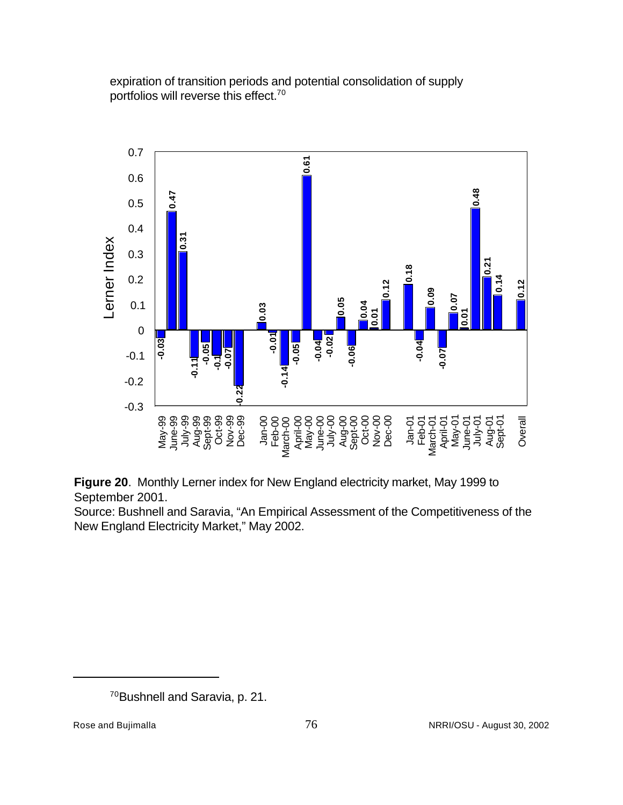expiration of transition periods and potential consolidation of supply portfolios will reverse this effect.70



**Figure 20**. Monthly Lerner index for New England electricity market, May 1999 to September 2001.

Source: Bushnell and Saravia, "An Empirical Assessment of the Competitiveness of the New England Electricity Market," May 2002.

<sup>70</sup>Bushnell and Saravia, p. 21.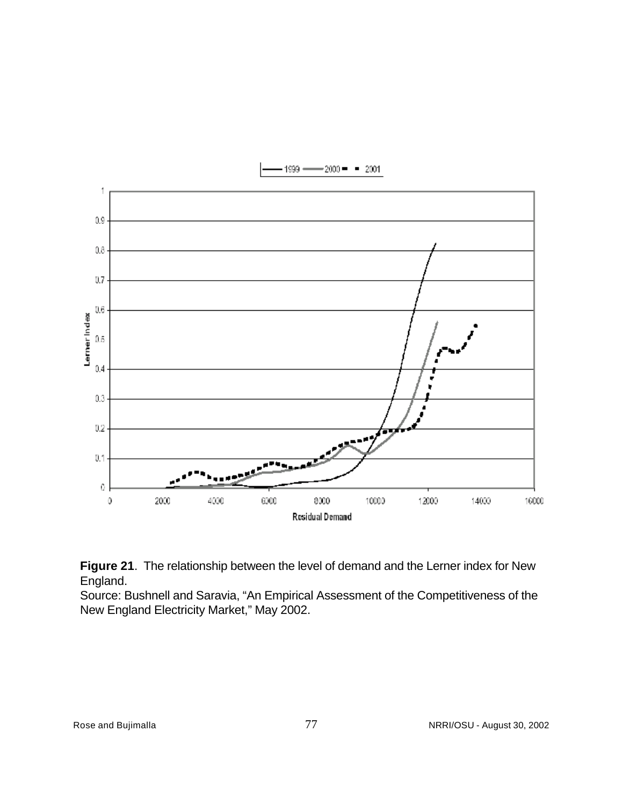



Source: Bushnell and Saravia, "An Empirical Assessment of the Competitiveness of the New England Electricity Market," May 2002.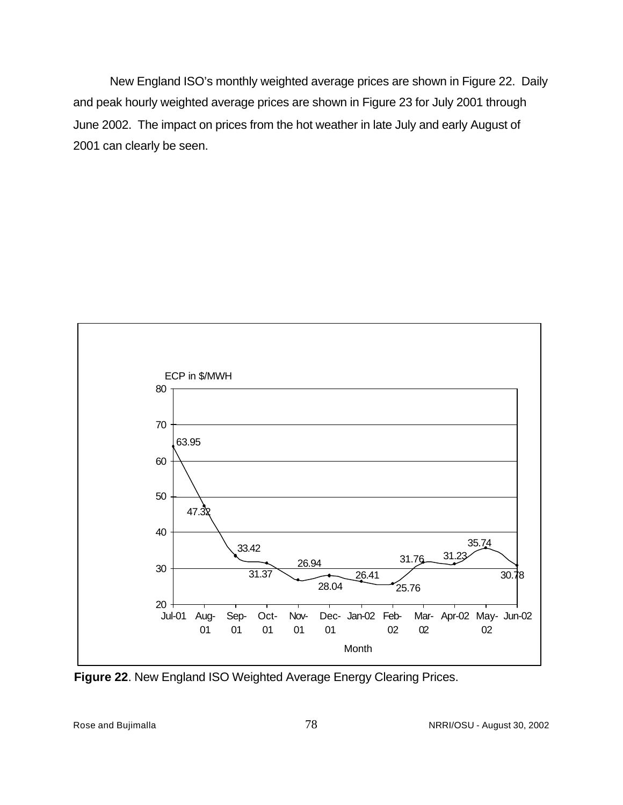New England ISO's monthly weighted average prices are shown in Figure 22. Daily and peak hourly weighted average prices are shown in Figure 23 for July 2001 through June 2002. The impact on prices from the hot weather in late July and early August of 2001 can clearly be seen.



**Figure 22**. New England ISO Weighted Average Energy Clearing Prices.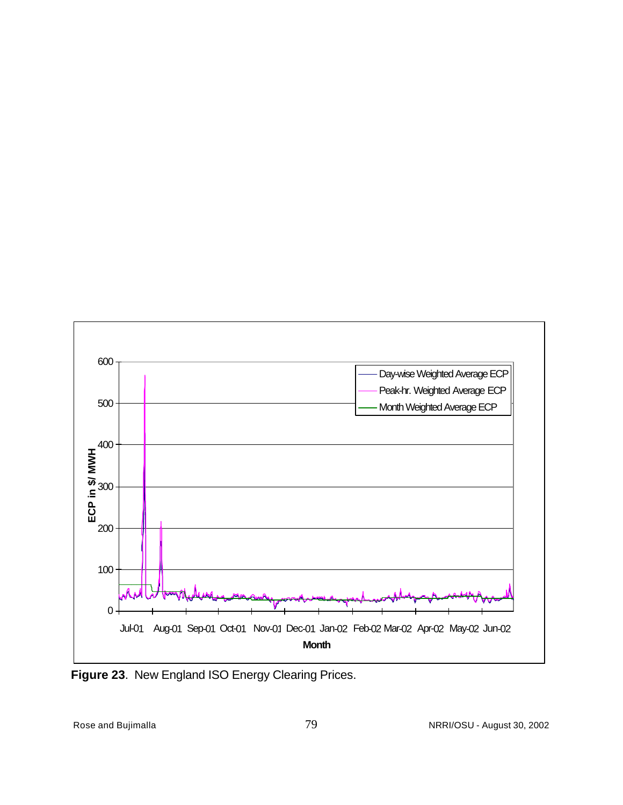

**Figure 23**. New England ISO Energy Clearing Prices.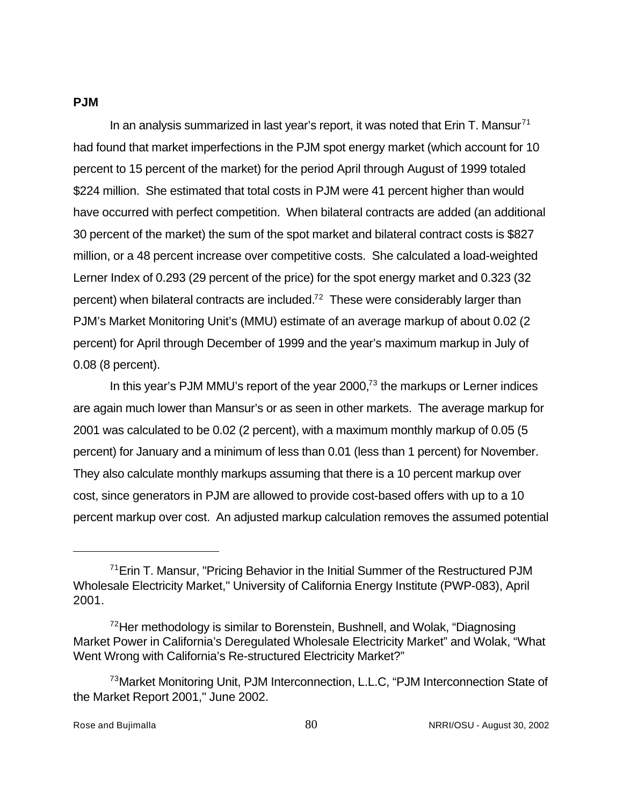#### **PJM**

In an analysis summarized in last year's report, it was noted that Erin T. Mansur<sup>71</sup> had found that market imperfections in the PJM spot energy market (which account for 10 percent to 15 percent of the market) for the period April through August of 1999 totaled \$224 million. She estimated that total costs in PJM were 41 percent higher than would have occurred with perfect competition. When bilateral contracts are added (an additional 30 percent of the market) the sum of the spot market and bilateral contract costs is \$827 million, or a 48 percent increase over competitive costs. She calculated a load-weighted Lerner Index of 0.293 (29 percent of the price) for the spot energy market and 0.323 (32 percent) when bilateral contracts are included.<sup>72</sup> These were considerably larger than PJM's Market Monitoring Unit's (MMU) estimate of an average markup of about 0.02 (2 percent) for April through December of 1999 and the year's maximum markup in July of 0.08 (8 percent).

In this year's PJM MMU's report of the year  $2000<sup>73</sup>$  the markups or Lerner indices are again much lower than Mansur's or as seen in other markets. The average markup for 2001 was calculated to be 0.02 (2 percent), with a maximum monthly markup of 0.05 (5 percent) for January and a minimum of less than 0.01 (less than 1 percent) for November. They also calculate monthly markups assuming that there is a 10 percent markup over cost, since generators in PJM are allowed to provide cost-based offers with up to a 10 percent markup over cost. An adjusted markup calculation removes the assumed potential

<sup>&</sup>lt;sup>71</sup> Erin T. Mansur, "Pricing Behavior in the Initial Summer of the Restructured PJM Wholesale Electricity Market," University of California Energy Institute (PWP-083), April 2001.

 $72$ Her methodology is similar to Borenstein, Bushnell, and Wolak, "Diagnosing Market Power in California's Deregulated Wholesale Electricity Market" and Wolak, "What Went Wrong with California's Re-structured Electricity Market?"

<sup>&</sup>lt;sup>73</sup>Market Monitoring Unit, PJM Interconnection, L.L.C, "PJM Interconnection State of the Market Report 2001," June 2002.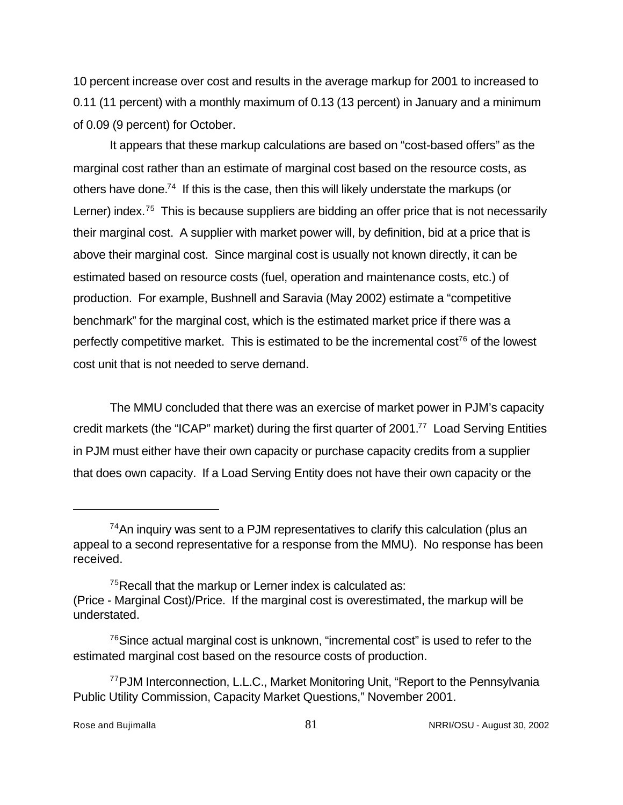10 percent increase over cost and results in the average markup for 2001 to increased to 0.11 (11 percent) with a monthly maximum of 0.13 (13 percent) in January and a minimum of 0.09 (9 percent) for October.

It appears that these markup calculations are based on "cost-based offers" as the marginal cost rather than an estimate of marginal cost based on the resource costs, as others have done.<sup>74</sup> If this is the case, then this will likely understate the markups (or Lerner) index.<sup>75</sup> This is because suppliers are bidding an offer price that is not necessarily their marginal cost. A supplier with market power will, by definition, bid at a price that is above their marginal cost. Since marginal cost is usually not known directly, it can be estimated based on resource costs (fuel, operation and maintenance costs, etc.) of production. For example, Bushnell and Saravia (May 2002) estimate a "competitive benchmark" for the marginal cost, which is the estimated market price if there was a perfectly competitive market. This is estimated to be the incremental cost<sup>76</sup> of the lowest cost unit that is not needed to serve demand.

The MMU concluded that there was an exercise of market power in PJM's capacity credit markets (the "ICAP" market) during the first quarter of 2001.<sup>77</sup> Load Serving Entities in PJM must either have their own capacity or purchase capacity credits from a supplier that does own capacity. If a Load Serving Entity does not have their own capacity or the

 $74$ An inquiry was sent to a PJM representatives to clarify this calculation (plus an appeal to a second representative for a response from the MMU). No response has been received.

<sup>&</sup>lt;sup>75</sup>Recall that the markup or Lerner index is calculated as: (Price - Marginal Cost)/Price. If the marginal cost is overestimated, the markup will be understated.

<sup>&</sup>lt;sup>76</sup>Since actual marginal cost is unknown, "incremental cost" is used to refer to the estimated marginal cost based on the resource costs of production.

<sup>&</sup>lt;sup>77</sup>PJM Interconnection, L.L.C., Market Monitoring Unit, "Report to the Pennsylvania Public Utility Commission, Capacity Market Questions," November 2001.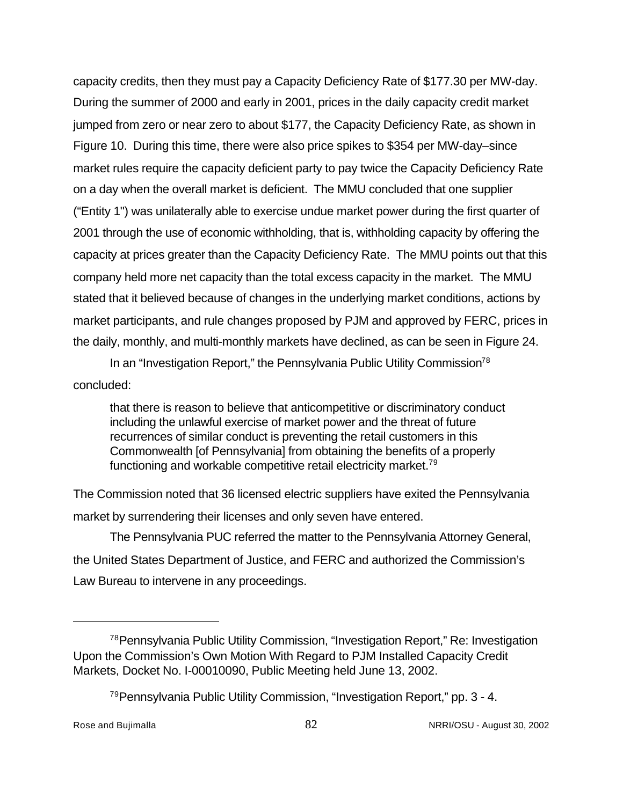capacity credits, then they must pay a Capacity Deficiency Rate of \$177.30 per MW-day. During the summer of 2000 and early in 2001, prices in the daily capacity credit market jumped from zero or near zero to about \$177, the Capacity Deficiency Rate, as shown in Figure 10. During this time, there were also price spikes to \$354 per MW-day–since market rules require the capacity deficient party to pay twice the Capacity Deficiency Rate on a day when the overall market is deficient. The MMU concluded that one supplier ("Entity 1") was unilaterally able to exercise undue market power during the first quarter of 2001 through the use of economic withholding, that is, withholding capacity by offering the capacity at prices greater than the Capacity Deficiency Rate. The MMU points out that this company held more net capacity than the total excess capacity in the market. The MMU stated that it believed because of changes in the underlying market conditions, actions by market participants, and rule changes proposed by PJM and approved by FERC, prices in the daily, monthly, and multi-monthly markets have declined, as can be seen in Figure 24.

In an "Investigation Report," the Pennsylvania Public Utility Commission<sup>78</sup> concluded:

that there is reason to believe that anticompetitive or discriminatory conduct including the unlawful exercise of market power and the threat of future recurrences of similar conduct is preventing the retail customers in this Commonwealth [of Pennsylvania] from obtaining the benefits of a properly functioning and workable competitive retail electricity market.<sup>79</sup>

The Commission noted that 36 licensed electric suppliers have exited the Pennsylvania market by surrendering their licenses and only seven have entered.

The Pennsylvania PUC referred the matter to the Pennsylvania Attorney General, the United States Department of Justice, and FERC and authorized the Commission's Law Bureau to intervene in any proceedings.

<sup>78</sup>Pennsylvania Public Utility Commission, "Investigation Report," Re: Investigation Upon the Commission's Own Motion With Regard to PJM Installed Capacity Credit Markets, Docket No. I-00010090, Public Meeting held June 13, 2002.

<sup>&</sup>lt;sup>79</sup> Pennsylvania Public Utility Commission, "Investigation Report," pp. 3 - 4.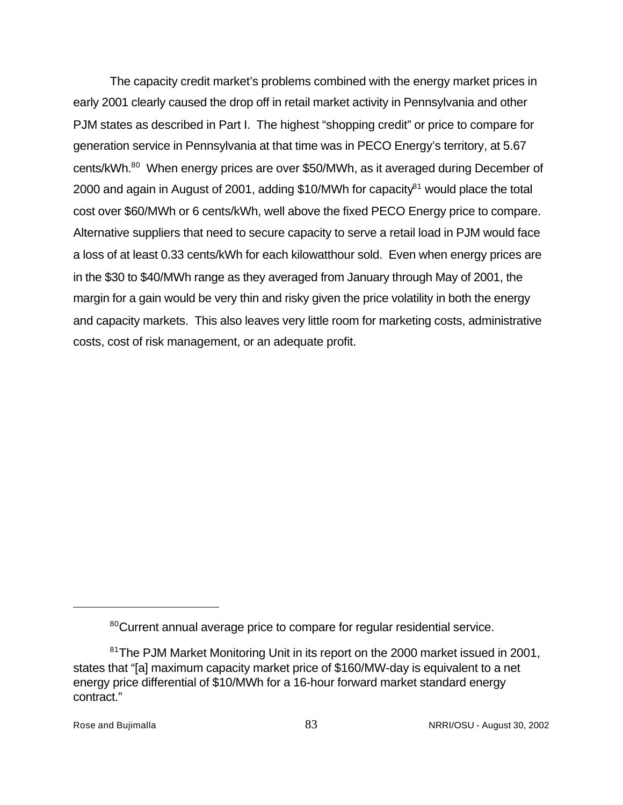The capacity credit market's problems combined with the energy market prices in early 2001 clearly caused the drop off in retail market activity in Pennsylvania and other PJM states as described in Part I. The highest "shopping credit" or price to compare for generation service in Pennsylvania at that time was in PECO Energy's territory, at 5.67 cents/kWh.<sup>80</sup> When energy prices are over \$50/MWh, as it averaged during December of 2000 and again in August of 2001, adding \$10/MWh for capacity<sup>81</sup> would place the total cost over \$60/MWh or 6 cents/kWh, well above the fixed PECO Energy price to compare. Alternative suppliers that need to secure capacity to serve a retail load in PJM would face a loss of at least 0.33 cents/kWh for each kilowatthour sold. Even when energy prices are in the \$30 to \$40/MWh range as they averaged from January through May of 2001, the margin for a gain would be very thin and risky given the price volatility in both the energy and capacity markets. This also leaves very little room for marketing costs, administrative costs, cost of risk management, or an adequate profit.

<sup>&</sup>lt;sup>80</sup>Current annual average price to compare for regular residential service.

<sup>&</sup>lt;sup>81</sup>The PJM Market Monitoring Unit in its report on the 2000 market issued in 2001, states that "[a] maximum capacity market price of \$160/MW-day is equivalent to a net energy price differential of \$10/MWh for a 16-hour forward market standard energy contract."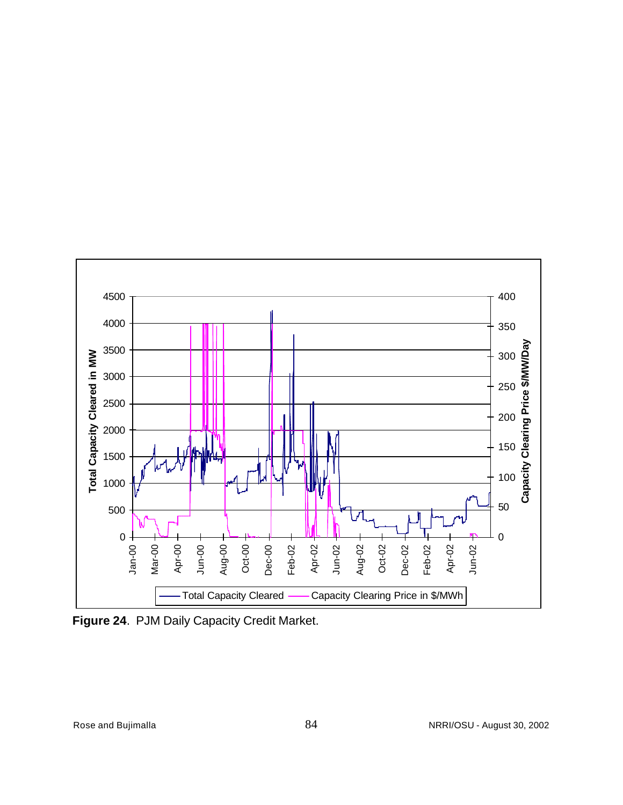

**Figure 24**. PJM Daily Capacity Credit Market.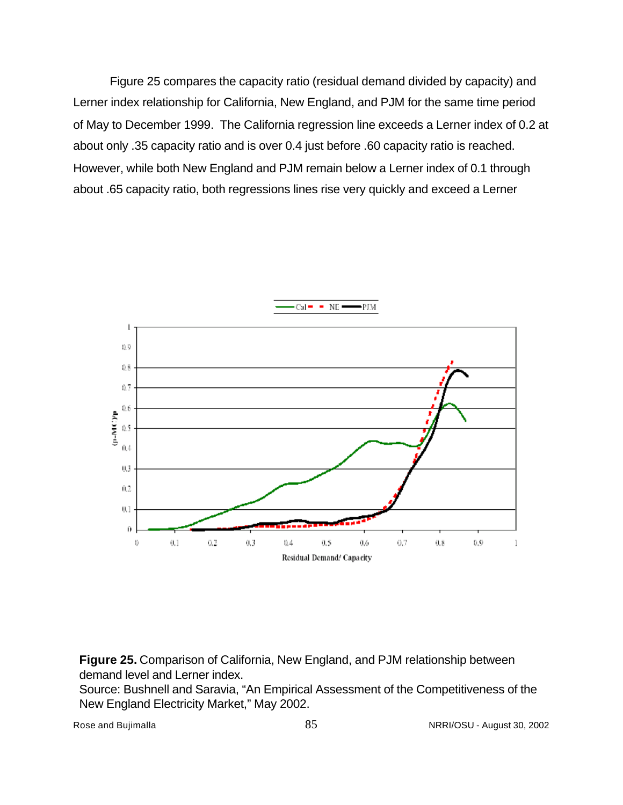Figure 25 compares the capacity ratio (residual demand divided by capacity) and Lerner index relationship for California, New England, and PJM for the same time period of May to December 1999. The California regression line exceeds a Lerner index of 0.2 at about only .35 capacity ratio and is over 0.4 just before .60 capacity ratio is reached. However, while both New England and PJM remain below a Lerner index of 0.1 through about .65 capacity ratio, both regressions lines rise very quickly and exceed a Lerner



**Figure 25.** Comparison of California, New England, and PJM relationship between demand level and Lerner index.

Source: Bushnell and Saravia, "An Empirical Assessment of the Competitiveness of the New England Electricity Market," May 2002.

Rose and Bujimalla **85** NRRI/OSU - August 30, 2002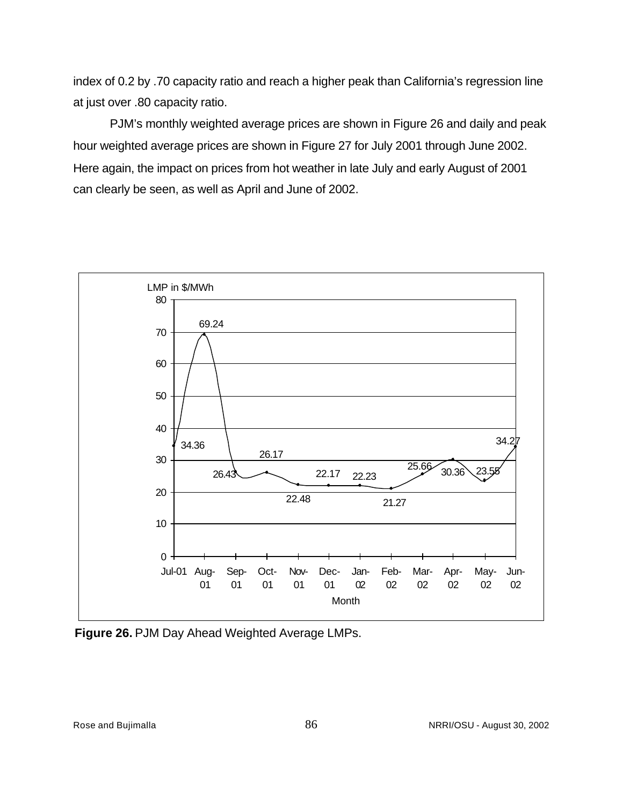index of 0.2 by .70 capacity ratio and reach a higher peak than California's regression line at just over .80 capacity ratio.

PJM's monthly weighted average prices are shown in Figure 26 and daily and peak hour weighted average prices are shown in Figure 27 for July 2001 through June 2002. Here again, the impact on prices from hot weather in late July and early August of 2001 can clearly be seen, as well as April and June of 2002.



**Figure 26.** PJM Day Ahead Weighted Average LMPs.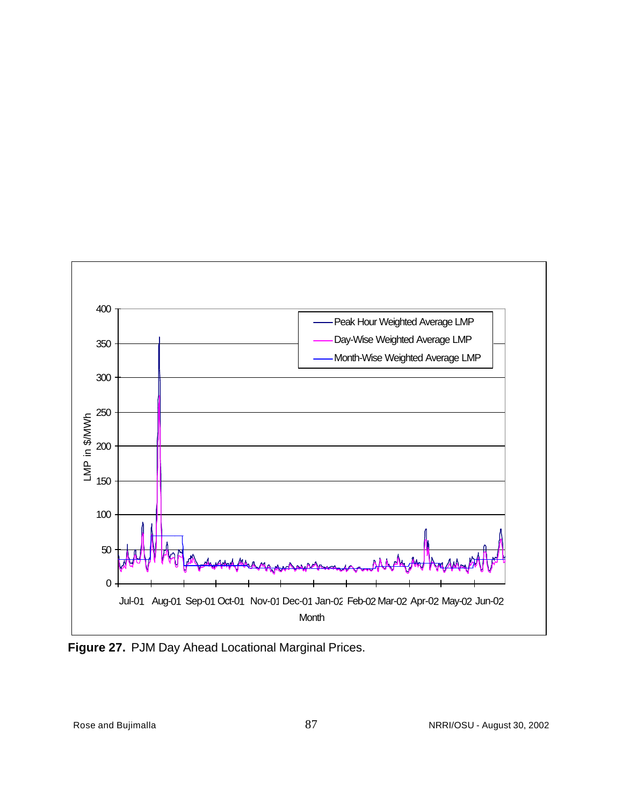

**Figure 27.** PJM Day Ahead Locational Marginal Prices.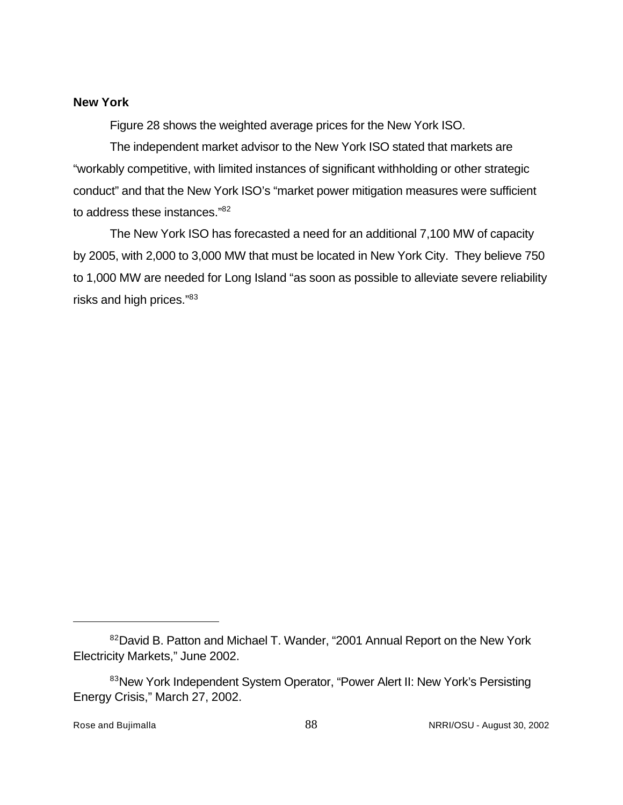### **New York**

Figure 28 shows the weighted average prices for the New York ISO.

The independent market advisor to the New York ISO stated that markets are "workably competitive, with limited instances of significant withholding or other strategic conduct" and that the New York ISO's "market power mitigation measures were sufficient to address these instances."<sup>82</sup>

The New York ISO has forecasted a need for an additional 7,100 MW of capacity by 2005, with 2,000 to 3,000 MW that must be located in New York City. They believe 750 to 1,000 MW are needed for Long Island "as soon as possible to alleviate severe reliability risks and high prices."83

<sup>82</sup>David B. Patton and Michael T. Wander, "2001 Annual Report on the New York Electricity Markets," June 2002.

<sup>83</sup>New York Independent System Operator, "Power Alert II: New York's Persisting Energy Crisis," March 27, 2002.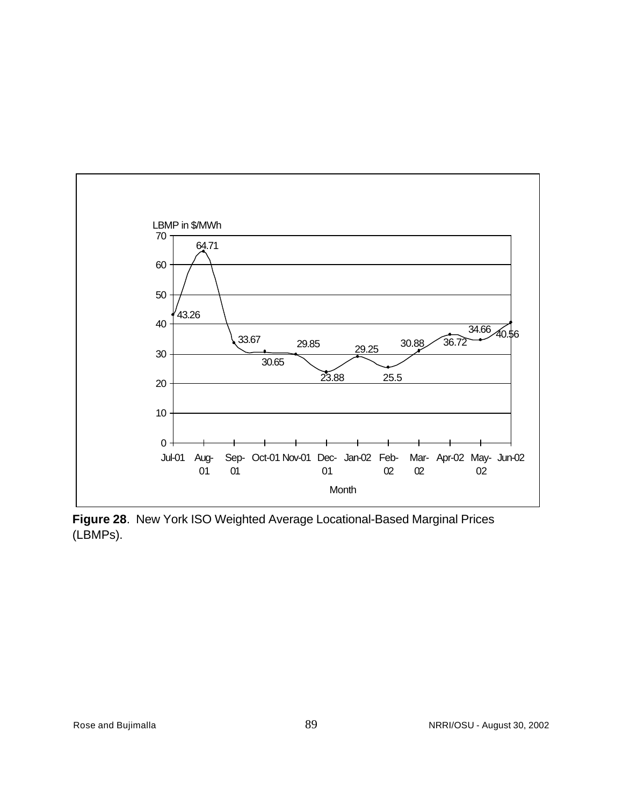

**Figure 28**. New York ISO Weighted Average Locational-Based Marginal Prices (LBMPs).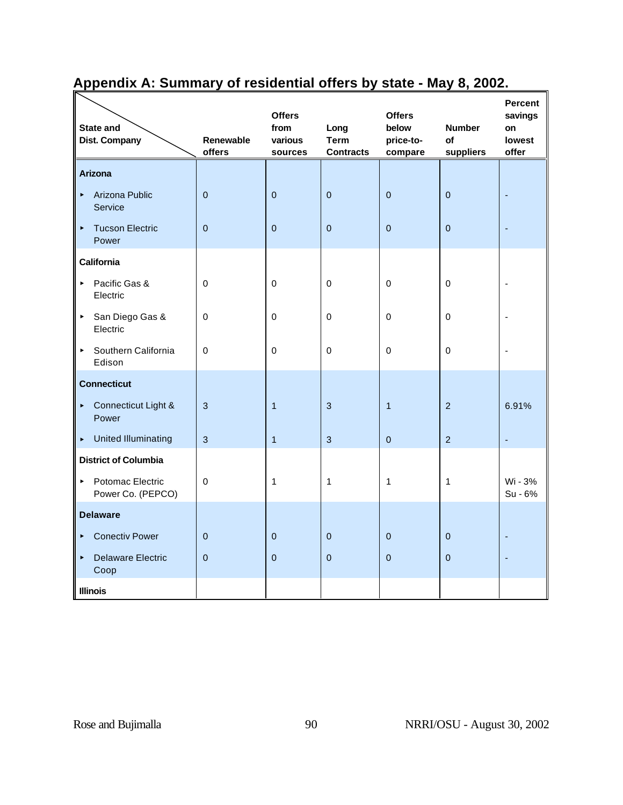| <b>State and</b><br><b>Dist. Company</b>                       | <b>Renewable</b><br>offers | <b>Offers</b><br>from<br>various<br>sources | Long<br><b>Term</b><br><b>Contracts</b> | <b>Offers</b><br>below<br>price-to-<br>compare | <b>Number</b><br>of<br>suppliers | <b>Percent</b><br>savings<br>on<br>lowest<br>offer |
|----------------------------------------------------------------|----------------------------|---------------------------------------------|-----------------------------------------|------------------------------------------------|----------------------------------|----------------------------------------------------|
| <b>Arizona</b>                                                 |                            |                                             |                                         |                                                |                                  |                                                    |
| Arizona Public<br>$\blacktriangleright$<br>Service             | $\overline{0}$             | $\overline{0}$                              | $\overline{0}$                          | $\overline{0}$                                 | $\overline{0}$                   |                                                    |
| <b>Tucson Electric</b><br>$\blacktriangleright$<br>Power       | $\overline{0}$             | $\mathbf 0$                                 | $\pmb{0}$                               | $\overline{0}$                                 | $\pmb{0}$                        |                                                    |
| <b>California</b>                                              |                            |                                             |                                         |                                                |                                  |                                                    |
| Pacific Gas &<br>$\blacktriangleright$<br>Electric             | 0                          | $\mathbf 0$                                 | $\mathbf 0$                             | $\mathbf 0$                                    | 0                                |                                                    |
| San Diego Gas &<br>$\blacktriangleright$<br>Electric           | 0                          | 0                                           | 0                                       | 0                                              | 0                                |                                                    |
| Southern California<br>$\blacktriangleright$<br>Edison         | 0                          | $\mathbf 0$                                 | 0                                       | $\Omega$                                       | 0                                |                                                    |
| <b>Connecticut</b>                                             |                            |                                             |                                         |                                                |                                  |                                                    |
| Connecticut Light &<br>$\blacktriangleright$<br>Power          | 3                          | $\overline{1}$                              | $\mathbf{3}$                            | $\mathbf{1}$                                   | $\overline{2}$                   | 6.91%                                              |
| United Illuminating<br>$\blacktriangleright$                   | 3                          | $\mathbf{1}$                                | $\mathbf{3}$                            | $\overline{0}$                                 | $\overline{2}$                   | ٠                                                  |
| <b>District of Columbia</b>                                    |                            |                                             |                                         |                                                |                                  |                                                    |
| Potomac Electric<br>$\blacktriangleright$<br>Power Co. (PEPCO) | $\mathbf 0$                | $\mathbf{1}$                                | $\mathbf{1}$                            | $\mathbf{1}$                                   | 1                                | Wi - 3%<br>Su - 6%                                 |
| <b>Delaware</b>                                                |                            |                                             |                                         |                                                |                                  |                                                    |
| <b>Conectiv Power</b><br>$\blacktriangleright$                 | $\overline{0}$             | $\mathbf{0}$                                | $\mathbf{0}$                            | $\overline{0}$                                 | $\pmb{0}$                        |                                                    |
| <b>Delaware Electric</b><br>$\blacktriangleright$<br>Coop      | $\Omega$                   | $\overline{0}$                              | $\pmb{0}$                               | $\overline{0}$                                 | $\overline{0}$                   |                                                    |
| <b>Illinois</b>                                                |                            |                                             |                                         |                                                |                                  |                                                    |

# **Appendix A: Summary of residential offers by state - May 8, 2002.**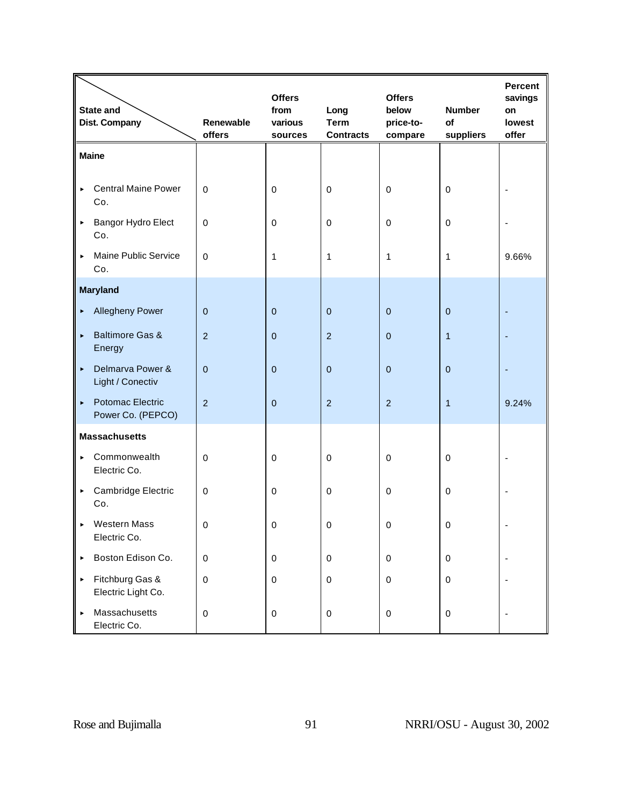|                       | <b>State and</b><br>Dist. Company     | Renewable<br>offers | <b>Offers</b><br>from<br>various<br>sources | Long<br><b>Term</b><br><b>Contracts</b> | <b>Offers</b><br>below<br>price-to-<br>compare | <b>Number</b><br>of<br>suppliers | <b>Percent</b><br>savings<br>on<br>lowest<br>offer |
|-----------------------|---------------------------------------|---------------------|---------------------------------------------|-----------------------------------------|------------------------------------------------|----------------------------------|----------------------------------------------------|
|                       | <b>Maine</b>                          |                     |                                             |                                         |                                                |                                  |                                                    |
| $\blacktriangleright$ | <b>Central Maine Power</b><br>Co.     | $\mathbf 0$         | $\mathbf 0$                                 | $\pmb{0}$                               | $\mathbf 0$                                    | $\mathbf 0$                      |                                                    |
| $\blacktriangleright$ | Bangor Hydro Elect<br>Co.             | $\mathbf 0$         | $\pmb{0}$                                   | $\,0\,$                                 | $\pmb{0}$                                      | $\pmb{0}$                        |                                                    |
| $\blacktriangleright$ | Maine Public Service<br>Co.           | $\mathbf 0$         | $\mathbf{1}$                                | 1                                       | $\mathbf{1}$                                   | $\mathbf{1}$                     | 9.66%                                              |
|                       | <b>Maryland</b>                       |                     |                                             |                                         |                                                |                                  |                                                    |
| $\blacktriangleright$ | <b>Allegheny Power</b>                | $\overline{0}$      | $\mathbf{0}$                                | $\boldsymbol{0}$                        | $\mathbf{0}$                                   | $\mathbf 0$                      |                                                    |
| $\blacktriangleright$ | <b>Baltimore Gas &amp;</b><br>Energy  | $\overline{2}$      | $\mathbf{0}$                                | $\overline{2}$                          | $\mathbf{0}$                                   | $\mathbf{1}$                     |                                                    |
| $\blacktriangleright$ | Delmarva Power &<br>Light / Conectiv  | $\mathbf 0$         | $\mathbf 0$                                 | $\pmb{0}$                               | $\mathbf 0$                                    | $\pmb{0}$                        |                                                    |
| $\blacktriangleright$ | Potomac Electric<br>Power Co. (PEPCO) | $\overline{2}$      | $\overline{0}$                              | $\overline{2}$                          | $\overline{2}$                                 | $\mathbf{1}$                     | 9.24%                                              |
|                       | <b>Massachusetts</b>                  |                     |                                             |                                         |                                                |                                  |                                                    |
| $\blacktriangleright$ | Commonwealth<br>Electric Co.          | $\mathbf 0$         | $\mathbf 0$                                 | 0                                       | $\mathbf 0$                                    | $\mathbf 0$                      |                                                    |
| $\blacktriangleright$ | Cambridge Electric<br>Co.             | $\mathbf 0$         | $\mathbf 0$                                 | $\,0\,$                                 | $\mathbf 0$                                    | $\boldsymbol{0}$                 |                                                    |
| $\blacktriangleright$ | Western Mass<br>Electric Co.          | 0                   | 0                                           | 0                                       | 0                                              | 0                                |                                                    |
| $\blacktriangleright$ | Boston Edison Co.                     | $\mathbf 0$         | $\boldsymbol{0}$                            | $\pmb{0}$                               | $\boldsymbol{0}$                               | $\pmb{0}$                        | $\overline{a}$                                     |
| $\blacktriangleright$ | Fitchburg Gas &<br>Electric Light Co. | $\mathbf 0$         | $\mathbf 0$                                 | $\pmb{0}$                               | $\mathbf 0$                                    | $\pmb{0}$                        | $\overline{a}$                                     |
| $\blacktriangleright$ | Massachusetts<br>Electric Co.         | $\mathbf 0$         | $\pmb{0}$                                   | $\pmb{0}$                               | $\mathbf 0$                                    | $\pmb{0}$                        |                                                    |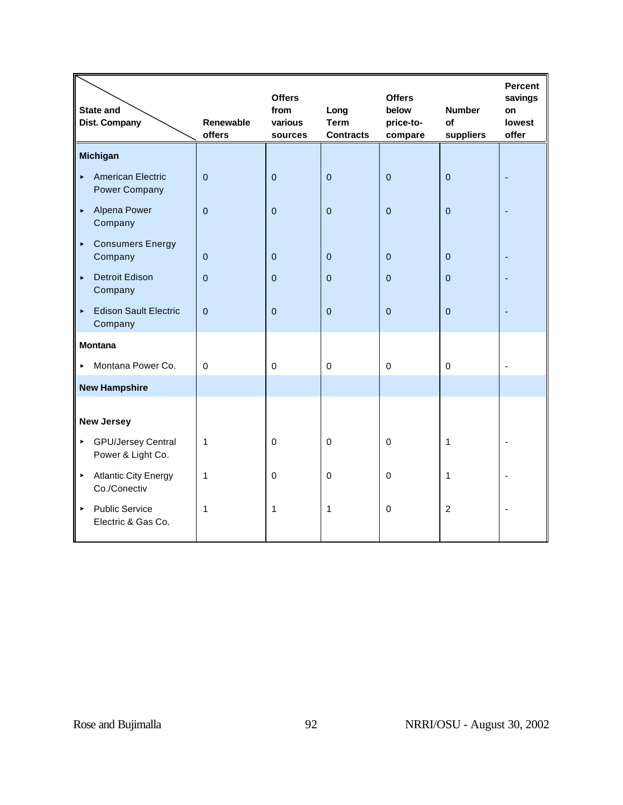|                       | <b>State and</b><br>Dist. Company              | <b>Renewable</b><br>offers | <b>Offers</b><br>from<br>various<br>sources | Long<br><b>Term</b><br><b>Contracts</b> | <b>Offers</b><br>below<br>price-to-<br>compare | <b>Number</b><br>of<br>suppliers | <b>Percent</b><br>savings<br>on<br>lowest<br>offer |
|-----------------------|------------------------------------------------|----------------------------|---------------------------------------------|-----------------------------------------|------------------------------------------------|----------------------------------|----------------------------------------------------|
|                       | <b>Michigan</b>                                |                            |                                             |                                         |                                                |                                  |                                                    |
| ×.                    | <b>American Electric</b><br>Power Company      | $\overline{0}$             | $\mathbf 0$                                 | $\pmb{0}$                               | $\overline{0}$                                 | $\mathbf 0$                      |                                                    |
| $\blacktriangleright$ | Alpena Power<br>Company                        | $\Omega$                   | $\Omega$                                    | $\mathbf 0$                             | $\Omega$                                       | $\Omega$                         |                                                    |
| $\blacktriangleright$ | <b>Consumers Energy</b><br>Company             | $\overline{0}$             | $\mathbf 0$                                 | $\pmb{0}$                               | $\mathbf 0$                                    | $\pmb{0}$                        |                                                    |
| k,                    | <b>Detroit Edison</b><br>Company               | $\mathbf 0$                | $\mathbf 0$                                 | $\mathbf 0$                             | $\mathbf 0$                                    | $\pmb{0}$                        |                                                    |
| $\blacktriangleright$ | <b>Edison Sault Electric</b><br>Company        | $\overline{0}$             | $\mathbf 0$                                 | $\mathbf 0$                             | $\overline{0}$                                 | $\mathbf 0$                      |                                                    |
|                       | <b>Montana</b>                                 |                            |                                             |                                         |                                                |                                  |                                                    |
| ь.                    | Montana Power Co.                              | $\Omega$                   | $\mathbf 0$                                 | $\mathbf 0$                             | $\mathbf 0$                                    | $\mathbf 0$                      |                                                    |
|                       | <b>New Hampshire</b>                           |                            |                                             |                                         |                                                |                                  |                                                    |
|                       | <b>New Jersey</b>                              |                            |                                             |                                         |                                                |                                  |                                                    |
| ×                     | <b>GPU/Jersey Central</b><br>Power & Light Co. | 1                          | $\mathbf 0$                                 | $\mathbf 0$                             | $\mathbf 0$                                    | 1                                |                                                    |
| $\blacktriangleright$ | <b>Atlantic City Energy</b><br>Co./Conectiv    | 1                          | $\mathbf 0$                                 | 0                                       | 0                                              | 1                                |                                                    |
| $\blacktriangleright$ | <b>Public Service</b><br>Electric & Gas Co.    | 1                          | 1                                           | 1                                       | $\mathbf 0$                                    | $\overline{2}$                   |                                                    |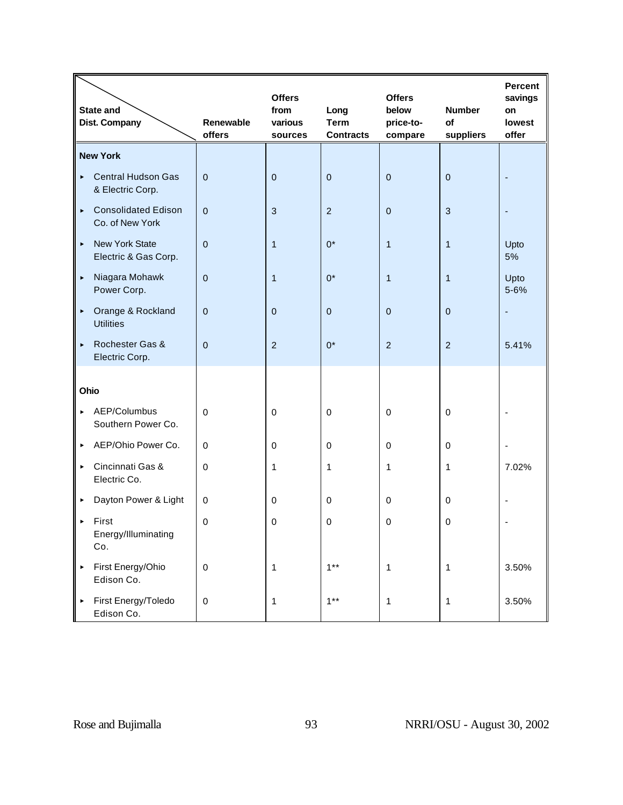|                       | State and<br><b>Dist. Company</b>             | Renewable<br>offers | <b>Offers</b><br>from<br>various<br>sources | Long<br><b>Term</b><br><b>Contracts</b> | <b>Offers</b><br>below<br>price-to-<br>compare | <b>Number</b><br>of<br>suppliers | <b>Percent</b><br>savings<br>on<br>lowest<br>offer |
|-----------------------|-----------------------------------------------|---------------------|---------------------------------------------|-----------------------------------------|------------------------------------------------|----------------------------------|----------------------------------------------------|
|                       | <b>New York</b>                               |                     |                                             |                                         |                                                |                                  |                                                    |
| $\blacktriangleright$ | <b>Central Hudson Gas</b><br>& Electric Corp. | $\mathbf{0}$        | $\mathbf{0}$                                | $\mathbf{0}$                            | $\overline{0}$                                 | $\mathbf{0}$                     |                                                    |
| $\blacktriangleright$ | <b>Consolidated Edison</b><br>Co. of New York | $\mathbf 0$         | 3                                           | $\overline{2}$                          | $\overline{0}$                                 | $\mathbf{3}$                     |                                                    |
| $\blacktriangleright$ | <b>New York State</b><br>Electric & Gas Corp. | $\Omega$            | $\overline{1}$                              | $0^*$                                   | $\mathbf{1}$                                   | $\mathbf{1}$                     | Upto<br>5%                                         |
| $\blacktriangleright$ | Niagara Mohawk<br>Power Corp.                 | $\mathbf{0}$        | $\mathbf{1}$                                | $0^*$                                   | $\mathbf{1}$                                   | $\mathbf{1}$                     | Upto<br>5-6%                                       |
| $\blacktriangleright$ | Orange & Rockland<br><b>Utilities</b>         | $\Omega$            | $\mathbf{0}$                                | $\mathbf{0}$                            | $\Omega$                                       | $\mathbf{0}$                     |                                                    |
| $\blacktriangleright$ | Rochester Gas &<br>Electric Corp.             | $\mathbf{0}$        | $\overline{2}$                              | $0^*$                                   | $\overline{2}$                                 | $\overline{2}$                   | 5.41%                                              |
| Ohio                  |                                               |                     |                                             |                                         |                                                |                                  |                                                    |
| $\blacktriangleright$ | AEP/Columbus<br>Southern Power Co.            | $\mathbf 0$         | $\mathbf 0$                                 | $\mathbf 0$                             | $\mathbf 0$                                    | $\mathbf 0$                      |                                                    |
| $\blacktriangleright$ | AEP/Ohio Power Co.                            | $\Omega$            | $\Omega$                                    | $\pmb{0}$                               | $\Omega$                                       | $\mathbf 0$                      |                                                    |
| $\blacktriangleright$ | Cincinnati Gas &<br>Electric Co.              | $\mathbf 0$         | $\mathbf{1}$                                | 1                                       | 1                                              | 1                                | 7.02%                                              |
| ٠                     | Dayton Power & Light                          | $\mathbf 0$         | 0                                           | 0                                       | $\Omega$                                       | $\mathbf 0$                      |                                                    |
| $\blacktriangleright$ | First<br>Energy/Illuminating<br>Co.           | $\mathbf 0$         | 0                                           | $\mathbf 0$                             | $\Omega$                                       | $\Omega$                         |                                                    |
| $\blacktriangleright$ | First Energy/Ohio<br>Edison Co.               | $\mathbf 0$         | $\mathbf{1}$                                | $1***$                                  | $\mathbf{1}$                                   | $\mathbf{1}$                     | 3.50%                                              |
| $\blacktriangleright$ | First Energy/Toledo<br>Edison Co.             | $\boldsymbol{0}$    | $\mathbf{1}$                                | $1***$                                  | $\mathbf{1}$                                   | $\mathbf{1}$                     | 3.50%                                              |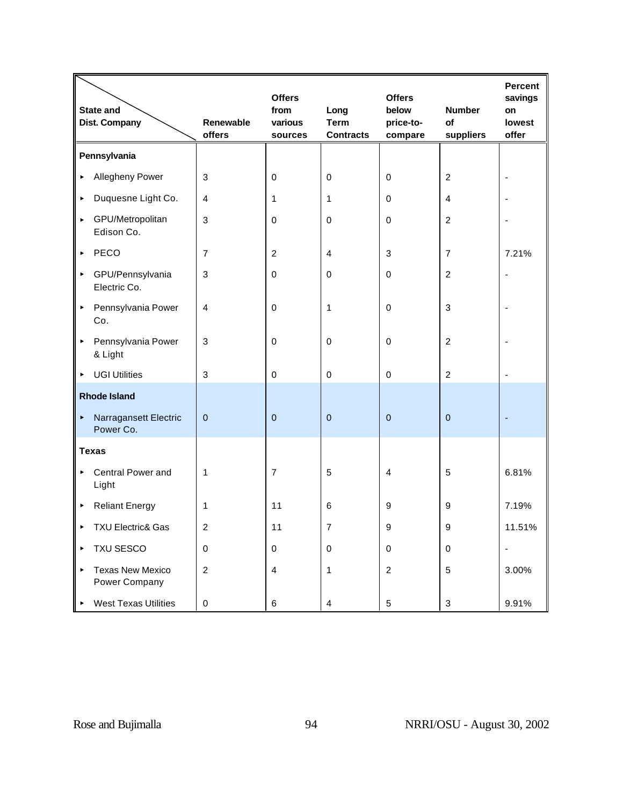|                       | <b>State and</b><br><b>Dist. Company</b> | <b>Renewable</b><br>offers | <b>Offers</b><br>from<br>various<br>sources | Long<br><b>Term</b><br><b>Contracts</b> | <b>Offers</b><br>below<br>price-to-<br>compare | <b>Number</b><br>of<br>suppliers | <b>Percent</b><br>savings<br>on<br>lowest<br>offer |
|-----------------------|------------------------------------------|----------------------------|---------------------------------------------|-----------------------------------------|------------------------------------------------|----------------------------------|----------------------------------------------------|
|                       | Pennsylvania                             |                            |                                             |                                         |                                                |                                  |                                                    |
| ٠                     | Allegheny Power                          | 3                          | $\mathbf 0$                                 | 0                                       | $\mathbf 0$                                    | $\overline{c}$                   |                                                    |
| ٠                     | Duquesne Light Co.                       | $\overline{4}$             | 1                                           | 1                                       | $\mathbf 0$                                    | 4                                |                                                    |
| $\blacktriangleright$ | GPU/Metropolitan<br>Edison Co.           | 3                          | $\mathbf 0$                                 | 0                                       | $\Omega$                                       | $\overline{c}$                   |                                                    |
| $\blacktriangleright$ | PECO                                     | $\overline{7}$             | 2                                           | 4                                       | 3                                              | $\overline{7}$                   | 7.21%                                              |
| ٠                     | GPU/Pennsylvania<br>Electric Co.         | 3                          | $\mathbf 0$                                 | $\mathbf 0$                             | $\mathbf 0$                                    | $\overline{c}$                   |                                                    |
| $\blacktriangleright$ | Pennsylvania Power<br>Co.                | $\overline{4}$             | $\mathbf 0$                                 | 1                                       | $\mathbf 0$                                    | 3                                |                                                    |
| $\blacktriangleright$ | Pennsylvania Power<br>& Light            | 3                          | $\mathbf 0$                                 | $\mathbf 0$                             | $\mathbf 0$                                    | $\overline{c}$                   |                                                    |
| ٠                     | <b>UGI Utilities</b>                     | 3                          | $\mathbf 0$                                 | $\mathbf 0$                             | $\mathbf 0$                                    | $\overline{c}$                   |                                                    |
|                       | <b>Rhode Island</b>                      |                            |                                             |                                         |                                                |                                  |                                                    |
| $\blacktriangleright$ | Narragansett Electric<br>Power Co.       | $\mathbf 0$                | $\mathbf 0$                                 | $\pmb{0}$                               | $\mathbf 0$                                    | $\pmb{0}$                        |                                                    |
|                       | <b>Texas</b>                             |                            |                                             |                                         |                                                |                                  |                                                    |
| $\blacktriangleright$ | Central Power and<br>Light               | 1                          | $\overline{7}$                              | 5                                       | $\overline{4}$                                 | 5                                | 6.81%                                              |
| ٠                     | <b>Reliant Energy</b>                    | 1                          | 11                                          | 6                                       | 9                                              | 9                                | 7.19%                                              |
|                       | <b>TXU Electric&amp; Gas</b>             | 2                          | 11                                          | $\overline{7}$                          | 9                                              | 9                                | 11.51%                                             |
| ٠                     | TXU SESCO                                | $\mathbf 0$                | $\mathbf 0$                                 | $\,0\,$                                 | $\mathbf 0$                                    | 0                                |                                                    |
| $\blacktriangleright$ | <b>Texas New Mexico</b><br>Power Company | $\overline{c}$             | $\overline{\mathbf{4}}$                     | 1                                       | $\sqrt{2}$                                     | 5                                | 3.00%                                              |
|                       | <b>West Texas Utilities</b>              | $\pmb{0}$                  | $\,6$                                       | $\overline{\mathbf{4}}$                 | $\mathbf 5$                                    | $\ensuremath{\mathsf{3}}$        | 9.91%                                              |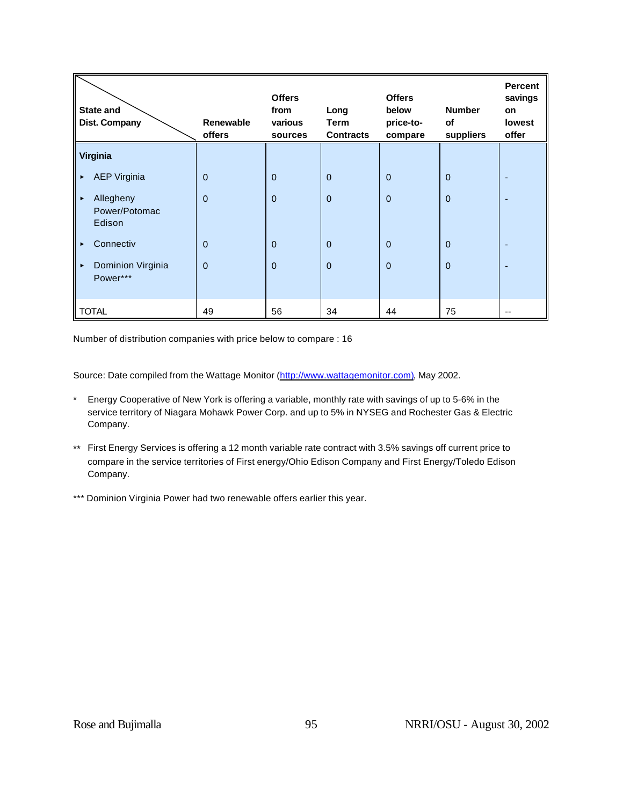| <b>State and</b><br>Dist. Company                             | <b>Renewable</b><br>offers | <b>Offers</b><br>from<br>various<br>sources | Long<br>Term<br><b>Contracts</b> | <b>Offers</b><br>below<br>price-to-<br>compare | <b>Number</b><br>of<br>suppliers | <b>Percent</b><br>savings<br>on<br>lowest<br>offer |
|---------------------------------------------------------------|----------------------------|---------------------------------------------|----------------------------------|------------------------------------------------|----------------------------------|----------------------------------------------------|
| Virginia                                                      |                            |                                             |                                  |                                                |                                  |                                                    |
| <b>AEP Virginia</b><br>٠                                      | $\overline{0}$             | $\overline{0}$                              | $\mathbf{0}$                     | $\mathbf 0$                                    | $\mathbf{0}$                     |                                                    |
| Allegheny<br>$\blacktriangleright$<br>Power/Potomac<br>Edison | $\mathbf 0$                | $\Omega$                                    | $\mathbf{0}$                     | $\mathbf 0$                                    | $\mathbf{0}$                     |                                                    |
| Connectiv<br>▶                                                | $\overline{0}$             | $\Omega$                                    | $\overline{0}$                   | $\mathbf 0$                                    | $\overline{0}$                   |                                                    |
| Dominion Virginia<br>$\blacktriangleright$<br>Power***        | $\Omega$                   | $\Omega$                                    | $\mathbf{0}$                     | $\Omega$                                       | $\Omega$                         |                                                    |
| <b>TOTAL</b>                                                  | 49                         | 56                                          | 34                               | 44                                             | 75                               | --                                                 |

Number of distribution companies with price below to compare : 16

Source: Date compiled from the Wattage Monitor (http://www.wattagemonitor.com), May 2002.

- \* Energy Cooperative of New York is offering a variable, monthly rate with savings of up to 5-6% in the service territory of Niagara Mohawk Power Corp. and up to 5% in NYSEG and Rochester Gas & Electric Company.
- \*\* First Energy Services is offering a 12 month variable rate contract with 3.5% savings off current price to compare in the service territories of First energy/Ohio Edison Company and First Energy/Toledo Edison Company.
- \*\*\* Dominion Virginia Power had two renewable offers earlier this year.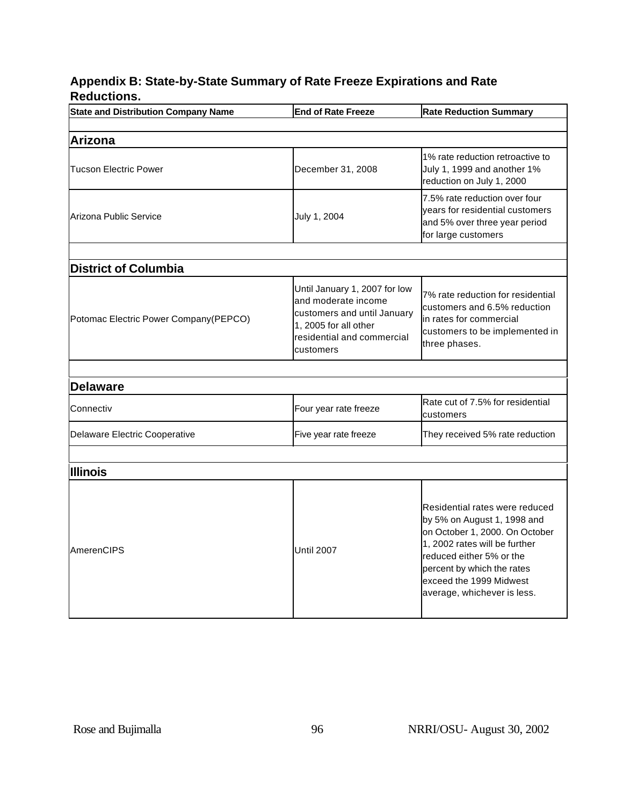## **Appendix B: State-by-State Summary of Rate Freeze Expirations and Rate Reductions.**

| <b>State and Distribution Company Name</b> | <b>End of Rate Freeze</b>                                                                                                                               | <b>Rate Reduction Summary</b>                                                                                                                                                                                                                        |  |  |  |  |
|--------------------------------------------|---------------------------------------------------------------------------------------------------------------------------------------------------------|------------------------------------------------------------------------------------------------------------------------------------------------------------------------------------------------------------------------------------------------------|--|--|--|--|
|                                            |                                                                                                                                                         |                                                                                                                                                                                                                                                      |  |  |  |  |
| <b>Arizona</b>                             |                                                                                                                                                         |                                                                                                                                                                                                                                                      |  |  |  |  |
| <b>Tucson Electric Power</b>               | December 31, 2008                                                                                                                                       | 1% rate reduction retroactive to<br>July 1, 1999 and another 1%<br>reduction on July 1, 2000                                                                                                                                                         |  |  |  |  |
| Arizona Public Service                     | July 1, 2004                                                                                                                                            | 7.5% rate reduction over four<br>years for residential customers<br>and 5% over three year period<br>for large customers                                                                                                                             |  |  |  |  |
|                                            |                                                                                                                                                         |                                                                                                                                                                                                                                                      |  |  |  |  |
| <b>District of Columbia</b>                |                                                                                                                                                         |                                                                                                                                                                                                                                                      |  |  |  |  |
| Potomac Electric Power Company (PEPCO)     | Until January 1, 2007 for low<br>and moderate income<br>customers and until January<br>1, 2005 for all other<br>residential and commercial<br>customers | 7% rate reduction for residential<br>customers and 6.5% reduction<br>in rates for commercial<br>customers to be implemented in<br>three phases.                                                                                                      |  |  |  |  |
|                                            |                                                                                                                                                         |                                                                                                                                                                                                                                                      |  |  |  |  |
| <b>Delaware</b>                            |                                                                                                                                                         |                                                                                                                                                                                                                                                      |  |  |  |  |
| Connectiv                                  | Four year rate freeze                                                                                                                                   | Rate cut of 7.5% for residential<br>customers                                                                                                                                                                                                        |  |  |  |  |
| Delaware Electric Cooperative              | Five year rate freeze                                                                                                                                   | They received 5% rate reduction                                                                                                                                                                                                                      |  |  |  |  |
|                                            |                                                                                                                                                         |                                                                                                                                                                                                                                                      |  |  |  |  |
| <b>Illinois</b>                            |                                                                                                                                                         |                                                                                                                                                                                                                                                      |  |  |  |  |
| AmerenCIPS                                 | <b>Until 2007</b>                                                                                                                                       | Residential rates were reduced<br>by 5% on August 1, 1998 and<br>on October 1, 2000. On October<br>1, 2002 rates will be further<br>reduced either 5% or the<br>percent by which the rates<br>exceed the 1999 Midwest<br>average, whichever is less. |  |  |  |  |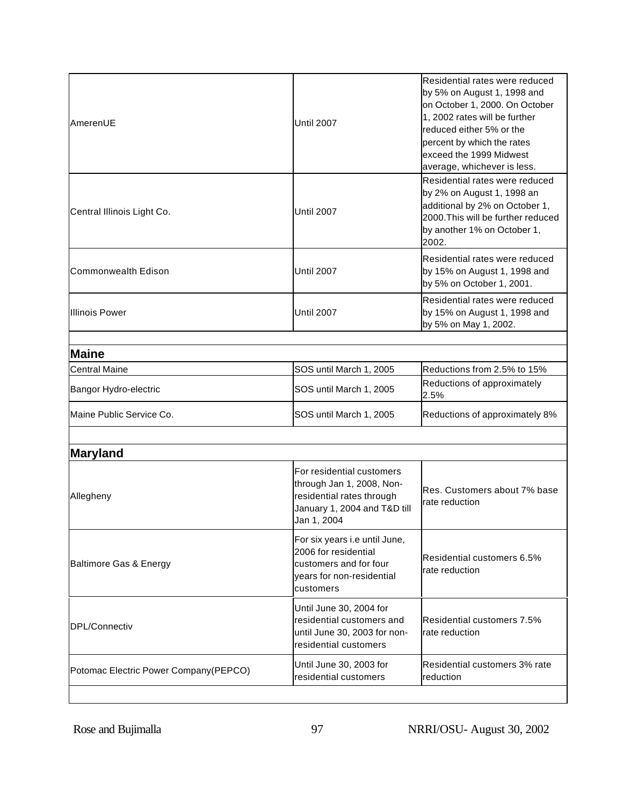| <b>AmerenUE</b>                        | <b>Until 2007</b>                                                                                                                  | Residential rates were reduced<br>by 5% on August 1, 1998 and<br>on October 1, 2000. On October<br>1, 2002 rates will be further<br>reduced either 5% or the<br>percent by which the rates<br>exceed the 1999 Midwest<br>average, whichever is less. |
|----------------------------------------|------------------------------------------------------------------------------------------------------------------------------------|------------------------------------------------------------------------------------------------------------------------------------------------------------------------------------------------------------------------------------------------------|
| Central Illinois Light Co.             | <b>Until 2007</b>                                                                                                                  | Residential rates were reduced<br>by 2% on August 1, 1998 an<br>additional by 2% on October 1,<br>2000. This will be further reduced<br>by another 1% on October 1,<br>2002.                                                                         |
| Commonwealth Edison                    | Until 2007                                                                                                                         | Residential rates were reduced<br>by 15% on August 1, 1998 and<br>by 5% on October 1, 2001.                                                                                                                                                          |
| Illinois Power                         | <b>Until 2007</b>                                                                                                                  | Residential rates were reduced<br>by 15% on August 1, 1998 and<br>by 5% on May 1, 2002.                                                                                                                                                              |
| <b>Maine</b>                           |                                                                                                                                    |                                                                                                                                                                                                                                                      |
| <b>Central Maine</b>                   | SOS until March 1, 2005                                                                                                            | Reductions from 2.5% to 15%                                                                                                                                                                                                                          |
| Bangor Hydro-electric                  | SOS until March 1, 2005                                                                                                            | Reductions of approximately<br>2.5%                                                                                                                                                                                                                  |
| Maine Public Service Co.               | SOS until March 1, 2005                                                                                                            | Reductions of approximately 8%                                                                                                                                                                                                                       |
| Maryland                               |                                                                                                                                    |                                                                                                                                                                                                                                                      |
| Allegheny                              | For residential customers<br>through Jan 1, 2008, Non-<br>residential rates through<br>January 1, 2004 and T&D till<br>Jan 1, 2004 | Res. Customers about 7% base<br>rate reduction                                                                                                                                                                                                       |
| Baltimore Gas & Energy                 | For six years i.e until June,<br>2006 for residential<br>customers and for four<br>years for non-residential<br>customers          | Residential customers 6.5%<br>rate reduction                                                                                                                                                                                                         |
| DPL/Connectiv                          | Until June 30, 2004 for<br>residential customers and<br>until June 30, 2003 for non-<br>residential customers                      | Residential customers 7.5%<br>rate reduction                                                                                                                                                                                                         |
| Potomac Electric Power Company (PEPCO) | Until June 30, 2003 for<br>residential customers                                                                                   | Residential customers 3% rate<br>reduction                                                                                                                                                                                                           |
|                                        |                                                                                                                                    |                                                                                                                                                                                                                                                      |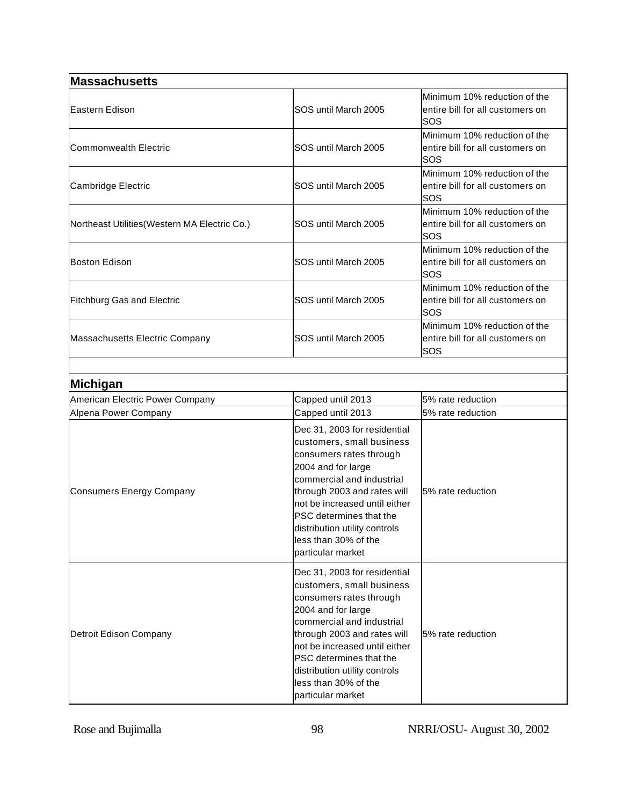| Massachusetts                                 |                                                                                                                                                                                                                                                                                                                  |                                                                         |
|-----------------------------------------------|------------------------------------------------------------------------------------------------------------------------------------------------------------------------------------------------------------------------------------------------------------------------------------------------------------------|-------------------------------------------------------------------------|
| <b>Eastern Edison</b>                         | SOS until March 2005                                                                                                                                                                                                                                                                                             | Minimum 10% reduction of the<br>entire bill for all customers on<br>SOS |
| <b>Commonwealth Electric</b>                  | SOS until March 2005                                                                                                                                                                                                                                                                                             | Minimum 10% reduction of the<br>entire bill for all customers on<br>SOS |
| Cambridge Electric                            | SOS until March 2005                                                                                                                                                                                                                                                                                             | Minimum 10% reduction of the<br>entire bill for all customers on<br>SOS |
| Northeast Utilities (Western MA Electric Co.) | SOS until March 2005                                                                                                                                                                                                                                                                                             | Minimum 10% reduction of the<br>entire bill for all customers on<br>SOS |
| <b>Boston Edison</b>                          | SOS until March 2005                                                                                                                                                                                                                                                                                             | Minimum 10% reduction of the<br>entire bill for all customers on<br>SOS |
| <b>Fitchburg Gas and Electric</b>             | SOS until March 2005                                                                                                                                                                                                                                                                                             | Minimum 10% reduction of the<br>entire bill for all customers on<br>SOS |
| Massachusetts Electric Company                | SOS until March 2005                                                                                                                                                                                                                                                                                             | Minimum 10% reduction of the<br>entire bill for all customers on<br>SOS |
|                                               |                                                                                                                                                                                                                                                                                                                  |                                                                         |
| Michigan                                      |                                                                                                                                                                                                                                                                                                                  |                                                                         |
| American Electric Power Company               | Capped until 2013                                                                                                                                                                                                                                                                                                | 5% rate reduction                                                       |
| Alpena Power Company                          | Capped until 2013                                                                                                                                                                                                                                                                                                | 5% rate reduction                                                       |
| <b>Consumers Energy Company</b>               | Dec 31, 2003 for residential<br>customers, small business<br>consumers rates through<br>2004 and for large<br>commercial and industrial<br>through 2003 and rates will<br>not be increased until either<br>PSC determines that the<br>distribution utility controls<br>less than 30% of the<br>particular market | 5% rate reduction                                                       |
| Detroit Edison Company                        | Dec 31, 2003 for residential<br>customers, small business<br>consumers rates through<br>2004 and for large<br>commercial and industrial<br>through 2003 and rates will<br>not be increased until either<br>PSC determines that the<br>distribution utility controls                                              | 5% rate reduction                                                       |

less than 30% of the particular market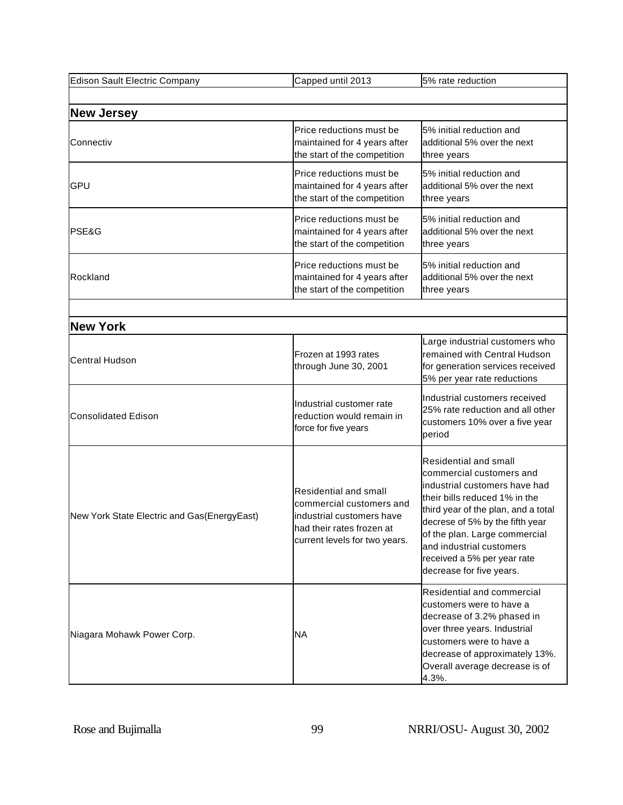| Edison Sault Electric Company               | Capped until 2013                                                                                                                            | 5% rate reduction                                                                                                                                                                                                                                                                                                     |  |
|---------------------------------------------|----------------------------------------------------------------------------------------------------------------------------------------------|-----------------------------------------------------------------------------------------------------------------------------------------------------------------------------------------------------------------------------------------------------------------------------------------------------------------------|--|
|                                             |                                                                                                                                              |                                                                                                                                                                                                                                                                                                                       |  |
| <b>New Jersey</b>                           |                                                                                                                                              |                                                                                                                                                                                                                                                                                                                       |  |
| Connectiv                                   | Price reductions must be<br>maintained for 4 years after<br>the start of the competition                                                     | 5% initial reduction and<br>additional 5% over the next<br>three years                                                                                                                                                                                                                                                |  |
| GPU                                         | Price reductions must be<br>maintained for 4 years after<br>the start of the competition                                                     | 5% initial reduction and<br>additional 5% over the next<br>three years                                                                                                                                                                                                                                                |  |
| PSE&G                                       | Price reductions must be<br>maintained for 4 years after<br>the start of the competition                                                     | 5% initial reduction and<br>additional 5% over the next<br>three years                                                                                                                                                                                                                                                |  |
| Rockland                                    | Price reductions must be<br>maintained for 4 years after<br>the start of the competition                                                     | 5% initial reduction and<br>additional 5% over the next<br>three years                                                                                                                                                                                                                                                |  |
|                                             |                                                                                                                                              |                                                                                                                                                                                                                                                                                                                       |  |
| <b>New York</b>                             |                                                                                                                                              |                                                                                                                                                                                                                                                                                                                       |  |
| <b>Central Hudson</b>                       | Frozen at 1993 rates<br>through June 30, 2001                                                                                                | Large industrial customers who<br>remained with Central Hudson<br>for generation services received<br>5% per year rate reductions                                                                                                                                                                                     |  |
| <b>Consolidated Edison</b>                  | Industrial customer rate<br>reduction would remain in<br>force for five years                                                                | Industrial customers received<br>25% rate reduction and all other<br>customers 10% over a five year<br>period                                                                                                                                                                                                         |  |
| New York State Electric and Gas(EnergyEast) | Residential and small<br>commercial customers and<br>industrial customers have<br>had their rates frozen at<br>current levels for two years. | Residential and small<br>commercial customers and<br>industrial customers have had<br>their bills reduced 1% in the<br>third year of the plan, and a total<br>decrese of 5% by the fifth year<br>of the plan. Large commercial<br>and industrial customers<br>received a 5% per year rate<br>decrease for five years. |  |
| Niagara Mohawk Power Corp.                  | ΝA                                                                                                                                           | Residential and commercial<br>customers were to have a<br>decrease of 3.2% phased in<br>over three years. Industrial<br>customers were to have a<br>decrease of approximately 13%.<br>Overall average decrease is of<br>4.3%.                                                                                         |  |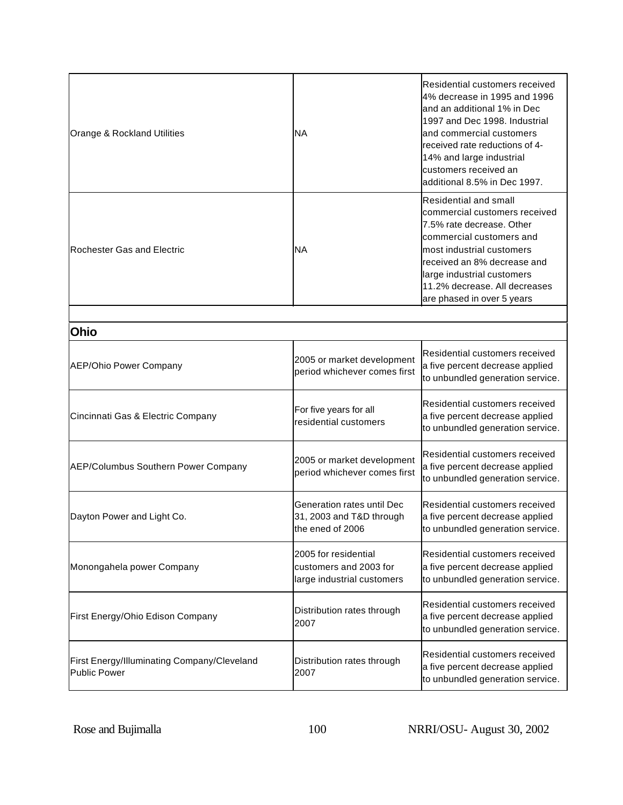| Orange & Rockland Utilities | <b>NA</b>                                                  | Residential customers received<br>4% decrease in 1995 and 1996<br>and an additional 1% in Dec<br>1997 and Dec 1998. Industrial<br>and commercial customers<br>received rate reductions of 4-<br>14% and large industrial<br>customers received an<br>additional 8.5% in Dec 1997. |
|-----------------------------|------------------------------------------------------------|-----------------------------------------------------------------------------------------------------------------------------------------------------------------------------------------------------------------------------------------------------------------------------------|
| Rochester Gas and Electric  | <b>NA</b>                                                  | <b>Residential and small</b><br>commercial customers received<br>7.5% rate decrease. Other<br>commercial customers and<br>lmost industrial customers<br>received an 8% decrease and<br>large industrial customers<br>11.2% decrease. All decreases<br>are phased in over 5 years  |
|                             |                                                            |                                                                                                                                                                                                                                                                                   |
| <b>Ohio</b>                 |                                                            |                                                                                                                                                                                                                                                                                   |
| AEP/Ohio Power Company      | 2005 or market development<br>period whichever comes first | Residential customers received<br>a five percent decrease applied<br>to unbundled generation service.                                                                                                                                                                             |
|                             | For five years for all                                     | Residential customers received                                                                                                                                                                                                                                                    |

| Cincinnati Gas & Electric Company                           | For five years for all<br>residential customers                              | lResidential customers received<br>a five percent decrease applied<br>to unbundled generation service.       |
|-------------------------------------------------------------|------------------------------------------------------------------------------|--------------------------------------------------------------------------------------------------------------|
| AEP/Columbus Southern Power Company                         | 2005 or market development<br>period whichever comes first                   | lResidential customers received<br>a five percent decrease applied<br>to unbundled generation service.       |
| Dayton Power and Light Co.                                  | Generation rates until Dec<br>31, 2003 and T&D through<br>lthe ened of 2006  | Residential customers received<br>a five percent decrease applied<br>to unbundled generation service.        |
| Monongahela power Company                                   | 2005 for residential<br>customers and 2003 for<br>large industrial customers | lResidential customers received<br>a five percent decrease applied<br>to unbundled generation service.       |
| First Energy/Ohio Edison Company                            | Distribution rates through<br>2007                                           | Residential customers received<br>a five percent decrease applied<br>to unbundled generation service.        |
| First Energy/Illuminating Company/Cleveland<br>Public Power | Distribution rates through<br>2007                                           | <b>Residential customers received</b><br>a five percent decrease applied<br>to unbundled generation service. |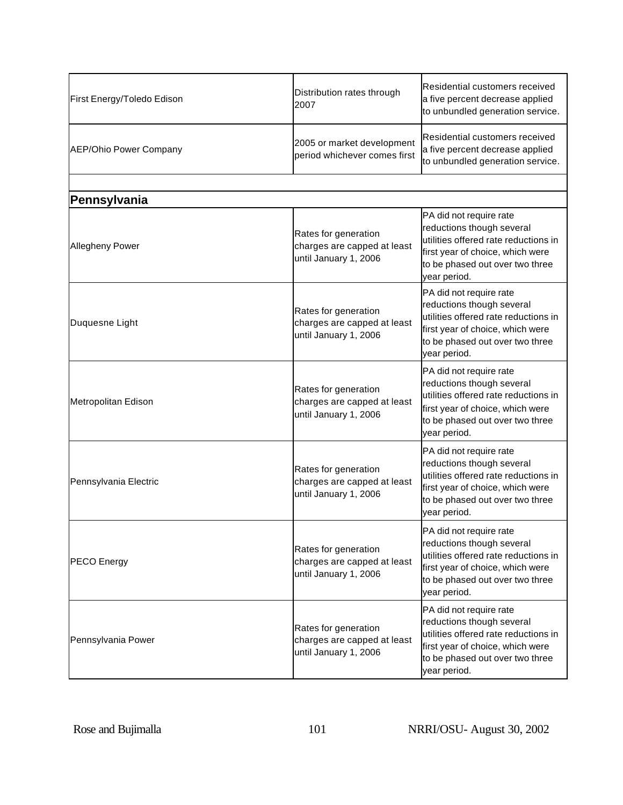| First Energy/Toledo Edison    | Distribution rates through<br>2007                                           | Residential customers received<br>a five percent decrease applied<br>to unbundled generation service.                                                                               |
|-------------------------------|------------------------------------------------------------------------------|-------------------------------------------------------------------------------------------------------------------------------------------------------------------------------------|
| <b>AEP/Ohio Power Company</b> | 2005 or market development<br>period whichever comes first                   | Residential customers received<br>a five percent decrease applied<br>to unbundled generation service.                                                                               |
|                               |                                                                              |                                                                                                                                                                                     |
| Pennsylvania                  |                                                                              |                                                                                                                                                                                     |
| Allegheny Power               | Rates for generation<br>charges are capped at least<br>until January 1, 2006 | PA did not require rate<br>reductions though several<br>utilities offered rate reductions in<br>first year of choice, which were<br>to be phased out over two three<br>year period. |
| Duquesne Light                | Rates for generation<br>charges are capped at least<br>until January 1, 2006 | PA did not require rate<br>reductions though several<br>utilities offered rate reductions in<br>first year of choice, which were<br>to be phased out over two three<br>year period. |
| Metropolitan Edison           | Rates for generation<br>charges are capped at least<br>until January 1, 2006 | PA did not require rate<br>reductions though several<br>utilities offered rate reductions in<br>first year of choice, which were<br>to be phased out over two three<br>year period. |
| Pennsylvania Electric         | Rates for generation<br>charges are capped at least<br>until January 1, 2006 | PA did not require rate<br>reductions though several<br>utilities offered rate reductions in<br>first year of choice, which were<br>to be phased out over two three<br>year period. |
| <b>PECO</b> Energy            | Rates for generation<br>charges are capped at least<br>until January 1, 2006 | PA did not require rate<br>reductions though several<br>utilities offered rate reductions in<br>first year of choice, which were<br>to be phased out over two three<br>year period. |
| Pennsylvania Power            | Rates for generation<br>charges are capped at least<br>until January 1, 2006 | PA did not require rate<br>reductions though several<br>utilities offered rate reductions in<br>first year of choice, which were<br>to be phased out over two three<br>year period. |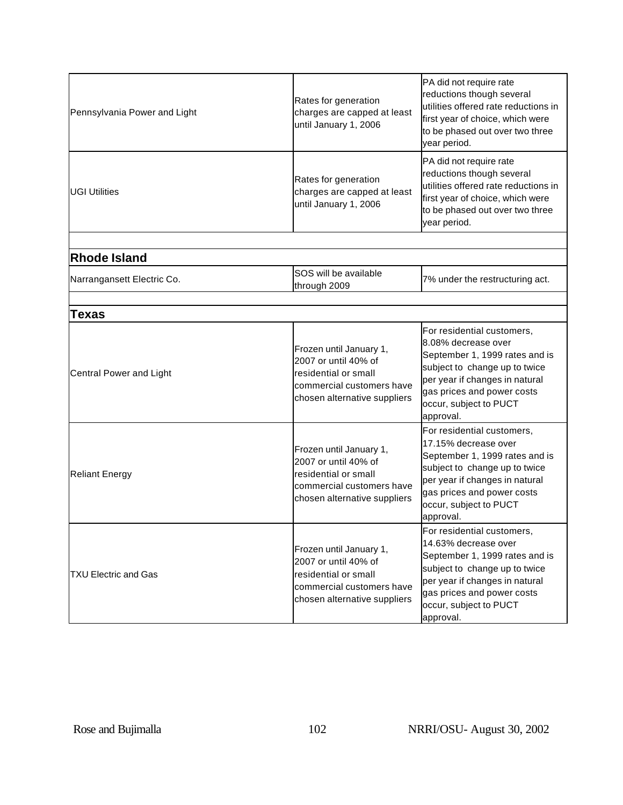| Pennsylvania Power and Light | Rates for generation<br>charges are capped at least<br>until January 1, 2006                                                         | PA did not require rate<br>reductions though several<br>utilities offered rate reductions in<br>first year of choice, which were<br>to be phased out over two three<br>year period.                                          |
|------------------------------|--------------------------------------------------------------------------------------------------------------------------------------|------------------------------------------------------------------------------------------------------------------------------------------------------------------------------------------------------------------------------|
| <b>UGI Utilities</b>         | Rates for generation<br>charges are capped at least<br>until January 1, 2006                                                         | PA did not require rate<br>reductions though several<br>utilities offered rate reductions in<br>first year of choice, which were<br>to be phased out over two three<br>year period.                                          |
|                              |                                                                                                                                      |                                                                                                                                                                                                                              |
| <b>Rhode Island</b>          |                                                                                                                                      |                                                                                                                                                                                                                              |
| Narrangansett Electric Co.   | SOS will be available<br>through 2009                                                                                                | 7% under the restructuring act.                                                                                                                                                                                              |
|                              |                                                                                                                                      |                                                                                                                                                                                                                              |
| Texas                        |                                                                                                                                      |                                                                                                                                                                                                                              |
| Central Power and Light      | Frozen until January 1,<br>2007 or until 40% of<br>residential or small<br>commercial customers have<br>chosen alternative suppliers | For residential customers,<br>8.08% decrease over<br>September 1, 1999 rates and is<br>subject to change up to twice<br>per year if changes in natural<br>gas prices and power costs<br>occur, subject to PUCT<br>approval.  |
| <b>Reliant Energy</b>        | Frozen until January 1,<br>2007 or until 40% of<br>residential or small<br>commercial customers have<br>chosen alternative suppliers | For residential customers,<br>17.15% decrease over<br>September 1, 1999 rates and is<br>subject to change up to twice<br>per year if changes in natural<br>gas prices and power costs<br>occur, subject to PUCT<br>approval. |
| <b>TXU Electric and Gas</b>  | Frozen until January 1,<br>2007 or until 40% of<br>residential or small<br>commercial customers have<br>chosen alternative suppliers | For residential customers,<br>14.63% decrease over<br>September 1, 1999 rates and is<br>subject to change up to twice<br>per year if changes in natural<br>gas prices and power costs<br>occur, subject to PUCT<br>approval. |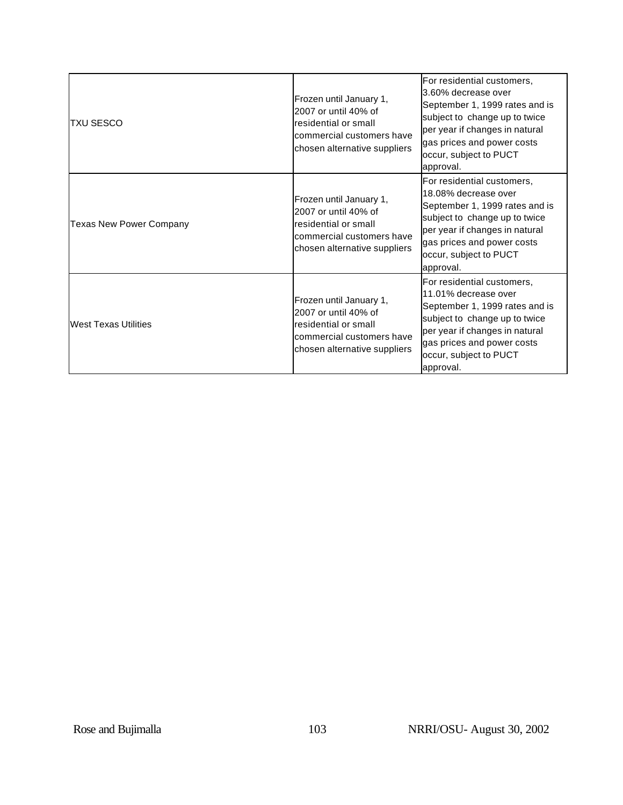| TXU SESCO                   | Frozen until January 1,<br>2007 or until 40% of<br>residential or small<br>commercial customers have<br>chosen alternative suppliers | For residential customers,<br>3.60% decrease over<br>September 1, 1999 rates and is<br>subject to change up to twice<br>per year if changes in natural<br>gas prices and power costs<br>occur, subject to PUCT<br>approval.   |
|-----------------------------|--------------------------------------------------------------------------------------------------------------------------------------|-------------------------------------------------------------------------------------------------------------------------------------------------------------------------------------------------------------------------------|
| Texas New Power Company     | Frozen until January 1,<br>2007 or until 40% of<br>residential or small<br>commercial customers have<br>chosen alternative suppliers | For residential customers,<br>18.08% decrease over<br>September 1, 1999 rates and is<br>subject to change up to twice<br>per year if changes in natural<br>gas prices and power costs<br>occur, subject to PUCT<br>approval.  |
| <b>West Texas Utilities</b> | Frozen until January 1,<br>2007 or until 40% of<br>residential or small<br>commercial customers have<br>chosen alternative suppliers | lFor residential customers.<br>11.01% decrease over<br>September 1, 1999 rates and is<br>subject to change up to twice<br>per year if changes in natural<br>gas prices and power costs<br>occur, subject to PUCT<br>approval. |